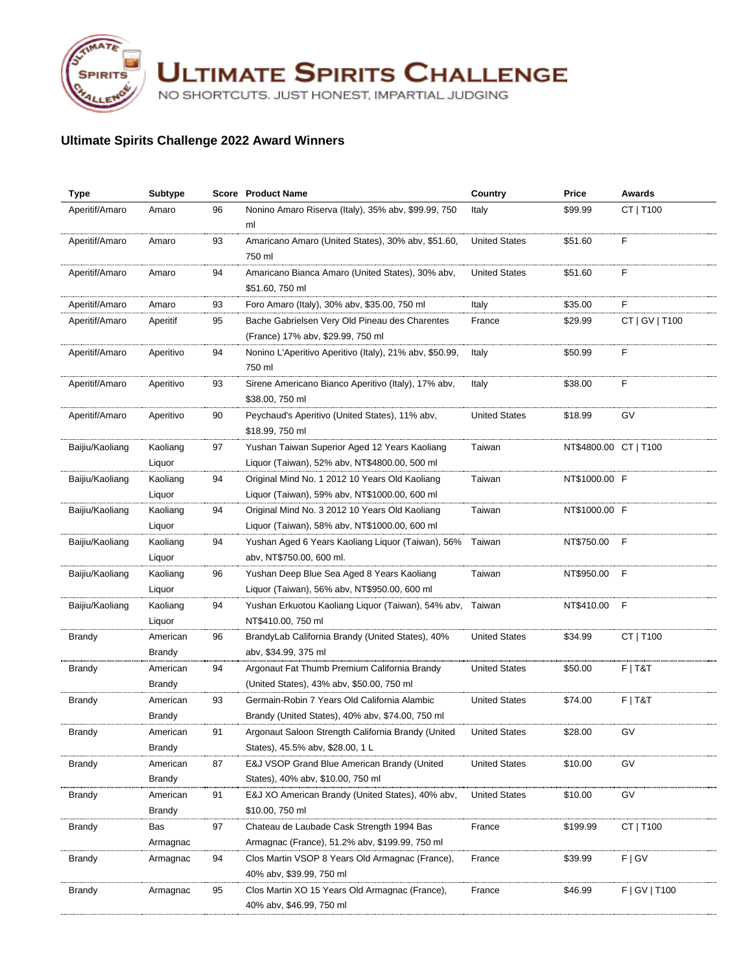

**ULTIMATE SPIRITS CHALLENGE** 

NO SHORTCUTS. JUST HONEST, IMPARTIAL JUDGING

## **Ultimate Spirits Challenge 2022 Award Winners**

| <b>Type</b>     | <b>Subtype</b>     |    | <b>Score</b> Product Name                                                                  | Country              | Price                 | <b>Awards</b>  |
|-----------------|--------------------|----|--------------------------------------------------------------------------------------------|----------------------|-----------------------|----------------|
| Aperitif/Amaro  | Amaro              | 96 | Nonino Amaro Riserva (Italy), 35% abv, \$99.99, 750                                        | Italy                | \$99.99               | CT   T100      |
|                 |                    |    | ml                                                                                         |                      |                       |                |
| Aperitif/Amaro  | Amaro              | 93 | Amaricano Amaro (United States), 30% abv, \$51.60,                                         | <b>United States</b> | \$51.60               | F              |
|                 |                    |    | 750 ml                                                                                     |                      |                       |                |
| Aperitif/Amaro  | Amaro              | 94 | Amaricano Bianca Amaro (United States), 30% abv,                                           | <b>United States</b> | \$51.60               | F              |
|                 |                    |    | \$51.60, 750 ml                                                                            |                      |                       |                |
| Aperitif/Amaro  | Amaro              | 93 | Foro Amaro (Italy), 30% abv, \$35.00, 750 ml                                               | Italy                | \$35.00               | F              |
| Aperitif/Amaro  | Aperitif           | 95 | Bache Gabrielsen Very Old Pineau des Charentes                                             | France               | \$29.99               | CT   GV   T100 |
|                 |                    |    | (France) 17% abv, \$29.99, 750 ml                                                          |                      |                       |                |
| Aperitif/Amaro  | Aperitivo          | 94 | Nonino L'Aperitivo Aperitivo (Italy), 21% abv, \$50.99,                                    | Italy                | \$50.99               | F              |
|                 |                    |    | 750 ml                                                                                     |                      |                       |                |
| Aperitif/Amaro  | Aperitivo          | 93 | Sirene Americano Bianco Aperitivo (Italy), 17% abv,                                        | Italy                | \$38.00               | F              |
|                 |                    |    | \$38.00, 750 ml                                                                            |                      |                       |                |
| Aperitif/Amaro  | Aperitivo          | 90 | Peychaud's Aperitivo (United States), 11% abv,                                             | <b>United States</b> | \$18.99               | GV             |
|                 |                    |    | \$18.99, 750 ml                                                                            |                      |                       |                |
| Baijiu/Kaoliang | Kaoliang           | 97 | Yushan Taiwan Superior Aged 12 Years Kaoliang                                              | Taiwan               | NT\$4800.00 CT   T100 |                |
|                 | Liquor             |    | Liquor (Taiwan), 52% abv, NT\$4800.00, 500 ml                                              |                      |                       |                |
| Baijiu/Kaoliang | Kaoliang           | 94 | Original Mind No. 1 2012 10 Years Old Kaoliang                                             | Taiwan               | NT\$1000.00 F         |                |
|                 | Liquor             |    | Liquor (Taiwan), 59% abv, NT\$1000.00, 600 ml                                              |                      |                       |                |
| Baijiu/Kaoliang | Kaoliang           | 94 | Original Mind No. 3 2012 10 Years Old Kaoliang                                             | Taiwan               | NT\$1000.00 F         |                |
|                 | Liquor             |    | Liquor (Taiwan), 58% abv, NT\$1000.00, 600 ml                                              |                      |                       |                |
| Baijiu/Kaoliang | Kaoliang           | 94 | Yushan Aged 6 Years Kaoliang Liquor (Taiwan), 56%                                          | Taiwan               | NT\$750.00            | - F            |
|                 | Liquor             |    | abv, NT\$750.00, 600 ml.                                                                   |                      |                       |                |
| Baijiu/Kaoliang | Kaoliang<br>Liquor | 96 | Yushan Deep Blue Sea Aged 8 Years Kaoliang<br>Liquor (Taiwan), 56% abv, NT\$950.00, 600 ml | Taiwan               | NT\$950.00            | F              |
| Baijiu/Kaoliang | Kaoliang           | 94 | Yushan Erkuotou Kaoliang Liquor (Taiwan), 54% abv, Taiwan                                  |                      | NT\$410.00            | F              |
|                 |                    |    | NT\$410.00, 750 ml                                                                         |                      |                       |                |
| Brandy          | Liquor<br>American | 96 | BrandyLab California Brandy (United States), 40%                                           | <b>United States</b> | \$34.99               | CT   T100      |
|                 | Brandy             |    | abv, \$34.99, 375 ml                                                                       |                      |                       |                |
| Brandy          | American           | 94 | Argonaut Fat Thumb Premium California Brandy                                               | <b>United States</b> | \$50.00               | $F$   T&T      |
|                 | <b>Brandy</b>      |    | (United States), 43% abv, \$50.00, 750 ml                                                  |                      |                       |                |
| Brandy          | American           | 93 | Germain-Robin 7 Years Old California Alambic                                               | <b>United States</b> | \$74.00               | $F$   T&T      |
|                 | Brandy             |    | Brandy (United States), 40% abv, \$74.00, 750 ml                                           |                      |                       |                |
| Brandy          | American           | 91 | Argonaut Saloon Strength California Brandy (United                                         | <b>United States</b> | \$28.00               | G٧             |
|                 | Brandy             |    | States), 45.5% abv, \$28.00, 1 L                                                           |                      |                       |                |
| Brandy          | American           | 87 | E&J VSOP Grand Blue American Brandy (United                                                | <b>United States</b> | \$10.00               | GV             |
|                 | Brandy             |    | States), 40% abv, \$10.00, 750 ml                                                          |                      |                       |                |
| <b>Brandy</b>   | American           | 91 | E&J XO American Brandy (United States), 40% abv,                                           | <b>United States</b> | \$10.00               | GV             |
|                 | Brandy             |    | \$10.00, 750 ml                                                                            |                      |                       |                |
| Brandy          | Bas                | 97 | Chateau de Laubade Cask Strength 1994 Bas                                                  | France               | \$199.99              | CT   T100      |
|                 | Armagnac           |    | Armagnac (France), 51.2% abv, \$199.99, 750 ml                                             |                      |                       |                |
| Brandy          | Armagnac           | 94 | Clos Martin VSOP 8 Years Old Armagnac (France),                                            | France               | \$39.99               | F   G V        |
|                 |                    |    | 40% abv, \$39.99, 750 ml                                                                   |                      |                       |                |
| Brandy          | Armagnac           | 95 | Clos Martin XO 15 Years Old Armagnac (France),                                             | France               | \$46.99               | F   G V   T100 |
|                 |                    |    | 40% abv, \$46.99, 750 ml                                                                   |                      |                       |                |
|                 |                    |    |                                                                                            |                      |                       |                |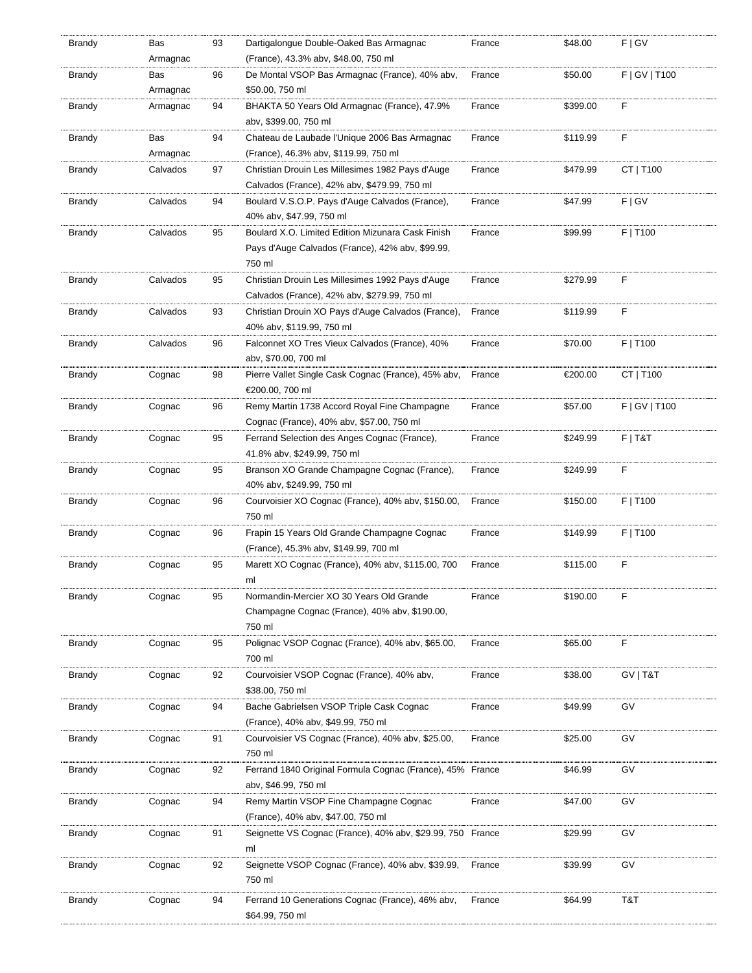| Brandy        | Bas      | 93 | Dartigalongue Double-Oaked Bas Armagnac                    | France | \$48.00  | F   G V         |
|---------------|----------|----|------------------------------------------------------------|--------|----------|-----------------|
|               | Armagnac |    | (France), 43.3% abv, \$48.00, 750 ml                       |        |          |                 |
| Brandy        | Bas      | 96 | De Montal VSOP Bas Armagnac (France), 40% abv,             | France | \$50.00  | F   GV   T100   |
|               | Armagnac |    | \$50.00, 750 ml                                            |        |          |                 |
| <b>Brandy</b> | Armagnac | 94 | BHAKTA 50 Years Old Armagnac (France), 47.9%               | France | \$399.00 | F               |
|               |          |    | abv, \$399.00, 750 ml                                      |        |          |                 |
| <b>Brandy</b> | Bas      | 94 | Chateau de Laubade l'Unique 2006 Bas Armagnac              | France | \$119.99 | F               |
|               | Armagnac |    | (France), 46.3% abv, \$119.99, 750 ml                      |        |          |                 |
| Brandy        | Calvados | 97 | Christian Drouin Les Millesimes 1982 Pays d'Auge           | France | \$479.99 | CT   T100       |
|               |          |    | Calvados (France), 42% abv, \$479.99, 750 ml               |        |          |                 |
| Brandy        | Calvados | 94 | Boulard V.S.O.P. Pays d'Auge Calvados (France),            | France | \$47.99  | F   G V         |
|               |          |    | 40% abv, \$47.99, 750 ml                                   |        |          |                 |
| Brandy        | Calvados | 95 | Boulard X.O. Limited Edition Mizunara Cask Finish          | France | \$99.99  | F   T100        |
|               |          |    | Pays d'Auge Calvados (France), 42% abv, \$99.99,           |        |          |                 |
|               |          |    | 750 ml                                                     |        |          |                 |
| Brandy        | Calvados | 95 | Christian Drouin Les Millesimes 1992 Pays d'Auge           | France | \$279.99 | F               |
|               |          |    | Calvados (France), 42% abv, \$279.99, 750 ml               |        |          |                 |
| Brandy        | Calvados | 93 | Christian Drouin XO Pays d'Auge Calvados (France),         | France | \$119.99 | F               |
|               |          |    | 40% abv, \$119.99, 750 ml                                  |        |          |                 |
| Brandy        | Calvados | 96 | Falconnet XO Tres Vieux Calvados (France), 40%             | France | \$70.00  | F   T100        |
|               |          |    | abv, \$70.00, 700 ml                                       |        |          |                 |
|               |          |    |                                                            |        |          |                 |
| Brandy        | Cognac   | 98 | Pierre Vallet Single Cask Cognac (France), 45% abv,        | France | €200.00  | CT   T100       |
|               |          |    | €200.00, 700 ml                                            |        |          |                 |
| Brandy        | Cognac   | 96 | Remy Martin 1738 Accord Royal Fine Champagne               | France | \$57.00  | $F$   GV   T100 |
|               |          |    | Cognac (France), 40% aby, \$57.00, 750 ml                  |        |          |                 |
| <b>Brandy</b> | Cognac   | 95 | Ferrand Selection des Anges Cognac (France),               | France | \$249.99 | $F$   T&T       |
|               |          |    | 41.8% abv, \$249.99, 750 ml                                |        |          |                 |
| Brandy        | Cognac   | 95 | Branson XO Grande Champagne Cognac (France),               | France | \$249.99 | F               |
|               |          |    | 40% abv, \$249.99, 750 ml                                  |        |          |                 |
| Brandy        | Cognac   | 96 | Courvoisier XO Cognac (France), 40% abv, \$150.00,         | France | \$150.00 | F   T100        |
|               |          |    | 750 ml                                                     |        |          |                 |
| Brandy        | Cognac   | 96 | Frapin 15 Years Old Grande Champagne Cognac                | France | \$149.99 | F   T100        |
|               |          |    | (France), 45.3% abv, \$149.99, 700 ml                      |        |          |                 |
| Brandy        | Cognac   | 95 | Marett XO Cognac (France), 40% abv, \$115.00, 700          | France | \$115.00 | F               |
|               |          |    | ml                                                         |        |          |                 |
| Brandy        | Cognac   | 95 | Normandin-Mercier XO 30 Years Old Grande                   | France | \$190.00 | F               |
|               |          |    | Champagne Cognac (France), 40% abv, \$190.00,              |        |          |                 |
|               |          |    | 750 ml                                                     |        |          |                 |
| Brandy        | Cognac   | 95 | Polignac VSOP Cognac (France), 40% abv, \$65.00,           | France | \$65.00  | F               |
|               |          |    | 700 ml                                                     |        |          |                 |
| <b>Brandy</b> | Cognac   | 92 | Courvoisier VSOP Cognac (France), 40% abv,                 | France | \$38.00  | GV   T&T        |
|               |          |    | \$38.00, 750 ml                                            |        |          |                 |
| Brandy        | Cognac   | 94 | Bache Gabrielsen VSOP Triple Cask Cognac                   | France | \$49.99  | GV              |
|               |          |    | (France), 40% abv, \$49.99, 750 ml                         |        |          |                 |
| Brandy        | Cognac   | 91 | Courvoisier VS Cognac (France), 40% abv, \$25.00,          | France | \$25.00  | GV              |
|               |          |    | 750 ml                                                     |        |          |                 |
| <b>Brandy</b> | Cognac   | 92 | Ferrand 1840 Original Formula Cognac (France), 45% France  |        | \$46.99  | GV              |
|               |          |    | abv, \$46.99, 750 ml                                       |        |          |                 |
| Brandy        | Cognac   | 94 | Remy Martin VSOP Fine Champagne Cognac                     | France | \$47.00  | GV              |
|               |          |    | (France), 40% abv, \$47.00, 750 ml                         |        |          |                 |
| Brandy        | Cognac   | 91 | Seignette VS Cognac (France), 40% abv, \$29.99, 750 France |        | \$29.99  | GV              |
|               |          |    | ml                                                         |        |          |                 |
| <b>Brandy</b> | Cognac   | 92 | Seignette VSOP Cognac (France), 40% abv, \$39.99,          | France | \$39.99  | GV              |
|               |          |    | 750 ml                                                     |        |          |                 |
|               |          |    |                                                            |        |          |                 |
| Brandy        | Cognac   | 94 | Ferrand 10 Generations Cognac (France), 46% abv,           | France | \$64.99  | T&T             |
|               |          |    | \$64.99, 750 ml                                            |        |          |                 |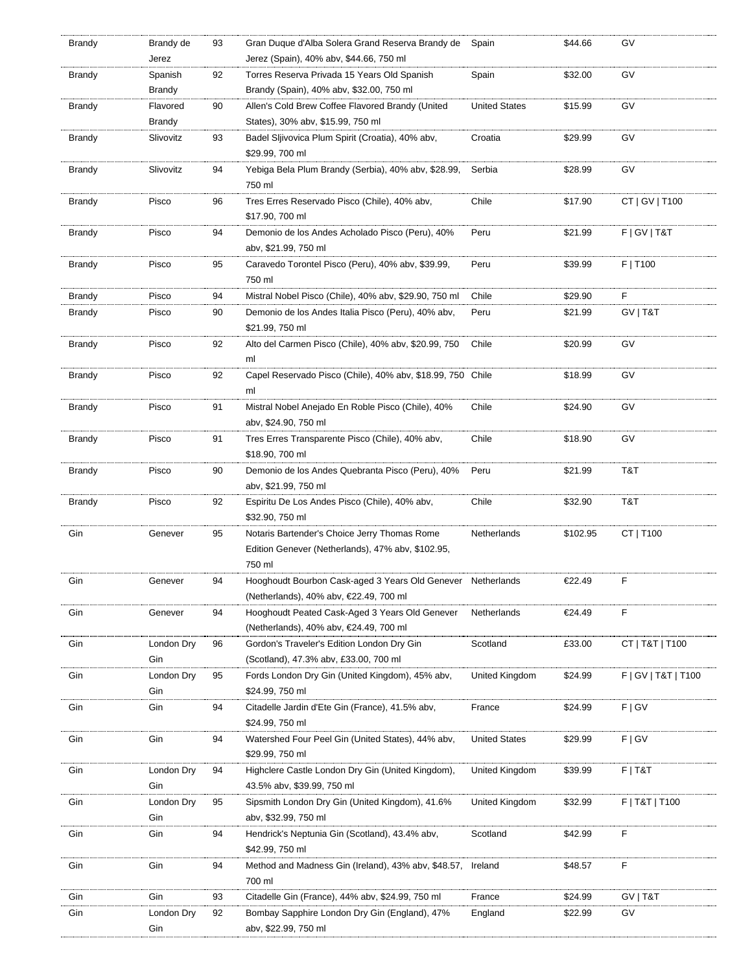| Brandy        | Brandy de                 | 93 | Gran Duque d'Alba Solera Grand Reserva Brandy de                                      | Spain                | \$44.66  | GV                     |
|---------------|---------------------------|----|---------------------------------------------------------------------------------------|----------------------|----------|------------------------|
|               | Jerez                     |    | Jerez (Spain), 40% abv, \$44.66, 750 ml                                               |                      |          |                        |
| Brandy        | Spanish                   | 92 | Torres Reserva Privada 15 Years Old Spanish                                           | Spain                | \$32.00  | GV                     |
|               | Brandy                    |    | Brandy (Spain), 40% abv, \$32.00, 750 ml                                              |                      |          |                        |
| <b>Brandy</b> | Flavored<br><b>Brandy</b> | 90 | Allen's Cold Brew Coffee Flavored Brandy (United<br>States), 30% abv, \$15.99, 750 ml | <b>United States</b> | \$15.99  | GV                     |
|               |                           |    |                                                                                       |                      | \$29.99  | GV                     |
| <b>Brandy</b> | Slivovitz                 | 93 | Badel Sljivovica Plum Spirit (Croatia), 40% abv,<br>\$29.99, 700 ml                   | Croatia              |          |                        |
| Brandy        | Slivovitz                 | 94 | Yebiga Bela Plum Brandy (Serbia), 40% abv, \$28.99,                                   | Serbia               | \$28.99  | GV                     |
|               |                           |    | 750 ml                                                                                |                      |          |                        |
| Brandy        | Pisco                     | 96 | Tres Erres Reservado Pisco (Chile), 40% abv,                                          | Chile                | \$17.90  | CT   GV   T100         |
|               |                           |    | \$17.90, 700 ml                                                                       |                      |          |                        |
| <b>Brandy</b> | Pisco                     | 94 | Demonio de los Andes Acholado Pisco (Peru), 40%                                       | Peru                 | \$21.99  | F   G V   T & T        |
|               |                           |    | abv, \$21.99, 750 ml                                                                  |                      |          |                        |
| <b>Brandy</b> | Pisco                     | 95 | Caravedo Torontel Pisco (Peru), 40% abv, \$39.99,                                     | Peru                 | \$39.99  | F   T100               |
|               |                           |    | 750 ml                                                                                |                      |          |                        |
| Brandy        | Pisco                     | 94 | Mistral Nobel Pisco (Chile), 40% abv, \$29.90, 750 ml                                 | Chile                | \$29.90  | F                      |
| Brandy        | Pisco                     | 90 | Demonio de los Andes Italia Pisco (Peru), 40% abv,                                    | Peru                 | \$21.99  | GV   T&T               |
|               |                           |    | \$21.99, 750 ml                                                                       |                      |          |                        |
| Brandy        | Pisco                     | 92 | Alto del Carmen Pisco (Chile), 40% abv, \$20.99, 750                                  | Chile                | \$20.99  | GV                     |
|               |                           |    | ml                                                                                    |                      |          |                        |
| Brandy        | Pisco                     | 92 | Capel Reservado Pisco (Chile), 40% abv, \$18.99, 750 Chile                            |                      | \$18.99  | GV                     |
|               |                           |    | ml                                                                                    |                      |          |                        |
| Brandy        | Pisco                     | 91 | Mistral Nobel Anejado En Roble Pisco (Chile), 40%                                     | Chile                | \$24.90  | GV                     |
|               |                           |    | aby, \$24.90, 750 ml                                                                  |                      |          |                        |
| Brandy        | Pisco                     | 91 | Tres Erres Transparente Pisco (Chile), 40% abv,                                       | Chile                | \$18.90  | GV                     |
|               |                           |    | \$18.90, 700 ml                                                                       |                      |          |                        |
| <b>Brandy</b> | Pisco                     | 90 | Demonio de los Andes Quebranta Pisco (Peru), 40%                                      | Peru                 | \$21.99  | T&T                    |
|               |                           |    | abv, \$21.99, 750 ml                                                                  |                      |          |                        |
| <b>Brandy</b> | Pisco                     | 92 | Espiritu De Los Andes Pisco (Chile), 40% abv,                                         | Chile                | \$32.90  | T&T                    |
|               |                           |    | \$32.90, 750 ml                                                                       |                      |          |                        |
| Gin           | Genever                   | 95 | Notaris Bartender's Choice Jerry Thomas Rome                                          | Netherlands          | \$102.95 | CT   T100              |
|               |                           |    | Edition Genever (Netherlands), 47% abv, \$102.95,                                     |                      |          |                        |
|               |                           |    | 750 ml                                                                                |                      |          |                        |
| Gin           | Genever                   | 94 | Hooghoudt Bourbon Cask-aged 3 Years Old Genever Netherlands                           |                      | €22.49   | F                      |
|               |                           |    | (Netherlands), 40% abv, €22.49, 700 ml                                                |                      |          |                        |
| Gin           | Genever                   | 94 | Hooghoudt Peated Cask-Aged 3 Years Old Genever                                        | Netherlands          | €24.49   | F                      |
|               |                           |    | (Netherlands), 40% abv, €24.49, 700 ml                                                |                      |          |                        |
| Gin           | London Dry                | 96 | Gordon's Traveler's Edition London Dry Gin                                            | Scotland             | £33.00   | CT   T&T   T100        |
|               | Gin                       |    | (Scotland), 47.3% abv, £33.00, 700 ml                                                 |                      |          |                        |
| Gin           | London Dry                | 95 | Fords London Dry Gin (United Kingdom), 45% abv,                                       | United Kingdom       | \$24.99  | F   G V   T & T   T100 |
|               | Gin                       |    | \$24.99, 750 ml                                                                       |                      |          |                        |
| Gin           | Gin                       | 94 | Citadelle Jardin d'Ete Gin (France), 41.5% abv,                                       | France               | \$24.99  | F   G V                |
|               |                           |    | \$24.99, 750 ml                                                                       |                      |          |                        |
| Gin           | Gin                       | 94 | Watershed Four Peel Gin (United States), 44% abv,                                     | <b>United States</b> | \$29.99  | F   G V                |
|               |                           |    | \$29.99, 750 ml                                                                       |                      |          |                        |
| Gin           | London Dry                | 94 | Highclere Castle London Dry Gin (United Kingdom),                                     | United Kingdom       | \$39.99  | $F$   T&T              |
|               | Gin                       |    | 43.5% abv, \$39.99, 750 ml                                                            |                      |          |                        |
| Gin           | London Dry                | 95 | Sipsmith London Dry Gin (United Kingdom), 41.6%                                       | United Kingdom       | \$32.99  | F   T&T   T100         |
|               | Gin                       |    | abv, \$32.99, 750 ml                                                                  |                      |          |                        |
| Gin           | Gin                       | 94 | Hendrick's Neptunia Gin (Scotland), 43.4% abv,                                        | Scotland             | \$42.99  | F                      |
|               |                           |    | \$42.99, 750 ml                                                                       |                      |          |                        |
| Gin           | Gin                       | 94 | Method and Madness Gin (Ireland), 43% abv, \$48.57,                                   | Ireland              | \$48.57  | F                      |
|               |                           |    | 700 ml                                                                                |                      |          |                        |
| Gin           | Gin                       | 93 | Citadelle Gin (France), 44% abv, \$24.99, 750 ml                                      | France               | \$24.99  | GV   T&T               |
| Gin           | London Dry                | 92 | Bombay Sapphire London Dry Gin (England), 47%                                         | England              | \$22.99  | GV                     |
|               | Gin                       |    | abv, \$22.99, 750 ml                                                                  |                      |          |                        |
|               |                           |    |                                                                                       |                      |          |                        |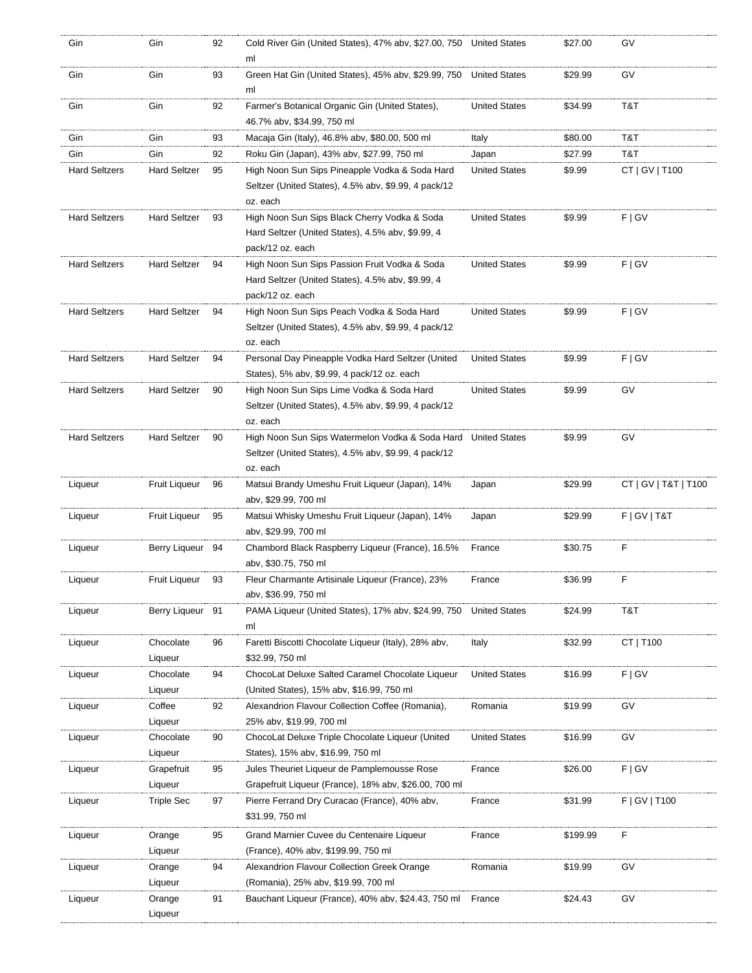| Gin                  | Gin                 | 92 | Cold River Gin (United States), 47% abv, \$27.00, 750 United States<br>ml     |                      | \$27.00  | GV                   |
|----------------------|---------------------|----|-------------------------------------------------------------------------------|----------------------|----------|----------------------|
| Gin                  | Gin                 | 93 | Green Hat Gin (United States), 45% abv, \$29.99, 750<br>ml                    | <b>United States</b> | \$29.99  | GV                   |
| Gin                  | Gin                 | 92 | Farmer's Botanical Organic Gin (United States),<br>46.7% abv, \$34.99, 750 ml | <b>United States</b> | \$34.99  | T&T                  |
| Gin                  | Gin                 | 93 | Macaja Gin (Italy), 46.8% abv, \$80.00, 500 ml                                | Italy                | \$80.00  | T&T                  |
| Gin                  | Gin                 | 92 | Roku Gin (Japan), 43% abv, \$27.99, 750 ml                                    | Japan                | \$27.99  | T&T                  |
| <b>Hard Seltzers</b> | <b>Hard Seltzer</b> | 95 | High Noon Sun Sips Pineapple Vodka & Soda Hard                                | <b>United States</b> | \$9.99   | CT   GV   T100       |
|                      |                     |    | Seltzer (United States), 4.5% abv, \$9.99, 4 pack/12<br>oz. each              |                      |          |                      |
| <b>Hard Seltzers</b> | <b>Hard Seltzer</b> | 93 | High Noon Sun Sips Black Cherry Vodka & Soda                                  | <b>United States</b> | \$9.99   | F   G V              |
|                      |                     |    | Hard Seltzer (United States), 4.5% abv, \$9.99, 4                             |                      |          |                      |
|                      |                     |    | pack/12 oz. each                                                              |                      |          |                      |
| <b>Hard Seltzers</b> | <b>Hard Seltzer</b> | 94 | High Noon Sun Sips Passion Fruit Vodka & Soda                                 | <b>United States</b> | \$9.99   | F   G V              |
|                      |                     |    | Hard Seltzer (United States), 4.5% abv, \$9.99, 4                             |                      |          |                      |
|                      |                     |    | pack/12 oz. each                                                              |                      |          |                      |
| <b>Hard Seltzers</b> | <b>Hard Seltzer</b> | 94 | High Noon Sun Sips Peach Vodka & Soda Hard                                    | <b>United States</b> | \$9.99   | F   G V              |
|                      |                     |    | Seltzer (United States), 4.5% abv, \$9.99, 4 pack/12                          |                      |          |                      |
|                      |                     |    |                                                                               |                      |          |                      |
|                      |                     |    | oz. each                                                                      |                      |          |                      |
| <b>Hard Seltzers</b> | <b>Hard Seltzer</b> | 94 | Personal Day Pineapple Vodka Hard Seltzer (United                             | <b>United States</b> | \$9.99   | F   G V              |
|                      |                     |    | States), 5% abv, \$9.99, 4 pack/12 oz. each                                   |                      |          |                      |
| <b>Hard Seltzers</b> | <b>Hard Seltzer</b> | 90 | High Noon Sun Sips Lime Vodka & Soda Hard                                     | <b>United States</b> | \$9.99   | GV                   |
|                      |                     |    | Seltzer (United States), 4.5% abv, \$9.99, 4 pack/12                          |                      |          |                      |
|                      |                     |    | oz. each                                                                      |                      |          |                      |
| <b>Hard Seltzers</b> | <b>Hard Seltzer</b> | 90 | High Noon Sun Sips Watermelon Vodka & Soda Hard                               | <b>United States</b> | \$9.99   | GV                   |
|                      |                     |    | Seltzer (United States), 4.5% abv, \$9.99, 4 pack/12                          |                      |          |                      |
|                      |                     |    | oz. each                                                                      |                      |          |                      |
| Liqueur              | Fruit Liqueur       | 96 | Matsui Brandy Umeshu Fruit Liqueur (Japan), 14%<br>abv, \$29.99, 700 ml       | Japan                | \$29.99  | CT   GV   T&T   T100 |
| Liqueur              | Fruit Liqueur       | 95 | Matsui Whisky Umeshu Fruit Liqueur (Japan), 14%                               | Japan                | \$29.99  | F   G V   T & T      |
|                      |                     |    | aby, \$29.99, 700 ml                                                          |                      |          |                      |
| Liqueur              | Berry Liqueur       | 94 | Chambord Black Raspberry Liqueur (France), 16.5%                              | France               | \$30.75  | F                    |
|                      |                     |    | abv, \$30.75, 750 ml                                                          |                      |          |                      |
|                      | Fruit Liqueur       | 93 |                                                                               | France               | \$36.99  | F                    |
| Liqueur              |                     |    | Fleur Charmante Artisinale Liqueur (France), 23%<br>abv, \$36.99, 750 ml      |                      |          |                      |
|                      |                     |    |                                                                               |                      |          |                      |
| Liqueur              | Berry Liqueur 91    |    | PAMA Liqueur (United States), 17% abv, \$24.99, 750                           | <b>United States</b> | \$24.99  | T&T                  |
|                      |                     |    | ml                                                                            |                      |          |                      |
| Liqueur              | Chocolate           | 96 | Faretti Biscotti Chocolate Liqueur (Italy), 28% abv,                          | Italy                | \$32.99  | CT   T100            |
|                      | Liqueur             |    | \$32.99, 750 ml                                                               |                      |          |                      |
| Liqueur              | Chocolate           | 94 | ChocoLat Deluxe Salted Caramel Chocolate Liqueur                              | <b>United States</b> | \$16.99  | F   G V              |
|                      | Liqueur             |    | (United States), 15% abv, \$16.99, 750 ml                                     |                      |          |                      |
| Liqueur              | Coffee              | 92 | Alexandrion Flavour Collection Coffee (Romania),                              | Romania              | \$19.99  | GV                   |
|                      | Liqueur             |    | 25% abv, \$19.99, 700 ml                                                      |                      |          |                      |
| Liqueur              | Chocolate           | 90 | ChocoLat Deluxe Triple Chocolate Liqueur (United                              | <b>United States</b> | \$16.99  | GV                   |
|                      | Liqueur             |    | States), 15% abv, \$16.99, 750 ml                                             |                      |          |                      |
| Liqueur              | Grapefruit          | 95 | Jules Theuriet Liqueur de Pamplemousse Rose                                   | France               | \$26.00  | F   G V              |
|                      | Liqueur             |    | Grapefruit Liqueur (France), 18% abv, \$26.00, 700 ml                         |                      |          |                      |
| Liqueur              | <b>Triple Sec</b>   | 97 | Pierre Ferrand Dry Curacao (France), 40% abv,                                 | France               | \$31.99  | F   GV   T100        |
|                      |                     |    | \$31.99, 750 ml                                                               |                      |          |                      |
| Liqueur              | Orange              | 95 | Grand Marnier Cuvee du Centenaire Liqueur                                     | France               | \$199.99 | F                    |
|                      | Liqueur             |    | (France), 40% abv, \$199.99, 750 ml                                           |                      |          |                      |
| Liqueur              | Orange              | 94 | Alexandrion Flavour Collection Greek Orange                                   | Romania              | \$19.99  | GV                   |
|                      | Liqueur             |    | (Romania), 25% abv, \$19.99, 700 ml                                           |                      |          |                      |
|                      |                     |    |                                                                               |                      |          |                      |
|                      |                     |    |                                                                               |                      |          |                      |
| Liqueur              | Orange<br>Liqueur   | 91 | Bauchant Liqueur (France), 40% aby, \$24.43, 750 ml                           | France               | \$24.43  | GV                   |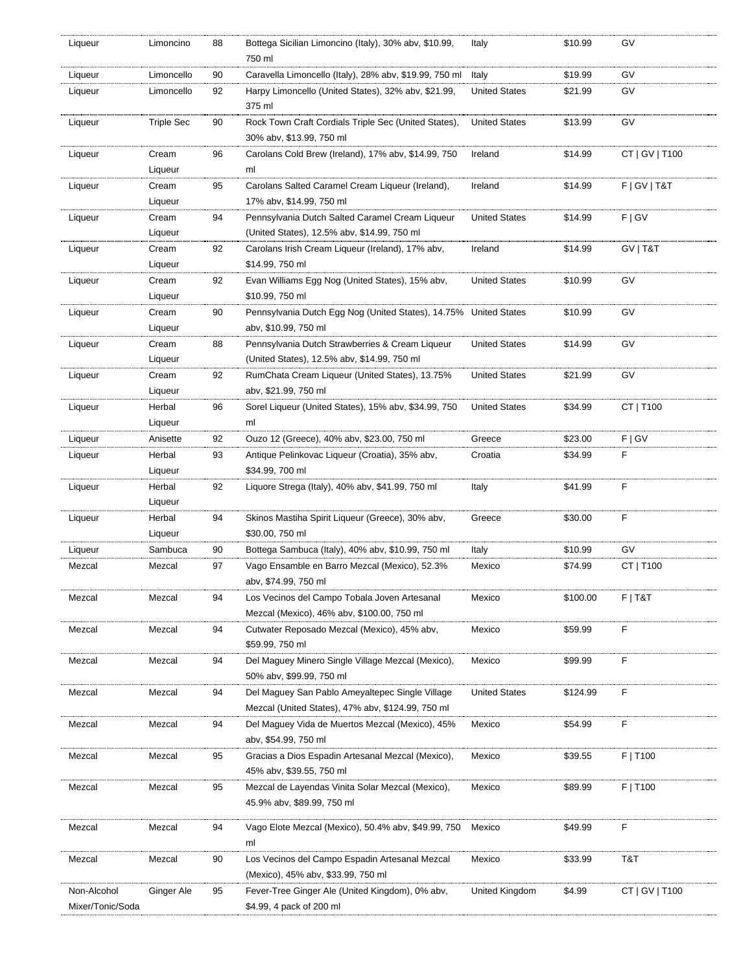| Liqueur                         | Limoncino         | 88 | Bottega Sicilian Limoncino (Italy), 30% abv, \$10.99,<br>750 ml             | Italy                | \$10.99  | GV              |
|---------------------------------|-------------------|----|-----------------------------------------------------------------------------|----------------------|----------|-----------------|
| Liqueur                         | Limoncello        | 90 | Caravella Limoncello (Italy), 28% abv, \$19.99, 750 ml                      | Italy                | \$19.99  | GV              |
| Liqueur                         | Limoncello        | 92 | Harpy Limoncello (United States), 32% aby, \$21.99,                         | <b>United States</b> | \$21.99  | GV              |
|                                 |                   |    | 375 ml                                                                      |                      |          |                 |
| Liqueur                         | <b>Triple Sec</b> | 90 | Rock Town Craft Cordials Triple Sec (United States),                        | <b>United States</b> | \$13.99  | GV              |
|                                 |                   |    | 30% abv, \$13.99, 750 ml                                                    |                      |          |                 |
| Liqueur                         | Cream             | 96 | Carolans Cold Brew (Ireland), 17% abv, \$14.99, 750                         | Ireland              | \$14.99  | CT   GV   T100  |
|                                 | Liqueur           |    | ml                                                                          |                      |          |                 |
| Liqueur                         | Cream             | 95 | Carolans Salted Caramel Cream Liqueur (Ireland),                            | Ireland              | \$14.99  | F   G V   T & T |
|                                 | Liqueur           |    | 17% abv, \$14.99, 750 ml                                                    |                      |          |                 |
| Liqueur                         | Cream             | 94 | Pennsylvania Dutch Salted Caramel Cream Liqueur                             | <b>United States</b> | \$14.99  | F   G V         |
|                                 | Liqueur           |    | (United States), 12.5% abv, \$14.99, 750 ml                                 |                      |          |                 |
| Liqueur                         | Cream             | 92 | Carolans Irish Cream Liqueur (Ireland), 17% abv,                            | Ireland              | \$14.99  | GV   T&T        |
|                                 | Liqueur           |    | \$14.99, 750 ml                                                             |                      |          |                 |
| Liqueur                         | Cream             | 92 | Evan Williams Egg Nog (United States), 15% abv,                             | <b>United States</b> | \$10.99  | GV              |
|                                 | Liqueur           |    | \$10.99, 750 ml                                                             |                      |          |                 |
| Liqueur                         | Cream             | 90 | Pennsylvania Dutch Egg Nog (United States), 14.75% United States            |                      | \$10.99  | GV              |
|                                 | Liqueur           |    | abv, \$10.99, 750 ml                                                        |                      |          |                 |
| Liqueur                         | Cream             | 88 | Pennsylvania Dutch Strawberries & Cream Liqueur                             | <b>United States</b> | \$14.99  | GV              |
|                                 | Liqueur           |    | (United States), 12.5% abv, \$14.99, 750 ml                                 |                      |          |                 |
| Liqueur                         | Cream             | 92 | RumChata Cream Liqueur (United States), 13.75%                              | <b>United States</b> | \$21.99  | GV              |
|                                 | Liqueur           |    | abv, \$21.99, 750 ml                                                        |                      |          |                 |
| Liqueur                         | Herbal            | 96 | Sorel Liqueur (United States), 15% abv, \$34.99, 750                        | <b>United States</b> | \$34.99  | CT   T100       |
|                                 | Liqueur           |    | ml                                                                          |                      |          |                 |
| Liqueur                         | Anisette          | 92 | Ouzo 12 (Greece), 40% abv, \$23.00, 750 ml                                  | Greece               | \$23.00  | F   G V         |
| Liqueur                         | Herbal            | 93 | Antique Pelinkovac Liqueur (Croatia), 35% abv,                              | Croatia              | \$34.99  | F               |
|                                 | Liqueur           |    | \$34.99, 700 ml                                                             |                      |          |                 |
|                                 |                   |    | Liquore Strega (Italy), 40% abv, \$41.99, 750 ml                            | Italy                | \$41.99  | F               |
| Liqueur                         | Herbal            | 92 |                                                                             |                      |          |                 |
|                                 | Liqueur           |    |                                                                             |                      |          |                 |
| Liqueur                         | Herbal            | 94 | Skinos Mastiha Spirit Liqueur (Greece), 30% abv,                            | Greece               | \$30.00  | F               |
|                                 | Liqueur           |    | \$30.00, 750 ml                                                             |                      |          |                 |
| Liqueur                         | Sambuca           | 90 | Bottega Sambuca (Italy), 40% abv, \$10.99, 750 ml                           | Italy                | \$10.99  | GV              |
| Mezcal                          | Mezcal            | 97 | Vago Ensamble en Barro Mezcal (Mexico), 52.3%                               | Mexico               | \$74.99  | CT   T100       |
|                                 |                   |    | abv, \$74.99, 750 ml                                                        |                      |          |                 |
| Mezcal                          | Mezcal            | 94 | Los Vecinos del Campo Tobala Joven Artesanal                                | Mexico               | \$100.00 | F T&T           |
|                                 |                   |    | Mezcal (Mexico), 46% abv, \$100.00, 750 ml                                  |                      |          |                 |
| Mezcal                          | Mezcal            | 94 | Cutwater Reposado Mezcal (Mexico), 45% abv,                                 | Mexico               | \$59.99  | F               |
|                                 |                   |    | \$59.99, 750 ml                                                             |                      |          |                 |
| Mezcal                          | Mezcal            | 94 | Del Maquey Minero Single Village Mezcal (Mexico),                           | Mexico               | \$99.99  | F               |
|                                 |                   |    | 50% abv, \$99.99, 750 ml                                                    |                      |          |                 |
| Mezcal                          | Mezcal            | 94 | Del Maguey San Pablo Ameyaltepec Single Village                             | <b>United States</b> | \$124.99 | F               |
|                                 |                   |    | Mezcal (United States), 47% abv, \$124.99, 750 ml                           |                      |          |                 |
| Mezcal                          | Mezcal            | 94 | Del Maguey Vida de Muertos Mezcal (Mexico), 45%                             | Mexico               | \$54.99  | F               |
|                                 |                   |    | abv, \$54.99, 750 ml                                                        |                      |          |                 |
| Mezcal                          | Mezcal            | 95 | Gracias a Dios Espadin Artesanal Mezcal (Mexico),                           | Mexico               | \$39.55  | F   T100        |
|                                 |                   |    | 45% abv, \$39.55, 750 ml                                                    |                      |          |                 |
| Mezcal                          | Mezcal            | 95 | Mezcal de Layendas Vinita Solar Mezcal (Mexico),                            | Mexico               | \$89.99  | F   T100        |
|                                 |                   |    | 45.9% abv, \$89.99, 750 ml                                                  |                      |          |                 |
|                                 |                   |    |                                                                             |                      |          |                 |
| Mezcal                          | Mezcal            | 94 | Vago Elote Mezcal (Mexico), 50.4% aby, \$49.99, 750                         | Mexico               | \$49.99  | F               |
|                                 |                   |    | ml                                                                          |                      |          |                 |
| Mezcal                          | Mezcal            | 90 | Los Vecinos del Campo Espadin Artesanal Mezcal                              | Mexico               | \$33.99  | T&T             |
|                                 |                   |    | (Mexico), 45% abv, \$33.99, 750 ml                                          |                      |          |                 |
| Non-Alcohol<br>Mixer/Tonic/Soda | Ginger Ale        | 95 | Fever-Tree Ginger Ale (United Kingdom), 0% abv,<br>\$4.99, 4 pack of 200 ml | United Kingdom       | \$4.99   | CT   GV   T100  |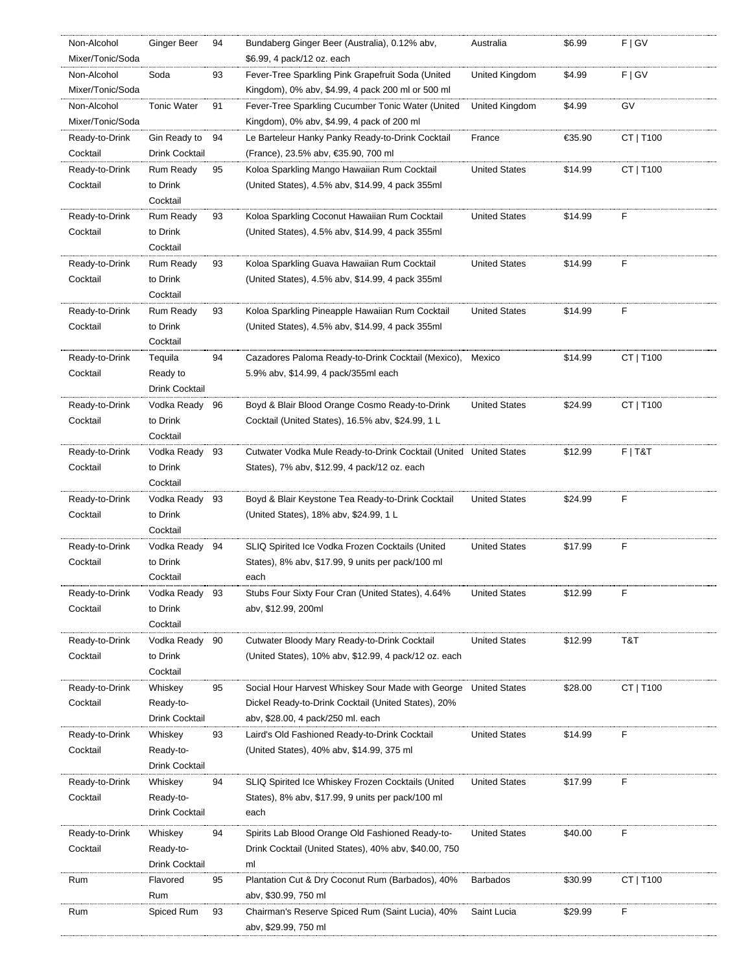| Non-Alcohol      | <b>Ginger Beer</b>         | 94 | Bundaberg Ginger Beer (Australia), 0.12% abv,                                                                     | Australia            | \$6.99  | F   G V   |
|------------------|----------------------------|----|-------------------------------------------------------------------------------------------------------------------|----------------------|---------|-----------|
| Mixer/Tonic/Soda |                            |    | \$6.99, 4 pack/12 oz. each                                                                                        |                      |         |           |
| Non-Alcohol      | Soda                       | 93 | Fever-Tree Sparkling Pink Grapefruit Soda (United                                                                 | United Kingdom       | \$4.99  | F   G V   |
| Mixer/Tonic/Soda |                            |    | Kingdom), 0% abv, \$4.99, 4 pack 200 ml or 500 ml                                                                 |                      |         |           |
| Non-Alcohol      | <b>Tonic Water</b>         | 91 | Fever-Tree Sparkling Cucumber Tonic Water (United                                                                 | United Kingdom       | \$4.99  | GV        |
| Mixer/Tonic/Soda |                            |    | Kingdom), 0% abv, \$4.99, 4 pack of 200 ml                                                                        |                      |         |           |
| Ready-to-Drink   | Gin Ready to               | 94 | Le Barteleur Hanky Panky Ready-to-Drink Cocktail                                                                  | France               | €35.90  | CT   T100 |
| Cocktail         | Drink Cocktail             |    | (France), 23.5% abv, €35.90, 700 ml                                                                               |                      |         |           |
| Ready-to-Drink   | Rum Ready                  | 95 | Koloa Sparkling Mango Hawaiian Rum Cocktail                                                                       | <b>United States</b> | \$14.99 | CT   T100 |
| Cocktail         | to Drink                   |    | (United States), 4.5% abv, \$14.99, 4 pack 355ml                                                                  |                      |         |           |
|                  | Cocktail                   |    |                                                                                                                   |                      |         |           |
| Ready-to-Drink   | <b>Rum Ready</b>           | 93 | Koloa Sparkling Coconut Hawaiian Rum Cocktail                                                                     | <b>United States</b> | \$14.99 | F         |
| Cocktail         | to Drink                   |    | (United States), 4.5% abv, \$14.99, 4 pack 355ml                                                                  |                      |         |           |
|                  | Cocktail                   |    |                                                                                                                   |                      |         |           |
| Ready-to-Drink   | <b>Rum Ready</b>           | 93 | Koloa Sparkling Guava Hawaiian Rum Cocktail                                                                       | <b>United States</b> | \$14.99 | F         |
| Cocktail         | to Drink                   |    | (United States), 4.5% abv, \$14.99, 4 pack 355ml                                                                  |                      |         |           |
|                  | Cocktail                   |    |                                                                                                                   |                      |         |           |
| Ready-to-Drink   | <b>Rum Ready</b>           | 93 | Koloa Sparkling Pineapple Hawaiian Rum Cocktail                                                                   | <b>United States</b> | \$14.99 | F         |
| Cocktail         | to Drink                   |    | (United States), 4.5% abv, \$14.99, 4 pack 355ml                                                                  |                      |         |           |
|                  | Cocktail                   |    |                                                                                                                   |                      |         |           |
| Ready-to-Drink   | Tequila                    | 94 | Cazadores Paloma Ready-to-Drink Cocktail (Mexico),                                                                | Mexico               | \$14.99 | CT   T100 |
| Cocktail         | Ready to                   |    | 5.9% abv, \$14.99, 4 pack/355ml each                                                                              |                      |         |           |
|                  | Drink Cocktail             |    |                                                                                                                   |                      |         |           |
| Ready-to-Drink   | Vodka Ready                | 96 | Boyd & Blair Blood Orange Cosmo Ready-to-Drink                                                                    | <b>United States</b> | \$24.99 | CT   T100 |
| Cocktail         | to Drink<br>Cocktail       |    | Cocktail (United States), 16.5% abv, \$24.99, 1 L                                                                 |                      |         |           |
|                  |                            |    |                                                                                                                   |                      |         |           |
| Ready-to-Drink   | Vodka Ready 93<br>to Drink |    | Cutwater Vodka Mule Ready-to-Drink Cocktail (United United States<br>States), 7% abv, \$12.99, 4 pack/12 oz. each |                      | \$12.99 | $F$   T&T |
| Cocktail         | Cocktail                   |    |                                                                                                                   |                      |         |           |
| Ready-to-Drink   | Vodka Ready                | 93 | Boyd & Blair Keystone Tea Ready-to-Drink Cocktail                                                                 | <b>United States</b> | \$24.99 | F         |
| Cocktail         | to Drink                   |    | (United States), 18% abv, \$24.99, 1 L                                                                            |                      |         |           |
|                  | Cocktail                   |    |                                                                                                                   |                      |         |           |
| Ready-to-Drink   | Vodka Ready 94             |    | SLIQ Spirited Ice Vodka Frozen Cocktails (United                                                                  | <b>United States</b> | \$17.99 | F         |
| Cocktail         | to Drink                   |    | States), 8% aby, \$17.99, 9 units per pack/100 ml                                                                 |                      |         |           |
|                  | Cocktail                   |    | each                                                                                                              |                      |         |           |
| Ready-to-Drink   | Vodka Ready 93             |    | Stubs Four Sixty Four Cran (United States), 4.64%                                                                 | <b>United States</b> | \$12.99 | F         |
| Cocktail         | to Drink                   |    | abv, \$12.99, 200ml                                                                                               |                      |         |           |
|                  | Cocktail                   |    |                                                                                                                   |                      |         |           |
| Ready-to-Drink   | Vodka Ready                | 90 | Cutwater Bloody Mary Ready-to-Drink Cocktail                                                                      | <b>United States</b> | \$12.99 | T&T       |
| Cocktail         | to Drink                   |    | (United States), 10% abv, \$12.99, 4 pack/12 oz. each                                                             |                      |         |           |
|                  | Cocktail                   |    |                                                                                                                   |                      |         |           |
| Ready-to-Drink   | Whiskey                    | 95 | Social Hour Harvest Whiskey Sour Made with George                                                                 | <b>United States</b> | \$28.00 | CT   T100 |
| Cocktail         | Ready-to-                  |    | Dickel Ready-to-Drink Cocktail (United States), 20%                                                               |                      |         |           |
|                  | Drink Cocktail             |    | aby, \$28.00, 4 pack/250 ml. each                                                                                 |                      |         |           |
| Ready-to-Drink   | Whiskey                    | 93 | Laird's Old Fashioned Ready-to-Drink Cocktail                                                                     | <b>United States</b> | \$14.99 | F         |
| Cocktail         | Ready-to-                  |    | (United States), 40% abv, \$14.99, 375 ml                                                                         |                      |         |           |
|                  | Drink Cocktail             |    |                                                                                                                   |                      |         |           |
| Ready-to-Drink   | Whiskey                    | 94 | SLIQ Spirited Ice Whiskey Frozen Cocktails (United                                                                | <b>United States</b> | \$17.99 | F         |
| Cocktail         | Ready-to-                  |    | States), 8% abv, \$17.99, 9 units per pack/100 ml                                                                 |                      |         |           |
|                  | Drink Cocktail             |    | each                                                                                                              |                      |         |           |
| Ready-to-Drink   | Whiskey                    | 94 | Spirits Lab Blood Orange Old Fashioned Ready-to-                                                                  | <b>United States</b> | \$40.00 | F         |
| Cocktail         | Ready-to-                  |    | Drink Cocktail (United States), 40% abv, \$40.00, 750                                                             |                      |         |           |
|                  | Drink Cocktail             |    | ml                                                                                                                |                      |         |           |
| Rum              | Flavored                   | 95 | Plantation Cut & Dry Coconut Rum (Barbados), 40%                                                                  | <b>Barbados</b>      | \$30.99 | CT   T100 |
|                  | Rum                        |    | abv, \$30.99, 750 ml                                                                                              |                      |         |           |
| Rum              | Spiced Rum                 | 93 | Chairman's Reserve Spiced Rum (Saint Lucia), 40%                                                                  | Saint Lucia          | \$29.99 | F         |
|                  |                            |    | abv, \$29.99, 750 ml                                                                                              |                      |         |           |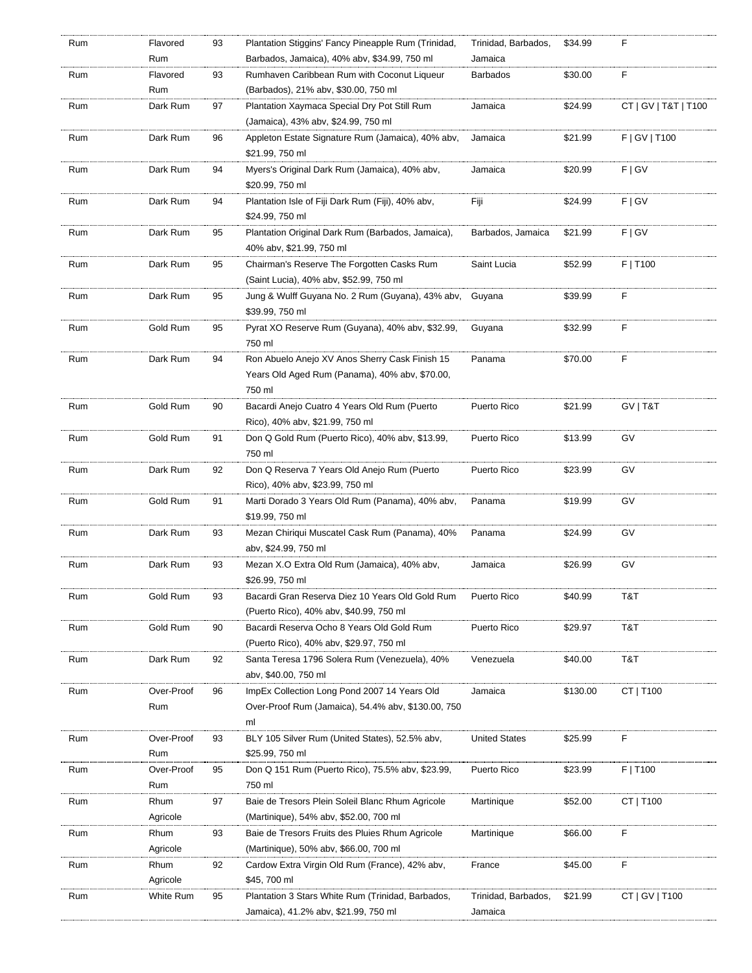| Rum | Flavored   | 93 | Plantation Stiggins' Fancy Pineapple Rum (Trinidad, | Trinidad, Barbados,  | \$34.99  | F                    |
|-----|------------|----|-----------------------------------------------------|----------------------|----------|----------------------|
|     | Rum        |    | Barbados, Jamaica), 40% abv, \$34.99, 750 ml        | Jamaica              |          |                      |
| Rum | Flavored   | 93 | Rumhaven Caribbean Rum with Coconut Liqueur         | <b>Barbados</b>      | \$30.00  | F                    |
|     | Rum        |    | (Barbados), 21% aby, \$30.00, 750 ml                |                      |          |                      |
| Rum | Dark Rum   | 97 | Plantation Xaymaca Special Dry Pot Still Rum        | Jamaica              | \$24.99  | CT   GV   T&T   T100 |
|     |            |    | (Jamaica), 43% abv, \$24.99, 750 ml                 |                      |          |                      |
| Rum | Dark Rum   | 96 | Appleton Estate Signature Rum (Jamaica), 40% abv,   | Jamaica              | \$21.99  | F   G V   T100       |
|     |            |    | \$21.99, 750 ml                                     |                      |          |                      |
| Rum | Dark Rum   | 94 | Myers's Original Dark Rum (Jamaica), 40% abv,       | Jamaica              | \$20.99  | F   G V              |
|     |            |    | \$20.99, 750 ml                                     |                      |          |                      |
| Rum | Dark Rum   | 94 | Plantation Isle of Fiji Dark Rum (Fiji), 40% abv,   | Fiji                 | \$24.99  | F   G V              |
|     |            |    | \$24.99, 750 ml                                     |                      |          |                      |
| Rum | Dark Rum   | 95 | Plantation Original Dark Rum (Barbados, Jamaica),   | Barbados, Jamaica    | \$21.99  | F   G V              |
|     |            |    | 40% abv, \$21.99, 750 ml                            |                      |          |                      |
| Rum | Dark Rum   | 95 | Chairman's Reserve The Forgotten Casks Rum          | Saint Lucia          | \$52.99  | F   T100             |
|     |            |    | (Saint Lucia), 40% abv, \$52.99, 750 ml             |                      |          |                      |
|     |            |    |                                                     |                      |          | F                    |
| Rum | Dark Rum   | 95 | Jung & Wulff Guyana No. 2 Rum (Guyana), 43% abv,    | Guyana               | \$39.99  |                      |
|     |            |    | \$39.99, 750 ml                                     |                      |          |                      |
| Rum | Gold Rum   | 95 | Pyrat XO Reserve Rum (Guyana), 40% aby, \$32.99,    | Guyana               | \$32.99  | F                    |
|     |            |    | 750 ml                                              |                      |          |                      |
| Rum | Dark Rum   | 94 | Ron Abuelo Anejo XV Anos Sherry Cask Finish 15      | Panama               | \$70.00  | F                    |
|     |            |    | Years Old Aged Rum (Panama), 40% abv, \$70.00,      |                      |          |                      |
|     |            |    | 750 ml                                              |                      |          |                      |
| Rum | Gold Rum   | 90 | Bacardi Anejo Cuatro 4 Years Old Rum (Puerto        | Puerto Rico          | \$21.99  | GV   T&T             |
|     |            |    | Rico), 40% abv, \$21.99, 750 ml                     |                      |          |                      |
| Rum | Gold Rum   | 91 | Don Q Gold Rum (Puerto Rico), 40% abv, \$13.99,     | Puerto Rico          | \$13.99  | GV                   |
|     |            |    | 750 ml                                              |                      |          |                      |
| Rum | Dark Rum   | 92 | Don Q Reserva 7 Years Old Anejo Rum (Puerto         | Puerto Rico          | \$23.99  | GV                   |
|     |            |    | Rico), 40% abv, \$23.99, 750 ml                     |                      |          |                      |
| Rum | Gold Rum   | 91 | Marti Dorado 3 Years Old Rum (Panama), 40% abv,     | Panama               | \$19.99  | GV                   |
|     |            |    | \$19.99, 750 ml                                     |                      |          |                      |
| Rum | Dark Rum   | 93 | Mezan Chiriqui Muscatel Cask Rum (Panama), 40%      | Panama               | \$24.99  | GV                   |
|     |            |    | aby, \$24.99, 750 ml                                |                      |          |                      |
| Rum | Dark Rum   | 93 | Mezan X.O Extra Old Rum (Jamaica), 40% abv,         | Jamaica              | \$26.99  | GV                   |
|     |            |    | \$26.99, 750 ml                                     |                      |          |                      |
| Rum | Gold Rum   | 93 | Bacardi Gran Reserva Diez 10 Years Old Gold Rum     | Puerto Rico          | \$40.99  | T&T                  |
|     |            |    | (Puerto Rico), 40% abv, \$40.99, 750 ml             |                      |          |                      |
| Rum | Gold Rum   | 90 | Bacardi Reserva Ocho 8 Years Old Gold Rum           | Puerto Rico          | \$29.97  | T&T                  |
|     |            |    | (Puerto Rico), 40% abv, \$29.97, 750 ml             |                      |          |                      |
| Rum | Dark Rum   | 92 | Santa Teresa 1796 Solera Rum (Venezuela), 40%       | Venezuela            | \$40.00  | T&T                  |
|     |            |    | aby, \$40.00, 750 ml                                |                      |          |                      |
| Rum | Over-Proof | 96 | ImpEx Collection Long Pond 2007 14 Years Old        | Jamaica              | \$130.00 | CT   T100            |
|     | Rum        |    | Over-Proof Rum (Jamaica), 54.4% aby, \$130.00, 750  |                      |          |                      |
|     |            |    | ml                                                  |                      |          |                      |
| Rum | Over-Proof | 93 | BLY 105 Silver Rum (United States), 52.5% abv,      | <b>United States</b> | \$25.99  | F                    |
|     | Rum        |    | \$25.99, 750 ml                                     |                      |          |                      |
| Rum | Over-Proof | 95 | Don Q 151 Rum (Puerto Rico), 75.5% abv, \$23.99,    | Puerto Rico          | \$23.99  | F   T100             |
|     | Rum        |    | 750 ml                                              |                      |          |                      |
| Rum | Rhum       | 97 | Baie de Tresors Plein Soleil Blanc Rhum Agricole    | Martinique           | \$52.00  | CT   T100            |
|     | Agricole   |    | (Martinique), 54% abv, \$52.00, 700 ml              |                      |          |                      |
| Rum | Rhum       | 93 | Baie de Tresors Fruits des Pluies Rhum Agricole     | Martinique           | \$66.00  | F                    |
|     | Agricole   |    | (Martinique), 50% abv, \$66.00, 700 ml              |                      |          |                      |
| Rum | Rhum       | 92 | Cardow Extra Virgin Old Rum (France), 42% abv,      | France               | \$45.00  | F                    |
|     | Agricole   |    | \$45, 700 ml                                        |                      |          |                      |
| Rum | White Rum  | 95 | Plantation 3 Stars White Rum (Trinidad, Barbados,   | Trinidad, Barbados,  | \$21.99  | CT   GV   T100       |
|     |            |    | Jamaica), 41.2% abv, \$21.99, 750 ml                | Jamaica              |          |                      |
|     |            |    |                                                     |                      |          |                      |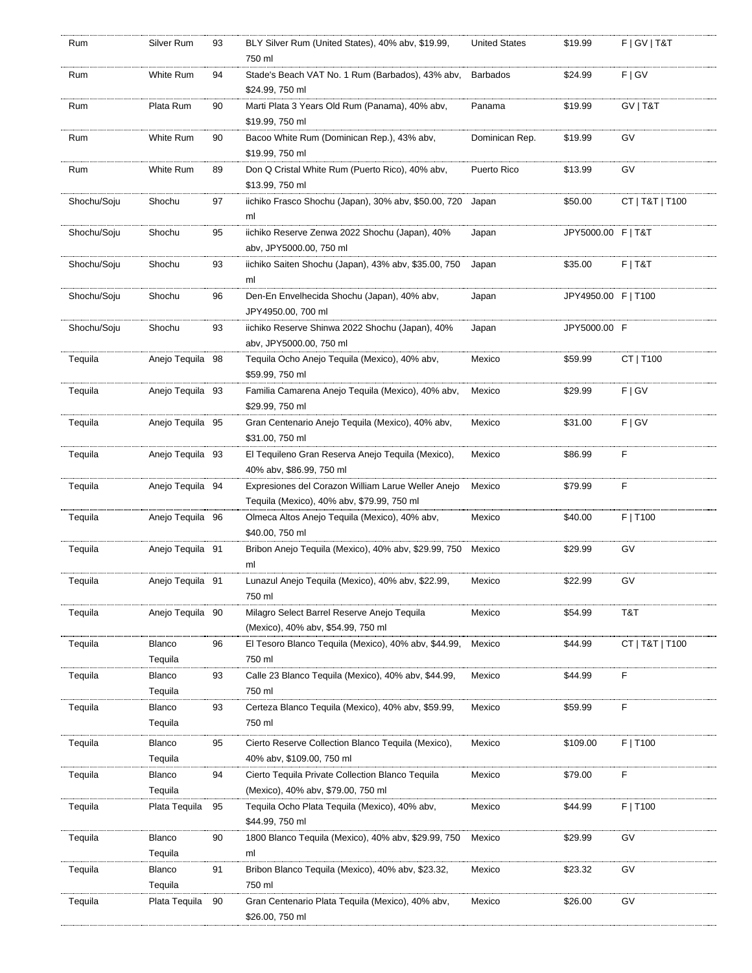| Rum         | Silver Rum        | 93 | BLY Silver Rum (United States), 40% aby, \$19.99,<br>750 ml                                 | <b>United States</b> | \$19.99             | F   G V   T & T |
|-------------|-------------------|----|---------------------------------------------------------------------------------------------|----------------------|---------------------|-----------------|
| Rum         | White Rum         | 94 | Stade's Beach VAT No. 1 Rum (Barbados), 43% abv,                                            | <b>Barbados</b>      | \$24.99             | F   G V         |
|             |                   |    | \$24.99, 750 ml                                                                             |                      |                     |                 |
| Rum         | Plata Rum         | 90 | Marti Plata 3 Years Old Rum (Panama), 40% abv,<br>\$19.99, 750 ml                           | Panama               | \$19.99             | GV   T&T        |
| Rum         | White Rum         | 90 | Bacoo White Rum (Dominican Rep.), 43% abv,                                                  | Dominican Rep.       | \$19.99             | GV              |
|             |                   |    | \$19.99, 750 ml                                                                             |                      |                     |                 |
| Rum         | White Rum         | 89 | Don Q Cristal White Rum (Puerto Rico), 40% abv,                                             | Puerto Rico          | \$13.99             | GV              |
|             |                   |    | \$13.99, 750 ml                                                                             |                      |                     |                 |
| Shochu/Soju | Shochu            | 97 | iichiko Frasco Shochu (Japan), 30% abv, \$50.00, 720                                        | Japan                | \$50.00             | CT   T&T   T100 |
|             |                   |    | ml                                                                                          |                      |                     |                 |
| Shochu/Soju | Shochu            | 95 | iichiko Reserve Zenwa 2022 Shochu (Japan), 40%                                              | Japan                | JPY5000.00 F   T&T  |                 |
|             |                   |    | abv, JPY5000.00, 750 ml                                                                     |                      |                     |                 |
| Shochu/Soju | Shochu            | 93 | iichiko Saiten Shochu (Japan), 43% abv, \$35.00, 750                                        | Japan                | \$35.00             | $F$   T&T       |
|             |                   |    | ml                                                                                          |                      | JPY4950.00 F   T100 |                 |
| Shochu/Soju | Shochu            | 96 | Den-En Envelhecida Shochu (Japan), 40% abv,<br>JPY4950.00, 700 ml                           | Japan                |                     |                 |
| Shochu/Soju | Shochu            | 93 | iichiko Reserve Shinwa 2022 Shochu (Japan), 40%                                             | Japan                | JPY5000.00 F        |                 |
|             |                   |    | abv, JPY5000.00, 750 ml                                                                     |                      |                     |                 |
| Tequila     | Anejo Tequila 98  |    | Tequila Ocho Anejo Tequila (Mexico), 40% abv,                                               | Mexico               | \$59.99             | CT   T100       |
|             |                   |    | \$59.99, 750 ml                                                                             |                      |                     |                 |
| Tequila     | Anejo Tequila 93  |    | Familia Camarena Anejo Tequila (Mexico), 40% abv,                                           | Mexico               | \$29.99             | F   G V         |
|             |                   |    | \$29.99, 750 ml                                                                             |                      |                     |                 |
| Tequila     | Anejo Tequila 95  |    | Gran Centenario Anejo Tequila (Mexico), 40% abv,                                            | Mexico               | \$31.00             | F   G V         |
|             |                   |    | \$31.00, 750 ml                                                                             |                      |                     |                 |
| Tequila     | Anejo Tequila 93  |    | El Tequileno Gran Reserva Anejo Tequila (Mexico),                                           | Mexico               | \$86.99             | F               |
|             |                   |    | 40% abv, \$86.99, 750 ml                                                                    |                      |                     |                 |
| Tequila     | Anejo Tequila 94  |    | Expresiones del Corazon William Larue Weller Anejo                                          | Mexico               | \$79.99             | F               |
| Tequila     | Anejo Tequila 96  |    | Tequila (Mexico), 40% abv, \$79.99, 750 ml<br>Olmeca Altos Anejo Tequila (Mexico), 40% abv, | Mexico               | \$40.00             | F   T100        |
|             |                   |    | \$40.00, 750 ml                                                                             |                      |                     |                 |
| Tequila     | Anejo Tequila 91  |    | Bribon Anejo Tequila (Mexico), 40% abv, \$29.99, 750                                        | Mexico               | \$29.99             | GV              |
|             |                   |    | ml                                                                                          |                      |                     |                 |
| Tequila     | Anejo Teguila 91  |    | Lunazul Anejo Tequila (Mexico), 40% abv, \$22.99,                                           | Mexico               | \$22.99             | GV              |
|             |                   |    | 750 ml                                                                                      |                      |                     |                 |
| Tequila     | Anejo Tequila 90  |    | Milagro Select Barrel Reserve Anejo Teguila                                                 | Mexico               | \$54.99             | T&T             |
|             |                   |    | (Mexico), 40% abv, \$54.99, 750 ml                                                          |                      |                     |                 |
| Tequila     | <b>Blanco</b>     | 96 | El Tesoro Blanco Tequila (Mexico), 40% abv, \$44.99,                                        | Mexico               | \$44.99             | CT   T&T   T100 |
|             | Tequila           |    | 750 ml                                                                                      |                      |                     |                 |
| Tequila     | <b>Blanco</b>     | 93 | Calle 23 Blanco Tequila (Mexico), 40% abv, \$44.99.                                         | Mexico               | \$44.99             | F               |
| Tequila     | Tequila<br>Blanco | 93 | 750 ml<br>Certeza Blanco Tequila (Mexico), 40% aby, \$59.99,                                | Mexico               | \$59.99             | F               |
|             | Tequila           |    | 750 ml                                                                                      |                      |                     |                 |
| Tequila     | <b>Blanco</b>     | 95 | Cierto Reserve Collection Blanco Tequila (Mexico),                                          | Mexico               | \$109.00            | F   T100        |
|             | Tequila           |    | 40% abv, \$109.00, 750 ml                                                                   |                      |                     |                 |
| Tequila     | <b>Blanco</b>     | 94 | Cierto Tequila Private Collection Blanco Tequila                                            | Mexico               | \$79.00             | F               |
|             | Tequila           |    | (Mexico), 40% abv, \$79.00, 750 ml                                                          |                      |                     |                 |
| Tequila     | Plata Tequila     | 95 | Tequila Ocho Plata Tequila (Mexico), 40% abv,                                               | Mexico               | \$44.99             | F   T100        |
|             |                   |    | \$44.99, 750 ml                                                                             |                      |                     |                 |
| Tequila     | <b>Blanco</b>     | 90 | 1800 Blanco Tequila (Mexico), 40% abv, \$29.99, 750                                         | Mexico               | \$29.99             | GV              |
|             | Tequila           |    | ml                                                                                          |                      |                     |                 |
| Tequila     | <b>Blanco</b>     | 91 | Bribon Blanco Tequila (Mexico), 40% abv, \$23.32,                                           | Mexico               | \$23.32             | GV              |
|             | Tequila           |    | 750 ml                                                                                      |                      |                     |                 |
| Tequila     | Plata Tequila     | 90 | Gran Centenario Plata Tequila (Mexico), 40% abv,                                            | Mexico               | \$26.00             | GV              |
|             |                   |    | \$26.00, 750 ml                                                                             |                      |                     |                 |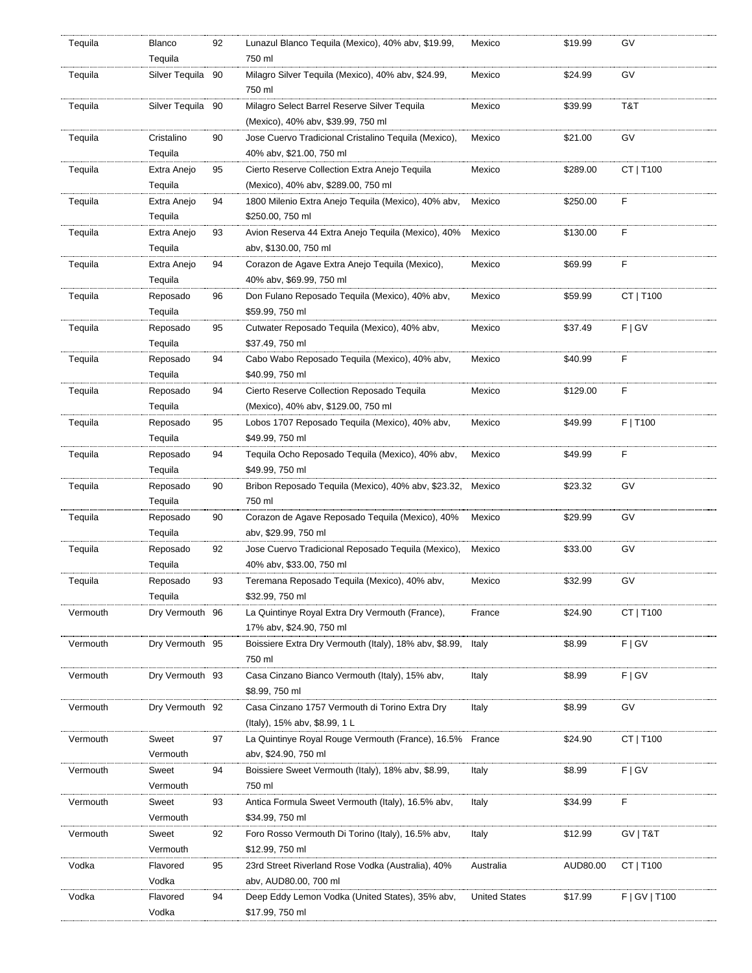| Tequila  | Blanco<br>Tequila      | 92 | Lunazul Blanco Tequila (Mexico), 40% abv, \$19.99,<br>750 ml                         | Mexico               | \$19.99  | G٧            |
|----------|------------------------|----|--------------------------------------------------------------------------------------|----------------------|----------|---------------|
| Tequila  | Silver Tequila 90      |    | Milagro Silver Tequila (Mexico), 40% abv, \$24.99,<br>750 ml                         | Mexico               | \$24.99  | GV            |
| Tequila  | Silver Tequila 90      |    | Milagro Select Barrel Reserve Silver Tequila<br>(Mexico), 40% abv, \$39.99, 750 ml   | Mexico               | \$39.99  | T&T           |
| Tequila  | Cristalino<br>Tequila  | 90 | Jose Cuervo Tradicional Cristalino Tequila (Mexico),<br>40% abv, \$21.00, 750 ml     | Mexico               | \$21.00  | GV            |
|          |                        |    |                                                                                      |                      |          |               |
| Tequila  | Extra Anejo<br>Tequila | 95 | Cierto Reserve Collection Extra Anejo Tequila<br>(Mexico), 40% abv, \$289.00, 750 ml | Mexico               | \$289.00 | CT   T100     |
| Tequila  | Extra Anejo<br>Tequila | 94 | 1800 Milenio Extra Anejo Teguila (Mexico), 40% abv,<br>\$250.00, 750 ml              | Mexico               | \$250.00 | F             |
|          |                        |    |                                                                                      |                      |          |               |
| Tequila  | Extra Anejo<br>Tequila | 93 | Avion Reserva 44 Extra Anejo Tequila (Mexico), 40%<br>abv, \$130.00, 750 ml          | Mexico               | \$130.00 | F             |
| Tequila  | Extra Anejo            | 94 | Corazon de Agave Extra Anejo Tequila (Mexico),                                       | Mexico               | \$69.99  | F             |
|          | Tequila                |    | 40% abv, \$69.99, 750 ml                                                             |                      |          |               |
| Tequila  | Reposado<br>Tequila    | 96 | Don Fulano Reposado Tequila (Mexico), 40% abv,<br>\$59.99, 750 ml                    | Mexico               | \$59.99  | CT   T100     |
| Tequila  | Reposado               | 95 | Cutwater Reposado Tequila (Mexico), 40% abv,                                         | Mexico               | \$37.49  | F   G V       |
|          | Tequila                |    | \$37.49, 750 ml                                                                      |                      |          |               |
| Tequila  | Reposado<br>Tequila    | 94 | Cabo Wabo Reposado Tequila (Mexico), 40% abv,<br>\$40.99, 750 ml                     | Mexico               | \$40.99  | F             |
|          |                        |    |                                                                                      |                      |          |               |
| Tequila  | Reposado<br>Tequila    | 94 | Cierto Reserve Collection Reposado Tequila<br>(Mexico), 40% abv, \$129.00, 750 ml    | Mexico               | \$129.00 | F             |
| Tequila  | Reposado               | 95 | Lobos 1707 Reposado Tequila (Mexico), 40% abv,                                       | Mexico               | \$49.99  | F   T100      |
|          | Tequila                |    | \$49.99, 750 ml                                                                      |                      |          |               |
| Tequila  | Reposado               | 94 | Tequila Ocho Reposado Tequila (Mexico), 40% abv,                                     | Mexico               | \$49.99  | F             |
|          | Tequila                |    | \$49.99, 750 ml                                                                      |                      |          |               |
| Tequila  | Reposado<br>Tequila    | 90 | Bribon Reposado Tequila (Mexico), 40% abv, \$23.32,<br>750 ml                        | Mexico               | \$23.32  | GV            |
| Tequila  | Reposado               | 90 | Corazon de Agave Reposado Tequila (Mexico), 40%                                      | Mexico               | \$29.99  | GV            |
|          | Tequila                |    | abv, \$29.99, 750 ml                                                                 |                      |          |               |
|          |                        |    | Jose Cuervo Tradicional Reposado Tequila (Mexico),                                   | Mexico               | \$33.00  | GV            |
| Tequila  | Reposado<br>Tequila    | 92 | 40% abv, \$33.00, 750 ml                                                             |                      |          |               |
| Tequila  | Reposado               | 93 | Teremana Reposado Tequila (Mexico), 40% abv,                                         | Mexico               | \$32.99  | G٧            |
|          | Tequila                |    | \$32.99, 750 ml                                                                      |                      |          |               |
| Vermouth | Dry Vermouth 96        |    | La Quintinye Royal Extra Dry Vermouth (France),                                      | France               | \$24.90  | CT   T100     |
|          |                        |    | 17% abv, \$24.90, 750 ml                                                             |                      |          |               |
| Vermouth | Dry Vermouth 95        |    | Boissiere Extra Dry Vermouth (Italy), 18% abv, \$8.99,<br>750 ml                     | Italy                | \$8.99   | F   G V       |
| Vermouth | Dry Vermouth 93        |    | Casa Cinzano Bianco Vermouth (Italy), 15% abv,<br>\$8.99, 750 ml                     | Italy                | \$8.99   | F   G V       |
|          |                        |    |                                                                                      |                      |          |               |
| Vermouth | Dry Vermouth 92        |    | Casa Cinzano 1757 Vermouth di Torino Extra Dry<br>(Italy), 15% abv, \$8.99, 1 L      | Italy                | \$8.99   | GV            |
| Vermouth | Sweet                  | 97 | La Quintinye Royal Rouge Vermouth (France), 16.5%                                    | France               | \$24.90  | CT   T100     |
|          | Vermouth               |    | abv, \$24.90, 750 ml                                                                 |                      |          |               |
| Vermouth | Sweet                  | 94 | Boissiere Sweet Vermouth (Italy), 18% abv, \$8.99,                                   | Italy                | \$8.99   | F   G V       |
|          | Vermouth               |    | 750 ml                                                                               |                      |          |               |
| Vermouth | Sweet<br>Vermouth      | 93 | Antica Formula Sweet Vermouth (Italy), 16.5% abv,<br>\$34.99, 750 ml                 | Italy                | \$34.99  | F             |
|          |                        |    |                                                                                      |                      |          |               |
| Vermouth | Sweet<br>Vermouth      | 92 | Foro Rosso Vermouth Di Torino (Italy), 16.5% abv,<br>\$12.99, 750 ml                 | Italy                | \$12.99  | GV   T&T      |
| Vodka    | Flavored               | 95 | 23rd Street Riverland Rose Vodka (Australia), 40%                                    | Australia            | AUD80.00 | CT   T100     |
|          | Vodka                  |    | abv, AUD80.00, 700 ml                                                                |                      |          |               |
| Vodka    | Flavored               | 94 | Deep Eddy Lemon Vodka (United States), 35% abv,                                      | <b>United States</b> | \$17.99  | F   GV   T100 |
|          | Vodka                  |    | \$17.99, 750 ml                                                                      |                      |          |               |
|          |                        |    |                                                                                      |                      |          |               |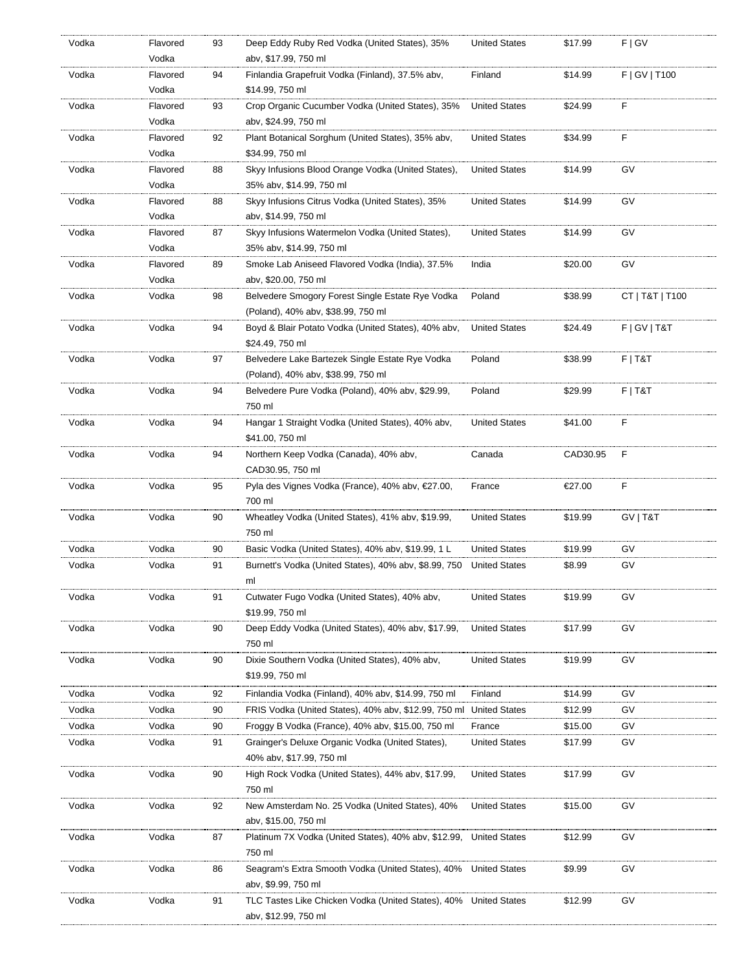| Vodka | Flavored | 93 | Deep Eddy Ruby Red Vodka (United States), 35%                    | <b>United States</b> | \$17.99  | F   G V         |
|-------|----------|----|------------------------------------------------------------------|----------------------|----------|-----------------|
|       | Vodka    |    | abv, \$17.99, 750 ml                                             |                      |          |                 |
| Vodka | Flavored | 94 | Finlandia Grapefruit Vodka (Finland), 37.5% abv,                 | Finland              | \$14.99  | F   GV   T100   |
|       | Vodka    |    | \$14.99, 750 ml                                                  |                      |          |                 |
| Vodka | Flavored | 93 | Crop Organic Cucumber Vodka (United States), 35%                 | <b>United States</b> | \$24.99  | F               |
|       | Vodka    |    | abv, \$24.99, 750 ml                                             |                      |          |                 |
| Vodka | Flavored | 92 | Plant Botanical Sorghum (United States), 35% abv,                | <b>United States</b> | \$34.99  | F               |
|       | Vodka    |    | \$34.99, 750 ml                                                  |                      |          |                 |
| Vodka | Flavored | 88 | Skyy Infusions Blood Orange Vodka (United States),               | <b>United States</b> | \$14.99  | GV              |
|       | Vodka    |    | 35% abv, \$14.99, 750 ml                                         |                      |          |                 |
| Vodka | Flavored | 88 | Skyy Infusions Citrus Vodka (United States), 35%                 | <b>United States</b> | \$14.99  | GV              |
|       | Vodka    |    | abv, \$14.99, 750 ml                                             |                      |          |                 |
| Vodka | Flavored | 87 | Skyy Infusions Watermelon Vodka (United States),                 | <b>United States</b> | \$14.99  | GV              |
|       | Vodka    |    | 35% abv, \$14.99, 750 ml                                         |                      |          |                 |
|       |          |    |                                                                  |                      |          |                 |
| Vodka | Flavored | 89 | Smoke Lab Aniseed Flavored Vodka (India), 37.5%                  | India                | \$20.00  | GV              |
|       | Vodka    |    | abv, \$20.00, 750 ml                                             |                      |          |                 |
| Vodka | Vodka    | 98 | Belvedere Smogory Forest Single Estate Rye Vodka                 | Poland               | \$38.99  | CT   T&T   T100 |
|       |          |    | (Poland), 40% abv, \$38.99, 750 ml                               |                      |          |                 |
| Vodka | Vodka    | 94 | Boyd & Blair Potato Vodka (United States), 40% abv,              | <b>United States</b> | \$24.49  | F   G V   T & T |
|       |          |    | \$24.49, 750 ml                                                  |                      |          |                 |
| Vodka | Vodka    | 97 | Belvedere Lake Bartezek Single Estate Rye Vodka                  | Poland               | \$38.99  | $F$   T&T       |
|       |          |    | (Poland), 40% abv, \$38.99, 750 ml                               |                      |          |                 |
| Vodka | Vodka    | 94 | Belvedere Pure Vodka (Poland), 40% abv, \$29.99,                 | Poland               | \$29.99  | $F$   T&T       |
|       |          |    | 750 ml                                                           |                      |          |                 |
| Vodka | Vodka    | 94 | Hangar 1 Straight Vodka (United States), 40% abv,                | <b>United States</b> | \$41.00  | F               |
|       |          |    | \$41.00, 750 ml                                                  |                      |          |                 |
| Vodka | Vodka    | 94 | Northern Keep Vodka (Canada), 40% abv,                           | Canada               | CAD30.95 | F               |
|       |          |    | CAD30.95, 750 ml                                                 |                      |          |                 |
| Vodka | Vodka    | 95 | Pyla des Vignes Vodka (France), 40% abv, €27.00,                 | France               | €27.00   | F               |
|       |          |    | 700 ml                                                           |                      |          |                 |
| Vodka | Vodka    | 90 | Wheatley Vodka (United States), 41% abv, \$19.99,                | <b>United States</b> | \$19.99  | GV   T&T        |
|       |          |    | 750 ml                                                           |                      |          |                 |
|       |          |    | Basic Vodka (United States), 40% abv, \$19.99, 1 L               |                      |          |                 |
| Vodka | Vodka    | 90 |                                                                  | <b>United States</b> | \$19.99  | GV              |
| Vodka | Vodka    | 91 | Burnett's Vodka (United States), 40% abv, \$8.99, 750            | <b>United States</b> | \$8.99   | GV              |
|       |          |    | ml                                                               |                      |          |                 |
| Vodka | Vodka    | 91 | Cutwater Fugo Vodka (United States), 40% abv,                    | <b>United States</b> | \$19.99  | GV              |
|       |          |    | \$19.99, 750 ml                                                  |                      |          |                 |
| Vodka | Vodka    | 90 | Deep Eddy Vodka (United States), 40% abv, \$17.99,               | <b>United States</b> | \$17.99  | GV              |
|       |          |    | 750 ml                                                           |                      |          |                 |
| Vodka | Vodka    | 90 | Dixie Southern Vodka (United States), 40% abv,                   | <b>United States</b> | \$19.99  | GV              |
|       |          |    | \$19.99, 750 ml                                                  |                      |          |                 |
| Vodka | Vodka    | 92 | Finlandia Vodka (Finland), 40% abv, \$14.99, 750 ml              | Finland              | \$14.99  | GV              |
| Vodka | Vodka    | 90 | FRIS Vodka (United States), 40% abv, \$12.99, 750 ml             | <b>United States</b> | \$12.99  | GV              |
| Vodka | Vodka    | 90 | Froggy B Vodka (France), 40% abv, \$15.00, 750 ml                | France               | \$15.00  | GV              |
| Vodka | Vodka    | 91 | Grainger's Deluxe Organic Vodka (United States),                 | <b>United States</b> | \$17.99  | GV              |
|       |          |    |                                                                  |                      |          |                 |
|       |          |    |                                                                  |                      |          |                 |
| Vodka |          |    | 40% abv, \$17.99, 750 ml                                         |                      |          |                 |
|       | Vodka    | 90 | High Rock Vodka (United States), 44% abv, \$17.99,               | <b>United States</b> | \$17.99  | GV              |
|       |          |    | 750 ml                                                           |                      |          |                 |
| Vodka | Vodka    | 92 | New Amsterdam No. 25 Vodka (United States), 40%                  | <b>United States</b> | \$15.00  | GV              |
|       |          |    | abv, \$15.00, 750 ml                                             |                      |          |                 |
| Vodka | Vodka    | 87 | Platinum 7X Vodka (United States), 40% abv, \$12.99,             | <b>United States</b> | \$12.99  | GV              |
|       |          |    | 750 ml                                                           |                      |          |                 |
| Vodka | Vodka    | 86 | Seagram's Extra Smooth Vodka (United States), 40%                | <b>United States</b> | \$9.99   | GV              |
|       |          |    | abv, \$9.99, 750 ml                                              |                      |          |                 |
| Vodka | Vodka    | 91 | TLC Tastes Like Chicken Vodka (United States), 40% United States |                      | \$12.99  | GV              |
|       |          |    | abv, \$12.99, 750 ml                                             |                      |          |                 |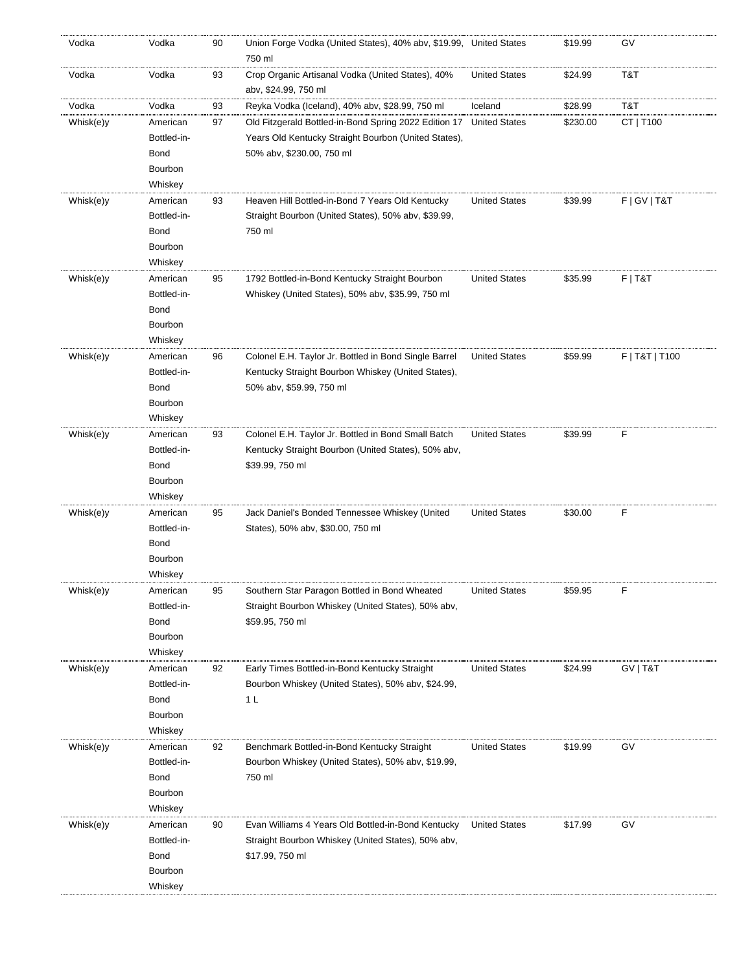| Vodka     | Vodka       | 90 | Union Forge Vodka (United States), 40% abv, \$19.99, United States<br>750 ml |                      | \$19.99  | GV              |
|-----------|-------------|----|------------------------------------------------------------------------------|----------------------|----------|-----------------|
| Vodka     | Vodka       | 93 | Crop Organic Artisanal Vodka (United States), 40%<br>aby, \$24.99, 750 ml    | <b>United States</b> | \$24.99  | T&T             |
| Vodka     | Vodka       | 93 | Reyka Vodka (Iceland), 40% abv, \$28.99, 750 ml                              | Iceland              | \$28.99  | T&T             |
| Whisk(e)y | American    | 97 | Old Fitzgerald Bottled-in-Bond Spring 2022 Edition 17                        | <b>United States</b> | \$230.00 | CT   T100       |
|           | Bottled-in- |    | Years Old Kentucky Straight Bourbon (United States),                         |                      |          |                 |
|           | <b>Bond</b> |    | 50% abv, \$230.00, 750 ml                                                    |                      |          |                 |
|           | Bourbon     |    |                                                                              |                      |          |                 |
|           | Whiskey     |    |                                                                              |                      |          |                 |
| Whisk(e)y | American    | 93 | Heaven Hill Bottled-in-Bond 7 Years Old Kentucky                             | <b>United States</b> | \$39.99  | F   G V   T & T |
|           | Bottled-in- |    | Straight Bourbon (United States), 50% abv, \$39.99,                          |                      |          |                 |
|           | <b>Bond</b> |    | 750 ml                                                                       |                      |          |                 |
|           | Bourbon     |    |                                                                              |                      |          |                 |
|           | Whiskey     |    |                                                                              |                      |          |                 |
| Whisk(e)y | American    | 95 | 1792 Bottled-in-Bond Kentucky Straight Bourbon                               | <b>United States</b> | \$35.99  | $F$   T&T       |
|           | Bottled-in- |    | Whiskey (United States), 50% abv, \$35.99, 750 ml                            |                      |          |                 |
|           | <b>Bond</b> |    |                                                                              |                      |          |                 |
|           | Bourbon     |    |                                                                              |                      |          |                 |
|           | Whiskey     |    |                                                                              |                      |          |                 |
| Whisk(e)y | American    | 96 | Colonel E.H. Taylor Jr. Bottled in Bond Single Barrel                        | <b>United States</b> | \$59.99  | F   T&T   T100  |
|           | Bottled-in- |    | Kentucky Straight Bourbon Whiskey (United States),                           |                      |          |                 |
|           | <b>Bond</b> |    | 50% abv, \$59.99, 750 ml                                                     |                      |          |                 |
|           |             |    |                                                                              |                      |          |                 |
|           | Bourbon     |    |                                                                              |                      |          |                 |
|           | Whiskey     |    |                                                                              |                      |          |                 |
| Whisk(e)y | American    | 93 | Colonel E.H. Taylor Jr. Bottled in Bond Small Batch                          | <b>United States</b> | \$39.99  | F               |
|           | Bottled-in- |    | Kentucky Straight Bourbon (United States), 50% abv,                          |                      |          |                 |
|           | <b>Bond</b> |    | \$39.99, 750 ml                                                              |                      |          |                 |
|           | Bourbon     |    |                                                                              |                      |          |                 |
|           | Whiskey     |    |                                                                              |                      |          |                 |
| Whisk(e)y | American    | 95 | Jack Daniel's Bonded Tennessee Whiskey (United                               | <b>United States</b> | \$30.00  | F               |
|           | Bottled-in- |    | States), 50% abv, \$30.00, 750 ml                                            |                      |          |                 |
|           | <b>Bond</b> |    |                                                                              |                      |          |                 |
|           | Bourbon     |    |                                                                              |                      |          |                 |
|           | Whiskey     |    |                                                                              |                      |          |                 |
| Whisk(e)y | American    | 95 | Southern Star Paragon Bottled in Bond Wheated                                | <b>United States</b> | \$59.95  | F               |
|           | Bottled-in- |    | Straight Bourbon Whiskey (United States), 50% abv,                           |                      |          |                 |
|           | <b>Bond</b> |    | \$59.95, 750 ml                                                              |                      |          |                 |
|           | Bourbon     |    |                                                                              |                      |          |                 |
|           | Whiskey     |    |                                                                              |                      |          |                 |
| Whisk(e)y | American    | 92 | Early Times Bottled-in-Bond Kentucky Straight                                | <b>United States</b> | \$24.99  | GV   T&T        |
|           | Bottled-in- |    | Bourbon Whiskey (United States), 50% abv, \$24.99,                           |                      |          |                 |
|           | <b>Bond</b> |    | 1 <sub>L</sub>                                                               |                      |          |                 |
|           | Bourbon     |    |                                                                              |                      |          |                 |
|           | Whiskey     |    |                                                                              |                      |          |                 |
| Whisk(e)y | American    | 92 | Benchmark Bottled-in-Bond Kentucky Straight                                  | <b>United States</b> | \$19.99  | GV              |
|           | Bottled-in- |    | Bourbon Whiskey (United States), 50% abv, \$19.99,                           |                      |          |                 |
|           | <b>Bond</b> |    | 750 ml                                                                       |                      |          |                 |
|           | Bourbon     |    |                                                                              |                      |          |                 |
|           | Whiskey     |    |                                                                              |                      |          |                 |
| Whisk(e)y | American    | 90 | Evan Williams 4 Years Old Bottled-in-Bond Kentucky                           | <b>United States</b> | \$17.99  | GV              |
|           | Bottled-in- |    | Straight Bourbon Whiskey (United States), 50% abv,                           |                      |          |                 |
|           | <b>Bond</b> |    | \$17.99, 750 ml                                                              |                      |          |                 |
|           | Bourbon     |    |                                                                              |                      |          |                 |
|           | Whiskey     |    |                                                                              |                      |          |                 |
|           |             |    |                                                                              |                      |          |                 |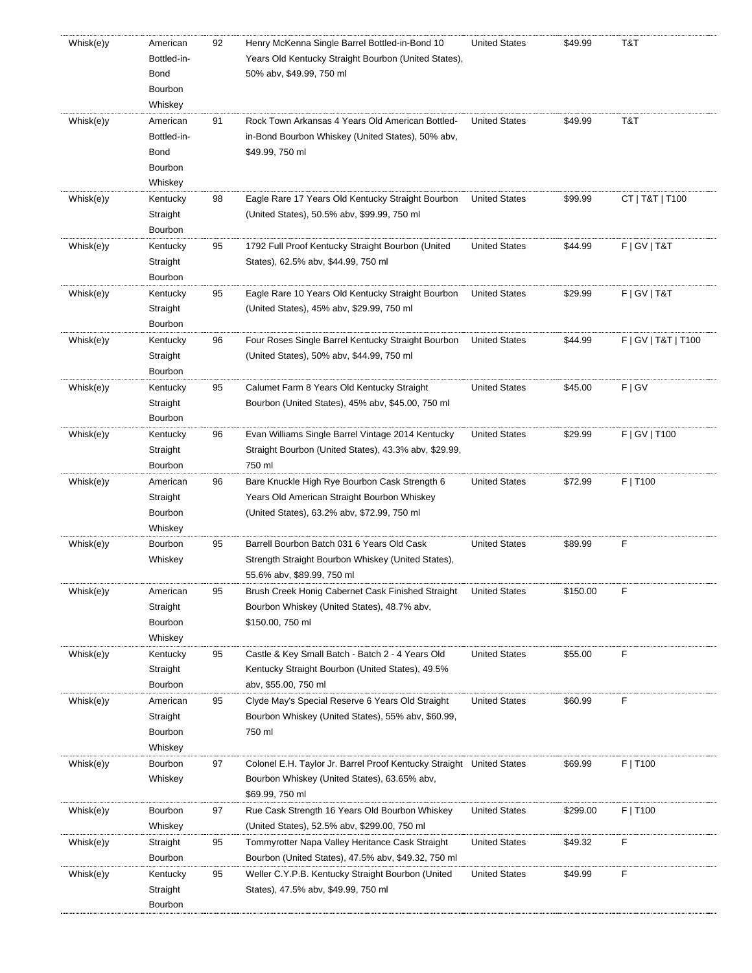| Whisk(e)y | American<br>Bottled-in-<br><b>Bond</b><br>Bourbon<br>Whiskey | 92 | Henry McKenna Single Barrel Bottled-in-Bond 10<br>Years Old Kentucky Straight Bourbon (United States),<br>50% abv, \$49.99, 750 ml          | <b>United States</b> | \$49.99  | T&T                 |
|-----------|--------------------------------------------------------------|----|---------------------------------------------------------------------------------------------------------------------------------------------|----------------------|----------|---------------------|
| Whisk(e)y | American<br>Bottled-in-<br><b>Bond</b><br>Bourbon<br>Whiskey | 91 | Rock Town Arkansas 4 Years Old American Bottled-<br>in-Bond Bourbon Whiskey (United States), 50% abv,<br>\$49.99, 750 ml                    | <b>United States</b> | \$49.99  | T&T                 |
| Whisk(e)y | Kentucky<br>Straight<br>Bourbon                              | 98 | Eagle Rare 17 Years Old Kentucky Straight Bourbon<br>(United States), 50.5% abv, \$99.99, 750 ml                                            | <b>United States</b> | \$99.99  | CT   T&T   T100     |
| Whisk(e)y | Kentucky<br>Straight<br>Bourbon                              | 95 | 1792 Full Proof Kentucky Straight Bourbon (United<br>States), 62.5% abv, \$44.99, 750 ml                                                    | <b>United States</b> | \$44.99  | F   G V   T & T     |
| Whisk(e)y | Kentucky<br>Straight<br>Bourbon                              | 95 | Eagle Rare 10 Years Old Kentucky Straight Bourbon<br>(United States), 45% abv, \$29.99, 750 ml                                              | <b>United States</b> | \$29.99  | F   G V   T & T     |
| Whisk(e)y | Kentucky<br>Straight<br>Bourbon                              | 96 | Four Roses Single Barrel Kentucky Straight Bourbon<br>(United States), 50% abv, \$44.99, 750 ml                                             | <b>United States</b> | \$44.99  | F   GV   T&T   T100 |
| Whisk(e)y | Kentucky<br>Straight<br>Bourbon                              | 95 | Calumet Farm 8 Years Old Kentucky Straight<br>Bourbon (United States), 45% abv, \$45.00, 750 ml                                             | <b>United States</b> | \$45.00  | F   G V             |
| Whisk(e)y | Kentucky<br>Straight<br>Bourbon                              | 96 | Evan Williams Single Barrel Vintage 2014 Kentucky<br>Straight Bourbon (United States), 43.3% abv, \$29.99,<br>750 ml                        | <b>United States</b> | \$29.99  | F   GV   T100       |
| Whisk(e)y | American<br>Straight<br>Bourbon<br>Whiskey                   | 96 | Bare Knuckle High Rye Bourbon Cask Strength 6<br>Years Old American Straight Bourbon Whiskey<br>(United States), 63.2% abv, \$72.99, 750 ml | <b>United States</b> | \$72.99  | F   T100            |
| Whisk(e)y | Bourbon<br>Whiskey                                           | 95 | Barrell Bourbon Batch 031 6 Years Old Cask<br>Strength Straight Bourbon Whiskey (United States),<br>55.6% abv, \$89.99, 750 ml              | <b>United States</b> | \$89.99  | F                   |
| Whisk(e)y | American<br>Straight<br>Bourbon<br>Whiskey                   | 95 | Brush Creek Honig Cabernet Cask Finished Straight<br>Bourbon Whiskey (United States), 48.7% abv,<br>\$150.00, 750 ml                        | <b>United States</b> | \$150.00 | F                   |
| Whisk(e)y | Kentucky<br>Straight<br>Bourbon                              | 95 | Castle & Key Small Batch - Batch 2 - 4 Years Old<br>Kentucky Straight Bourbon (United States), 49.5%<br>abv, \$55.00, 750 ml                | <b>United States</b> | \$55.00  | F                   |
| Whisk(e)y | American<br>Straight<br>Bourbon<br>Whiskey                   | 95 | Clyde May's Special Reserve 6 Years Old Straight<br>Bourbon Whiskey (United States), 55% abv, \$60.99,<br>750 ml                            | <b>United States</b> | \$60.99  | F                   |
| Whisk(e)y | Bourbon<br>Whiskey                                           | 97 | Colonel E.H. Taylor Jr. Barrel Proof Kentucky Straight United States<br>Bourbon Whiskey (United States), 63.65% abv,<br>\$69.99, 750 ml     |                      | \$69.99  | F   T100            |
| Whisk(e)y | Bourbon<br>Whiskey                                           | 97 | Rue Cask Strength 16 Years Old Bourbon Whiskey<br>(United States), 52.5% abv, \$299.00, 750 ml                                              | <b>United States</b> | \$299.00 | F   T100            |
| Whisk(e)y | Straight<br>Bourbon                                          | 95 | Tommyrotter Napa Valley Heritance Cask Straight<br>Bourbon (United States), 47.5% abv, \$49.32, 750 ml                                      | <b>United States</b> | \$49.32  | F                   |
| Whisk(e)y | Kentucky<br>Straight<br>Bourbon                              | 95 | Weller C.Y.P.B. Kentucky Straight Bourbon (United<br>States), 47.5% abv, \$49.99, 750 ml                                                    | <b>United States</b> | \$49.99  | F                   |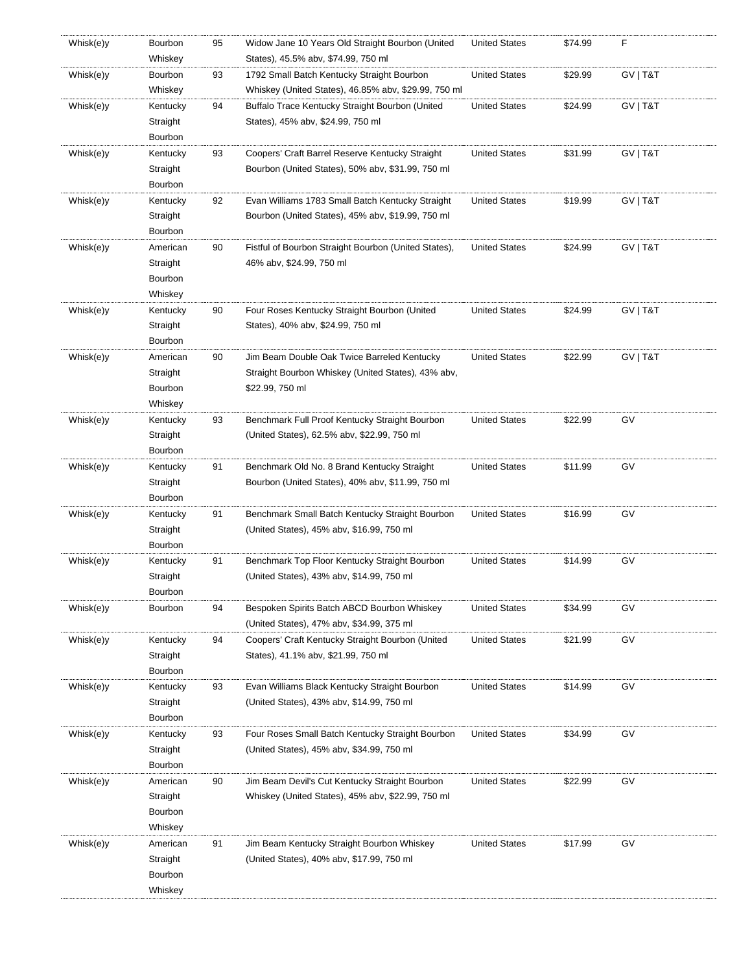| Whisk(e)y | Bourbon<br>Whiskey | 95 | Widow Jane 10 Years Old Straight Bourbon (United<br>States), 45.5% abv, \$74.99, 750 ml            | <b>United States</b> | \$74.99 | F        |
|-----------|--------------------|----|----------------------------------------------------------------------------------------------------|----------------------|---------|----------|
|           |                    |    |                                                                                                    |                      |         |          |
| Whisk(e)y | Bourbon<br>Whiskey | 93 | 1792 Small Batch Kentucky Straight Bourbon<br>Whiskey (United States), 46.85% abv, \$29.99, 750 ml | <b>United States</b> | \$29.99 | GV   T&T |
| Whisk(e)y | Kentucky           | 94 | Buffalo Trace Kentucky Straight Bourbon (United                                                    | <b>United States</b> | \$24.99 | GV   T&T |
|           | Straight           |    | States), 45% abv, \$24.99, 750 ml                                                                  |                      |         |          |
|           | Bourbon            |    |                                                                                                    |                      |         |          |
| Whisk(e)y | Kentucky           | 93 | Coopers' Craft Barrel Reserve Kentucky Straight                                                    | <b>United States</b> | \$31.99 | GV   T&T |
|           | Straight           |    | Bourbon (United States), 50% abv, \$31.99, 750 ml                                                  |                      |         |          |
|           | Bourbon            |    |                                                                                                    |                      |         |          |
| Whisk(e)y | Kentucky           | 92 | Evan Williams 1783 Small Batch Kentucky Straight                                                   | <b>United States</b> | \$19.99 | GV   T&T |
|           | Straight           |    | Bourbon (United States), 45% abv, \$19.99, 750 ml                                                  |                      |         |          |
|           | Bourbon            |    |                                                                                                    |                      |         |          |
| Whisk(e)y | American           | 90 | Fistful of Bourbon Straight Bourbon (United States),                                               | <b>United States</b> | \$24.99 | GV   T&T |
|           | Straight           |    | 46% abv, \$24.99, 750 ml                                                                           |                      |         |          |
|           | Bourbon            |    |                                                                                                    |                      |         |          |
|           | Whiskey            |    |                                                                                                    |                      |         |          |
| Whisk(e)y | Kentucky           | 90 | Four Roses Kentucky Straight Bourbon (United                                                       | <b>United States</b> | \$24.99 | GV   T&T |
|           | Straight           |    | States), 40% abv, \$24.99, 750 ml                                                                  |                      |         |          |
|           | Bourbon            |    |                                                                                                    |                      |         |          |
| Whisk(e)y | American           | 90 | Jim Beam Double Oak Twice Barreled Kentucky                                                        | <b>United States</b> | \$22.99 | GV   T&T |
|           | Straight           |    | Straight Bourbon Whiskey (United States), 43% abv,                                                 |                      |         |          |
|           | Bourbon            |    | \$22.99, 750 ml                                                                                    |                      |         |          |
|           | Whiskey            |    |                                                                                                    |                      |         |          |
| Whisk(e)y | Kentucky           | 93 | Benchmark Full Proof Kentucky Straight Bourbon                                                     | <b>United States</b> | \$22.99 | GV       |
|           | Straight           |    | (United States), 62.5% abv, \$22.99, 750 ml                                                        |                      |         |          |
|           | Bourbon            |    |                                                                                                    |                      |         |          |
| Whisk(e)y | Kentucky           | 91 | Benchmark Old No. 8 Brand Kentucky Straight                                                        | <b>United States</b> | \$11.99 | GV       |
|           | Straight           |    | Bourbon (United States), 40% abv, \$11.99, 750 ml                                                  |                      |         |          |
|           | Bourbon            |    |                                                                                                    |                      |         |          |
| Whisk(e)y | Kentucky           | 91 | Benchmark Small Batch Kentucky Straight Bourbon                                                    | <b>United States</b> | \$16.99 | GV       |
|           | Straight           |    | (United States), 45% abv, \$16.99, 750 ml                                                          |                      |         |          |
|           | Bourbon            |    |                                                                                                    |                      |         |          |
| Whisk(e)y | Kentucky           | 91 | Benchmark Top Floor Kentucky Straight Bourbon                                                      | <b>United States</b> | \$14.99 | GV       |
|           | Straight           |    | (United States), 43% abv, \$14.99, 750 ml                                                          |                      |         |          |
|           | Bourbon            |    |                                                                                                    |                      |         |          |
| Whisk(e)y | Bourbon            | 94 | Bespoken Spirits Batch ABCD Bourbon Whiskey                                                        | <b>United States</b> | \$34.99 | GV       |
|           |                    |    | (United States), 47% abv, \$34.99, 375 ml                                                          |                      |         |          |
| Whisk(e)y | Kentucky           | 94 | Coopers' Craft Kentucky Straight Bourbon (United                                                   | <b>United States</b> | \$21.99 | GV       |
|           | Straight           |    | States), 41.1% abv, \$21.99, 750 ml                                                                |                      |         |          |
|           | Bourbon            |    |                                                                                                    |                      |         |          |
| Whisk(e)y | Kentucky           | 93 | Evan Williams Black Kentucky Straight Bourbon                                                      | <b>United States</b> | \$14.99 | GV       |
|           | Straight           |    | (United States), 43% abv, \$14.99, 750 ml                                                          |                      |         |          |
|           | Bourbon            |    |                                                                                                    |                      |         |          |
| Whisk(e)y | Kentucky           | 93 | Four Roses Small Batch Kentucky Straight Bourbon                                                   | <b>United States</b> | \$34.99 | GV       |
|           | Straight           |    | (United States), 45% abv, \$34.99, 750 ml                                                          |                      |         |          |
|           | Bourbon            |    |                                                                                                    |                      |         |          |
| Whisk(e)y | American           | 90 | Jim Beam Devil's Cut Kentucky Straight Bourbon                                                     | <b>United States</b> | \$22.99 | GV       |
|           | Straight           |    | Whiskey (United States), 45% abv, \$22.99, 750 ml                                                  |                      |         |          |
|           | Bourbon            |    |                                                                                                    |                      |         |          |
|           | Whiskey            |    |                                                                                                    |                      |         |          |
| Whisk(e)y | American           | 91 | Jim Beam Kentucky Straight Bourbon Whiskey                                                         | <b>United States</b> | \$17.99 | GV       |
|           | Straight           |    | (United States), 40% abv, \$17.99, 750 ml                                                          |                      |         |          |
|           | Bourbon            |    |                                                                                                    |                      |         |          |
|           | Whiskey            |    |                                                                                                    |                      |         |          |
|           |                    |    |                                                                                                    |                      |         |          |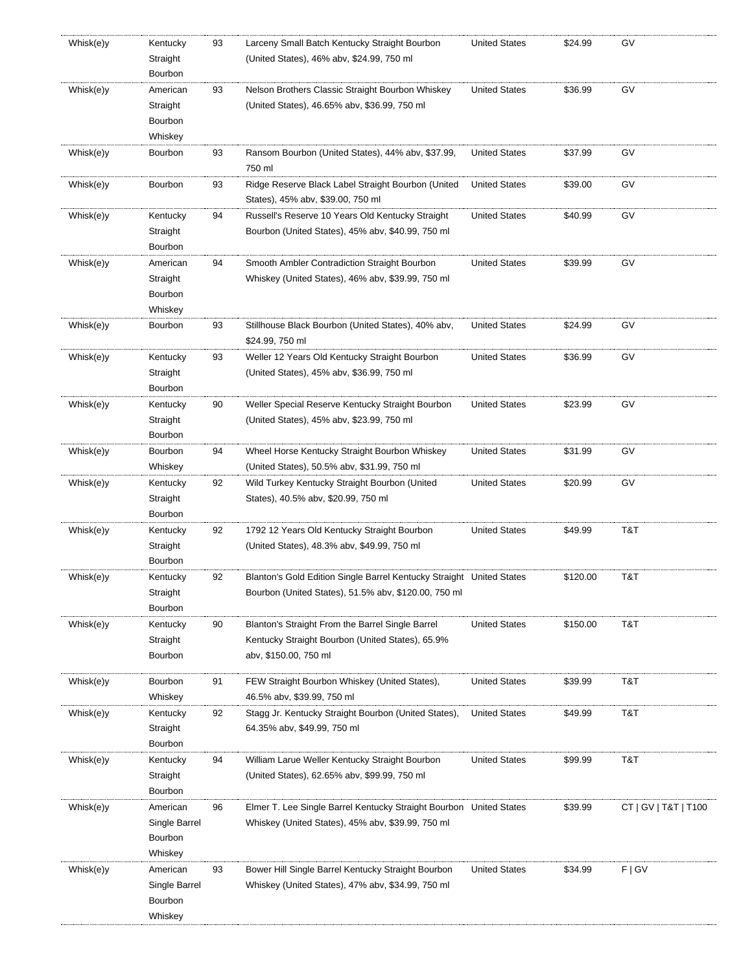| Whisk(e)y | Kentucky<br>Straight<br>Bourbon                 | 93 | Larceny Small Batch Kentucky Straight Bourbon<br>(United States), 46% abv, \$24.99, 750 ml                                    | <b>United States</b> | \$24.99  | GV                   |
|-----------|-------------------------------------------------|----|-------------------------------------------------------------------------------------------------------------------------------|----------------------|----------|----------------------|
| Whisk(e)y | American<br>Straight<br>Bourbon<br>Whiskey      | 93 | Nelson Brothers Classic Straight Bourbon Whiskey<br>(United States), 46.65% abv, \$36.99, 750 ml                              | <b>United States</b> | \$36.99  | GV                   |
| Whisk(e)y | Bourbon                                         | 93 | Ransom Bourbon (United States), 44% aby, \$37.99,<br>750 ml                                                                   | <b>United States</b> | \$37.99  | GV                   |
| Whisk(e)y | Bourbon                                         | 93 | Ridge Reserve Black Label Straight Bourbon (United<br>States), 45% abv, \$39.00, 750 ml                                       | <b>United States</b> | \$39.00  | GV                   |
| Whisk(e)y | Kentucky<br>Straight<br>Bourbon                 | 94 | Russell's Reserve 10 Years Old Kentucky Straight<br>Bourbon (United States), 45% abv, \$40.99, 750 ml                         | <b>United States</b> | \$40.99  | GV                   |
| Whisk(e)y | American<br>Straight<br>Bourbon<br>Whiskey      | 94 | Smooth Ambler Contradiction Straight Bourbon<br>Whiskey (United States), 46% abv, \$39.99, 750 ml                             | <b>United States</b> | \$39.99  | GV                   |
| Whisk(e)y | Bourbon                                         | 93 | Stillhouse Black Bourbon (United States), 40% abv,<br>\$24.99, 750 ml                                                         | <b>United States</b> | \$24.99  | GV                   |
| Whisk(e)y | Kentucky<br>Straight<br>Bourbon                 | 93 | Weller 12 Years Old Kentucky Straight Bourbon<br>(United States), 45% abv, \$36.99, 750 ml                                    | <b>United States</b> | \$36.99  | GV                   |
| Whisk(e)y | Kentucky<br>Straight<br>Bourbon                 | 90 | Weller Special Reserve Kentucky Straight Bourbon<br>(United States), 45% abv, \$23.99, 750 ml                                 | <b>United States</b> | \$23.99  | GV                   |
| Whisk(e)y | Bourbon<br>Whiskey                              | 94 | Wheel Horse Kentucky Straight Bourbon Whiskey<br>(United States), 50.5% abv, \$31.99, 750 ml                                  | <b>United States</b> | \$31.99  | GV                   |
| Whisk(e)y | Kentucky<br>Straight<br>Bourbon                 | 92 | Wild Turkey Kentucky Straight Bourbon (United<br>States), 40.5% abv, \$20.99, 750 ml                                          | <b>United States</b> | \$20.99  | GV                   |
| Whisk(e)y | Kentucky<br>Straight<br>Bourbon                 | 92 | 1792 12 Years Old Kentucky Straight Bourbon<br>(United States), 48.3% abv, \$49.99, 750 ml                                    | <b>United States</b> | \$49.99  | T&T                  |
| Whisk(e)y | Kentucky<br>Straight<br>Bourbon                 | 92 | Blanton's Gold Edition Single Barrel Kentucky Straight United States<br>Bourbon (United States), 51.5% abv, \$120.00, 750 ml  |                      | \$120.00 | T&T                  |
| Whisk(e)y | Kentucky<br>Straight<br>Bourbon                 | 90 | Blanton's Straight From the Barrel Single Barrel<br>Kentucky Straight Bourbon (United States), 65.9%<br>abv, \$150.00, 750 ml | <b>United States</b> | \$150.00 | T&T                  |
| Whisk(e)y | Bourbon<br>Whiskey                              | 91 | FEW Straight Bourbon Whiskey (United States),<br>46.5% abv, \$39.99, 750 ml                                                   | <b>United States</b> | \$39.99  | T&T                  |
| Whisk(e)y | Kentucky<br>Straight<br>Bourbon                 | 92 | Stagg Jr. Kentucky Straight Bourbon (United States),<br>64.35% abv, \$49.99, 750 ml                                           | <b>United States</b> | \$49.99  | T&T                  |
| Whisk(e)y | Kentucky<br>Straight<br>Bourbon                 | 94 | William Larue Weller Kentucky Straight Bourbon<br>(United States), 62.65% abv, \$99.99, 750 ml                                | <b>United States</b> | \$99.99  | T&T                  |
| Whisk(e)y | American<br>Single Barrel<br>Bourbon<br>Whiskey | 96 | Elmer T. Lee Single Barrel Kentucky Straight Bourbon United States<br>Whiskey (United States), 45% abv, \$39.99, 750 ml       |                      | \$39.99  | CT   GV   T&T   T100 |
| Whisk(e)y | American<br>Single Barrel<br>Bourbon<br>Whiskey | 93 | Bower Hill Single Barrel Kentucky Straight Bourbon<br>Whiskey (United States), 47% abv, \$34.99, 750 ml                       | <b>United States</b> | \$34.99  | F   G V              |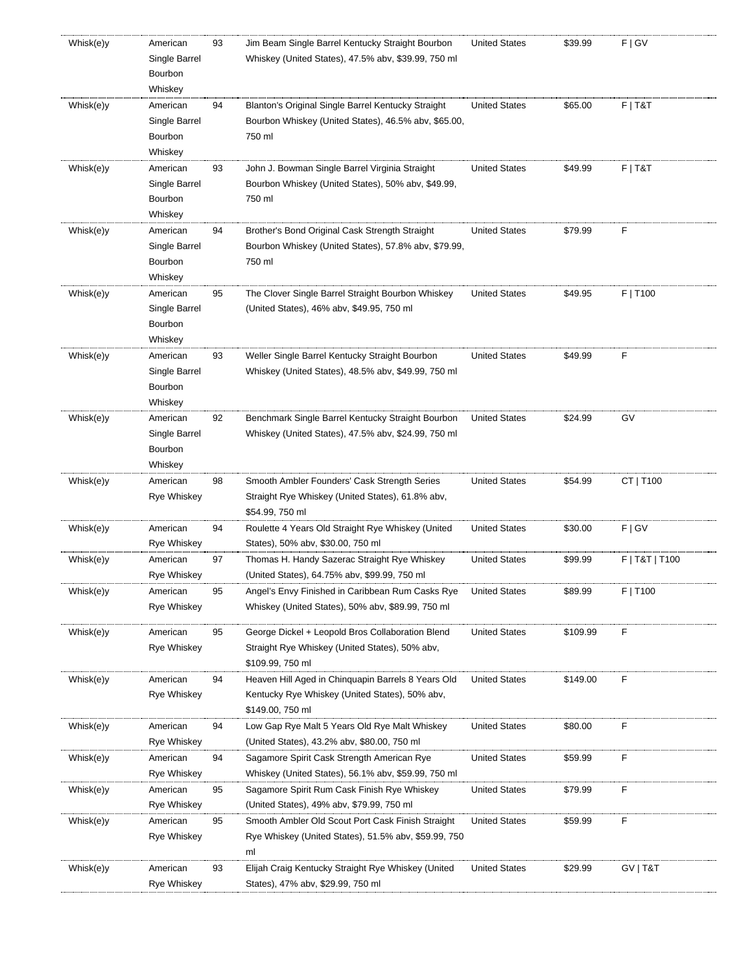| Whisk(e)y | American<br>Single Barrel<br>Bourbon<br>Whiskey | 93 | Jim Beam Single Barrel Kentucky Straight Bourbon<br>Whiskey (United States), 47.5% abv, \$39.99, 750 ml                  | <b>United States</b> | \$39.99  | F   G V        |
|-----------|-------------------------------------------------|----|--------------------------------------------------------------------------------------------------------------------------|----------------------|----------|----------------|
| Whisk(e)y | American<br>Single Barrel<br>Bourbon<br>Whiskey | 94 | Blanton's Original Single Barrel Kentucky Straight<br>Bourbon Whiskey (United States), 46.5% abv, \$65.00,<br>750 ml     | <b>United States</b> | \$65.00  | $F$   T&T      |
| Whisk(e)y | American<br>Single Barrel<br>Bourbon<br>Whiskey | 93 | John J. Bowman Single Barrel Virginia Straight<br>Bourbon Whiskey (United States), 50% abv, \$49.99,<br>750 ml           | <b>United States</b> | \$49.99  | $F$   T&T      |
| Whisk(e)y | American<br>Single Barrel<br>Bourbon<br>Whiskey | 94 | Brother's Bond Original Cask Strength Straight<br>Bourbon Whiskey (United States), 57.8% abv, \$79.99,<br>750 ml         | <b>United States</b> | \$79.99  | F              |
| Whisk(e)y | American<br>Single Barrel<br>Bourbon<br>Whiskey | 95 | The Clover Single Barrel Straight Bourbon Whiskey<br>(United States), 46% abv, \$49.95, 750 ml                           | <b>United States</b> | \$49.95  | F   T100       |
| Whisk(e)y | American<br>Single Barrel<br>Bourbon<br>Whiskey | 93 | Weller Single Barrel Kentucky Straight Bourbon<br>Whiskey (United States), 48.5% aby, \$49.99, 750 ml                    | <b>United States</b> | \$49.99  | F              |
| Whisk(e)y | American<br>Single Barrel<br>Bourbon<br>Whiskey | 92 | Benchmark Single Barrel Kentucky Straight Bourbon<br>Whiskey (United States), 47.5% abv, \$24.99, 750 ml                 | <b>United States</b> | \$24.99  | GV             |
| Whisk(e)y | American<br>Rye Whiskey                         | 98 | Smooth Ambler Founders' Cask Strength Series<br>Straight Rye Whiskey (United States), 61.8% abv,<br>\$54.99, 750 ml      | <b>United States</b> | \$54.99  | CT   T100      |
| Whisk(e)y | American<br>Rye Whiskey                         | 94 | Roulette 4 Years Old Straight Rye Whiskey (United<br>States), 50% abv, \$30.00, 750 ml                                   | <b>United States</b> | \$30.00  | F   G V        |
| Whisk(e)y | American<br>Rye Whiskey                         | 97 | Thomas H. Handy Sazerac Straight Rye Whiskey<br>(United States), 64.75% abv, \$99.99, 750 ml                             | <b>United States</b> | \$99.99  | F   T&T   T100 |
| Whisk(e)y | American<br>Rye Whiskey                         | 95 | Angel's Envy Finished in Caribbean Rum Casks Rye<br>Whiskey (United States), 50% abv, \$89.99, 750 ml                    | <b>United States</b> | \$89.99  | $F$   T100     |
| Whisk(e)y | American<br><b>Rye Whiskey</b>                  | 95 | George Dickel + Leopold Bros Collaboration Blend<br>Straight Rye Whiskey (United States), 50% abv,<br>\$109.99, 750 ml   | <b>United States</b> | \$109.99 | F              |
| Whisk(e)y | American<br>Rye Whiskey                         | 94 | Heaven Hill Aged in Chinguapin Barrels 8 Years Old<br>Kentucky Rye Whiskey (United States), 50% abv,<br>\$149.00, 750 ml | <b>United States</b> | \$149.00 | F              |
| Whisk(e)y | American<br>Rye Whiskey                         | 94 | Low Gap Rye Malt 5 Years Old Rye Malt Whiskey<br>(United States), 43.2% abv, \$80.00, 750 ml                             | <b>United States</b> | \$80.00  | F              |
| Whisk(e)y | American<br>Rye Whiskey                         | 94 | Sagamore Spirit Cask Strength American Rye<br>Whiskey (United States), 56.1% aby, \$59.99, 750 ml                        | <b>United States</b> | \$59.99  | F              |
| Whisk(e)y | American<br>Rye Whiskey                         | 95 | Sagamore Spirit Rum Cask Finish Rye Whiskey<br>(United States), 49% abv, \$79.99, 750 ml                                 | <b>United States</b> | \$79.99  | F              |
| Whisk(e)y | American<br>Rye Whiskey                         | 95 | Smooth Ambler Old Scout Port Cask Finish Straight<br>Rye Whiskey (United States), 51.5% aby, \$59.99, 750<br>ml          | <b>United States</b> | \$59.99  | F              |
| Whisk(e)y | American<br>Rye Whiskey                         | 93 | Elijah Craig Kentucky Straight Rye Whiskey (United<br>States), 47% abv, \$29.99, 750 ml                                  | <b>United States</b> | \$29.99  | GV   T&T       |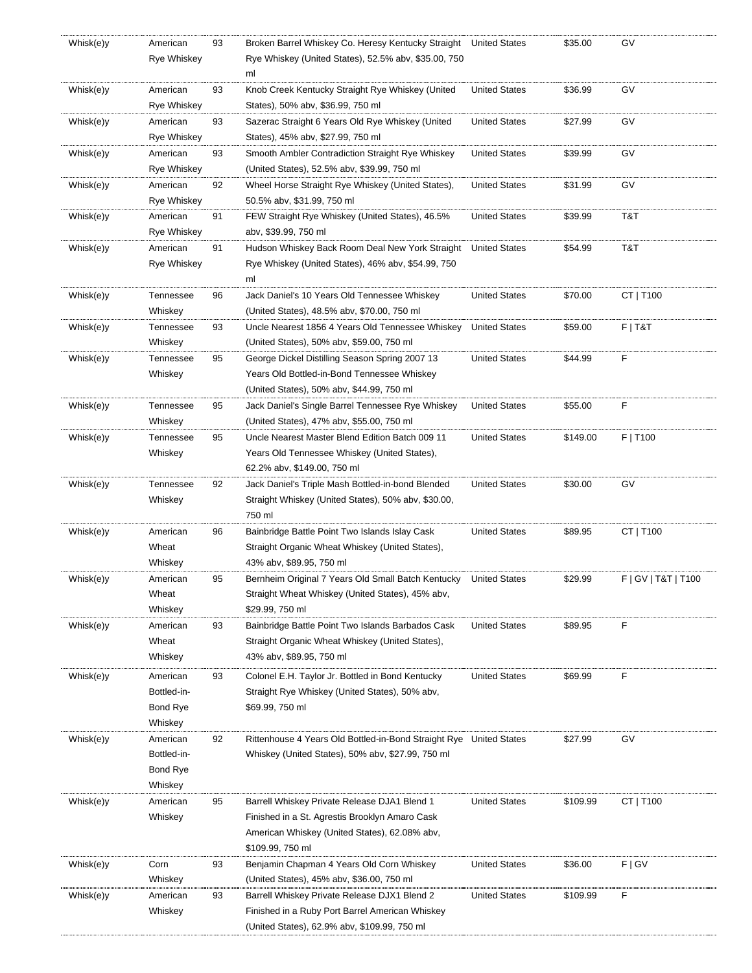| Whisk(e)y | American           | 93 | Broken Barrel Whiskey Co. Heresy Kentucky Straight                 | <b>United States</b> | \$35.00  | G٧                  |
|-----------|--------------------|----|--------------------------------------------------------------------|----------------------|----------|---------------------|
|           | <b>Rye Whiskey</b> |    | Rye Whiskey (United States), 52.5% abv, \$35.00, 750               |                      |          |                     |
|           |                    |    | ml                                                                 |                      |          |                     |
| Whisk(e)y | American           | 93 | Knob Creek Kentucky Straight Rye Whiskey (United                   | <b>United States</b> | \$36.99  | GV                  |
|           | <b>Rye Whiskey</b> |    | States), 50% abv, \$36.99, 750 ml                                  |                      |          |                     |
| Whisk(e)y | American           |    |                                                                    | <b>United States</b> | \$27.99  | GV                  |
|           |                    | 93 | Sazerac Straight 6 Years Old Rye Whiskey (United                   |                      |          |                     |
|           | Rye Whiskey        |    | States), 45% abv, \$27.99, 750 ml                                  |                      |          |                     |
| Whisk(e)y | American           | 93 | Smooth Ambler Contradiction Straight Rye Whiskey                   | <b>United States</b> | \$39.99  | GV                  |
|           | Rye Whiskey        |    | (United States), 52.5% abv, \$39.99, 750 ml                        |                      |          |                     |
| Whisk(e)y | American           | 92 | Wheel Horse Straight Rye Whiskey (United States),                  | <b>United States</b> | \$31.99  | GV                  |
|           | Rye Whiskey        |    | 50.5% abv, \$31.99, 750 ml                                         |                      |          |                     |
| Whisk(e)y | American           | 91 | FEW Straight Rye Whiskey (United States), 46.5%                    | <b>United States</b> | \$39.99  | T&T                 |
|           | Rye Whiskey        |    | aby, \$39.99, 750 ml                                               |                      |          |                     |
| Whisk(e)y | American           | 91 | Hudson Whiskey Back Room Deal New York Straight                    | <b>United States</b> | \$54.99  | T&T                 |
|           | Rye Whiskey        |    | Rye Whiskey (United States), 46% abv, \$54.99, 750                 |                      |          |                     |
|           |                    |    | ml                                                                 |                      |          |                     |
| Whisk(e)y | Tennessee          | 96 | Jack Daniel's 10 Years Old Tennessee Whiskey                       | <b>United States</b> | \$70.00  | CT   T100           |
|           |                    |    |                                                                    |                      |          |                     |
|           | Whiskey            |    | (United States), 48.5% aby, \$70.00, 750 ml                        |                      |          |                     |
| Whisk(e)y | Tennessee          | 93 | Uncle Nearest 1856 4 Years Old Tennessee Whiskey                   | <b>United States</b> | \$59.00  | F T&T               |
|           | Whiskey            |    | (United States), 50% abv, \$59.00, 750 ml                          |                      |          |                     |
| Whisk(e)y | Tennessee          | 95 | George Dickel Distilling Season Spring 2007 13                     | <b>United States</b> | \$44.99  | F                   |
|           | Whiskey            |    | Years Old Bottled-in-Bond Tennessee Whiskey                        |                      |          |                     |
|           |                    |    | (United States), 50% abv, \$44.99, 750 ml                          |                      |          |                     |
| Whisk(e)y | Tennessee          | 95 | Jack Daniel's Single Barrel Tennessee Rye Whiskey                  | <b>United States</b> | \$55.00  | F                   |
|           | Whiskey            |    | (United States), 47% abv, \$55.00, 750 ml                          |                      |          |                     |
| Whisk(e)y | Tennessee          | 95 | Uncle Nearest Master Blend Edition Batch 009 11                    | <b>United States</b> | \$149.00 | F   T100            |
|           | Whiskey            |    | Years Old Tennessee Whiskey (United States),                       |                      |          |                     |
|           |                    |    |                                                                    |                      |          |                     |
|           |                    |    | 62.2% abv, \$149.00, 750 ml                                        |                      |          |                     |
| Whisk(e)y | Tennessee          | 92 | Jack Daniel's Triple Mash Bottled-in-bond Blended                  | <b>United States</b> | \$30.00  | GV                  |
|           | Whiskey            |    | Straight Whiskey (United States), 50% abv, \$30.00,                |                      |          |                     |
|           |                    |    | 750 ml                                                             |                      |          |                     |
| Whisk(e)y | American           | 96 | Bainbridge Battle Point Two Islands Islay Cask                     | <b>United States</b> | \$89.95  | CT   T100           |
|           | Wheat              |    | Straight Organic Wheat Whiskey (United States),                    |                      |          |                     |
|           | Whiskey            |    | 43% abv, \$89.95, 750 ml                                           |                      |          |                     |
| Whisk(e)y | American           | 95 | Bernheim Original 7 Years Old Small Batch Kentucky                 | <b>United States</b> | \$29.99  | F   GV   T&T   T100 |
|           | Wheat              |    | Straight Wheat Whiskey (United States), 45% abv,                   |                      |          |                     |
|           | Whiskey            |    | \$29.99, 750 ml                                                    |                      |          |                     |
| Whisk(e)y | American           | 93 | Bainbridge Battle Point Two Islands Barbados Cask                  | <b>United States</b> | \$89.95  | F                   |
|           | Wheat              |    | Straight Organic Wheat Whiskey (United States),                    |                      |          |                     |
|           | Whiskey            |    | 43% abv, \$89.95, 750 ml                                           |                      |          |                     |
|           |                    |    |                                                                    |                      |          |                     |
| Whisk(e)y | American           | 93 | Colonel E.H. Taylor Jr. Bottled in Bond Kentucky                   | <b>United States</b> | \$69.99  | F                   |
|           | Bottled-in-        |    | Straight Rye Whiskey (United States), 50% abv,                     |                      |          |                     |
|           | Bond Rye           |    | \$69.99, 750 ml                                                    |                      |          |                     |
|           | Whiskey            |    |                                                                    |                      |          |                     |
| Whisk(e)y | American           | 92 | Rittenhouse 4 Years Old Bottled-in-Bond Straight Rye United States |                      | \$27.99  | GV                  |
|           | Bottled-in-        |    | Whiskey (United States), 50% abv, \$27.99, 750 ml                  |                      |          |                     |
|           | Bond Rye           |    |                                                                    |                      |          |                     |
|           | Whiskey            |    |                                                                    |                      |          |                     |
| Whisk(e)y | American           | 95 | Barrell Whiskey Private Release DJA1 Blend 1                       | <b>United States</b> | \$109.99 | CT   T100           |
|           | Whiskey            |    | Finished in a St. Agrestis Brooklyn Amaro Cask                     |                      |          |                     |
|           |                    |    |                                                                    |                      |          |                     |
|           |                    |    | American Whiskey (United States), 62.08% abv,                      |                      |          |                     |
|           |                    |    | \$109.99, 750 ml                                                   |                      |          |                     |
| Whisk(e)y | Corn               | 93 | Benjamin Chapman 4 Years Old Corn Whiskey                          | <b>United States</b> | \$36.00  | F   G V             |
|           | Whiskey            |    | (United States), 45% abv, \$36.00, 750 ml                          |                      |          |                     |
| Whisk(e)y | American           | 93 | Barrell Whiskey Private Release DJX1 Blend 2                       | <b>United States</b> | \$109.99 | F                   |
|           | Whiskey            |    | Finished in a Ruby Port Barrel American Whiskey                    |                      |          |                     |
|           |                    |    | (United States), 62.9% abv, \$109.99, 750 ml                       |                      |          |                     |
|           |                    |    |                                                                    |                      |          |                     |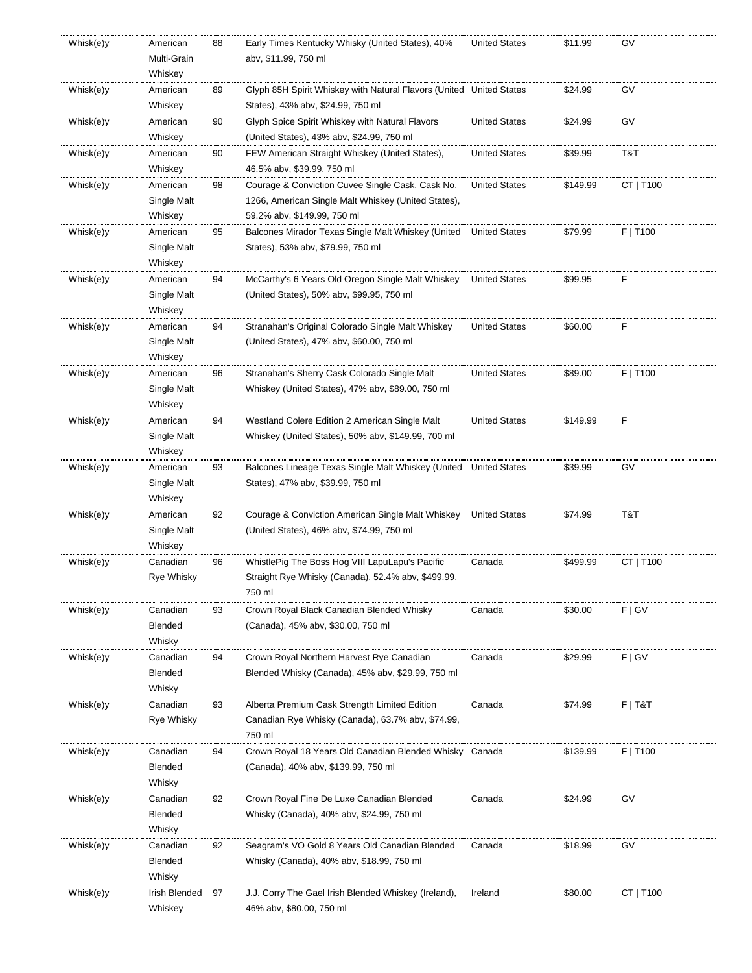| Whisk(e)y | American          | 88 | Early Times Kentucky Whisky (United States), 40%                    | <b>United States</b> | \$11.99  | GV        |
|-----------|-------------------|----|---------------------------------------------------------------------|----------------------|----------|-----------|
|           | Multi-Grain       |    | abv, \$11.99, 750 ml                                                |                      |          |           |
|           | Whiskey           |    |                                                                     |                      |          |           |
| Whisk(e)y | American          | 89 | Glyph 85H Spirit Whiskey with Natural Flavors (United United States |                      | \$24.99  | GV        |
|           | Whiskey           |    | States), 43% abv, \$24.99, 750 ml                                   |                      |          |           |
| Whisk(e)y | American          | 90 | Glyph Spice Spirit Whiskey with Natural Flavors                     | <b>United States</b> | \$24.99  | GV        |
|           | Whiskey           |    | (United States), 43% abv, \$24.99, 750 ml                           |                      |          |           |
| Whisk(e)y | American          | 90 | FEW American Straight Whiskey (United States),                      | <b>United States</b> | \$39.99  | T&T       |
|           | Whiskey           |    | 46.5% abv, \$39.99, 750 ml                                          |                      |          |           |
| Whisk(e)y | American          | 98 | Courage & Conviction Cuvee Single Cask, Cask No.                    | <b>United States</b> | \$149.99 | CT   T100 |
|           | Single Malt       |    | 1266, American Single Malt Whiskey (United States),                 |                      |          |           |
|           | Whiskey           |    | 59.2% abv, \$149.99, 750 ml                                         |                      |          |           |
| Whisk(e)y | American          | 95 | Balcones Mirador Texas Single Malt Whiskey (United                  | <b>United States</b> | \$79.99  | F   T100  |
|           | Single Malt       |    | States), 53% abv, \$79.99, 750 ml                                   |                      |          |           |
|           | Whiskey           |    |                                                                     |                      |          |           |
|           |                   |    |                                                                     | <b>United States</b> | \$99.95  | F         |
| Whisk(e)y | American          | 94 | McCarthy's 6 Years Old Oregon Single Malt Whiskey                   |                      |          |           |
|           | Single Malt       |    | (United States), 50% abv, \$99.95, 750 ml                           |                      |          |           |
|           | Whiskey           |    |                                                                     |                      |          |           |
| Whisk(e)y | American          | 94 | Stranahan's Original Colorado Single Malt Whiskey                   | <b>United States</b> | \$60.00  | F         |
|           | Single Malt       |    | (United States), 47% abv, \$60.00, 750 ml                           |                      |          |           |
|           | Whiskey           |    |                                                                     |                      |          |           |
| Whisk(e)y | American          | 96 | Stranahan's Sherry Cask Colorado Single Malt                        | <b>United States</b> | \$89.00  | F   T100  |
|           | Single Malt       |    | Whiskey (United States), 47% abv, \$89.00, 750 ml                   |                      |          |           |
|           | Whiskey           |    |                                                                     |                      |          |           |
| Whisk(e)y | American          | 94 | Westland Colere Edition 2 American Single Malt                      | <b>United States</b> | \$149.99 | F         |
|           | Single Malt       |    | Whiskey (United States), 50% abv, \$149.99, 700 ml                  |                      |          |           |
|           | Whiskey           |    |                                                                     |                      |          |           |
| Whisk(e)y | American          | 93 | Balcones Lineage Texas Single Malt Whiskey (United                  | <b>United States</b> | \$39.99  | GV        |
|           | Single Malt       |    | States), 47% abv, \$39.99, 750 ml                                   |                      |          |           |
|           | Whiskey           |    |                                                                     |                      |          |           |
| Whisk(e)y | American          | 92 | Courage & Conviction American Single Malt Whiskey                   | <b>United States</b> | \$74.99  | T&T       |
|           | Single Malt       |    | (United States), 46% abv, \$74.99, 750 ml                           |                      |          |           |
|           | Whiskey           |    |                                                                     |                      |          |           |
| Whisk(e)y | Canadian          | 96 | WhistlePig The Boss Hog VIII LapuLapu's Pacific                     | Canada               | \$499.99 | CT   T100 |
|           | Rye Whisky        |    | Straight Rye Whisky (Canada), 52.4% abv, \$499.99,                  |                      |          |           |
|           |                   |    | 750 ml                                                              |                      |          |           |
| Whisk(e)y | Canadian          | 93 | Crown Royal Black Canadian Blended Whisky                           | Canada               | \$30.00  | F   G V   |
|           | Blended           |    | (Canada), 45% abv, \$30.00, 750 ml                                  |                      |          |           |
|           | Whisky            |    |                                                                     |                      |          |           |
| Whisk(e)y | Canadian          | 94 | Crown Royal Northern Harvest Rye Canadian                           | Canada               | \$29.99  | F   G V   |
|           | Blended           |    | Blended Whisky (Canada), 45% abv, \$29.99, 750 ml                   |                      |          |           |
|           | Whisky            |    |                                                                     |                      |          |           |
| Whisk(e)y | Canadian          | 93 | Alberta Premium Cask Strength Limited Edition                       | Canada               | \$74.99  | $F$   T&T |
|           | <b>Rye Whisky</b> |    | Canadian Rye Whisky (Canada), 63.7% aby, \$74.99,                   |                      |          |           |
|           |                   |    |                                                                     |                      |          |           |
|           |                   |    | 750 ml                                                              |                      |          |           |
| Whisk(e)y | Canadian          | 94 | Crown Royal 18 Years Old Canadian Blended Whisky Canada             |                      | \$139.99 | F   T100  |
|           | Blended           |    | (Canada), 40% abv, \$139.99, 750 ml                                 |                      |          |           |
|           | Whisky            |    |                                                                     |                      |          |           |
| Whisk(e)y | Canadian          | 92 | Crown Royal Fine De Luxe Canadian Blended                           | Canada               | \$24.99  | GV        |
|           | Blended           |    | Whisky (Canada), 40% abv, \$24.99, 750 ml                           |                      |          |           |
|           | Whisky            |    |                                                                     |                      |          |           |
| Whisk(e)y | Canadian          | 92 | Seagram's VO Gold 8 Years Old Canadian Blended                      | Canada               | \$18.99  | GV        |
|           | Blended           |    | Whisky (Canada), 40% aby, \$18.99, 750 ml                           |                      |          |           |
|           | Whisky            |    |                                                                     |                      |          |           |
| Whisk(e)y | Irish Blended     | 97 | J.J. Corry The Gael Irish Blended Whiskey (Ireland),                | Ireland              | \$80.00  | CT   T100 |
|           | Whiskey           |    | 46% abv, \$80.00, 750 ml                                            |                      |          |           |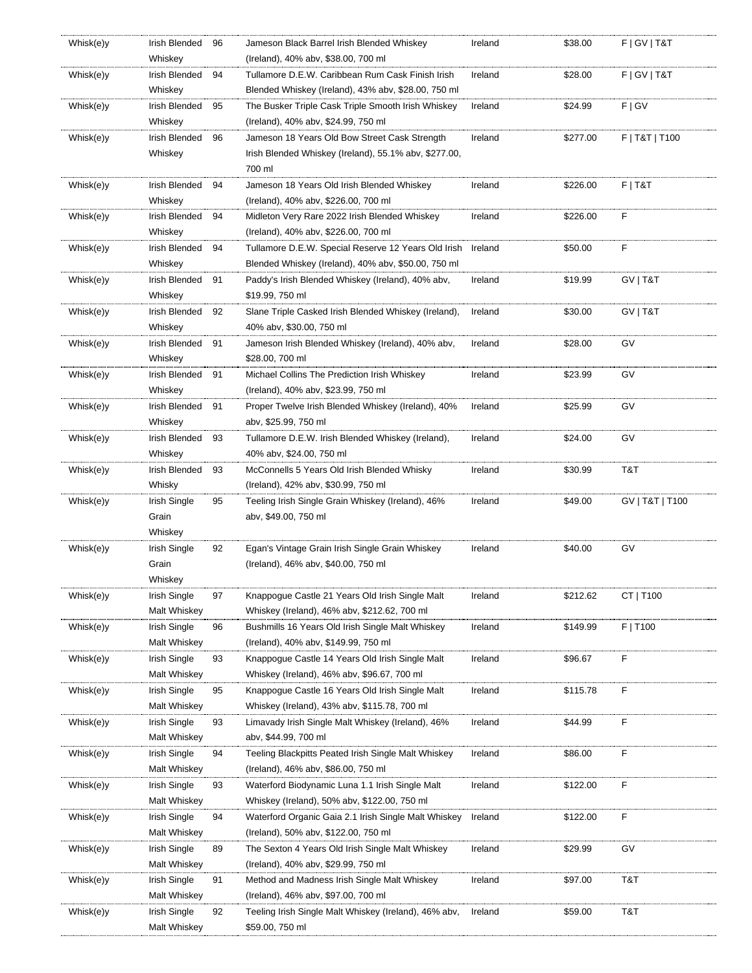| Whisk(e)y | Irish Blended                | 96 | Jameson Black Barrel Irish Blended Whiskey                                                       | Ireland | \$38.00  | F   G V   T & T |
|-----------|------------------------------|----|--------------------------------------------------------------------------------------------------|---------|----------|-----------------|
|           | Whiskey                      |    | (Ireland), 40% abv, \$38.00, 700 ml                                                              |         |          |                 |
| Whisk(e)y | Irish Blended                | 94 | Tullamore D.E.W. Caribbean Rum Cask Finish Irish                                                 | Ireland | \$28.00  | F   G V   T & T |
|           | Whiskey                      |    | Blended Whiskey (Ireland), 43% abv, \$28.00, 750 ml                                              |         |          |                 |
| Whisk(e)y | Irish Blended                | 95 | The Busker Triple Cask Triple Smooth Irish Whiskey                                               | Ireland | \$24.99  | F   G V         |
|           | Whiskey                      |    | (Ireland), 40% abv, \$24.99, 750 ml                                                              |         |          |                 |
| Whisk(e)y | Irish Blended                | 96 | Jameson 18 Years Old Bow Street Cask Strength                                                    | Ireland | \$277.00 | F   T&T   T100  |
|           | Whiskey                      |    | Irish Blended Whiskey (Ireland), 55.1% abv, \$277.00,                                            |         |          |                 |
|           |                              |    | 700 ml                                                                                           |         |          |                 |
| Whisk(e)y | Irish Blended                | 94 | Jameson 18 Years Old Irish Blended Whiskey                                                       | Ireland | \$226.00 | $F$   T&T       |
|           | Whiskey                      |    | (Ireland), 40% abv, \$226.00, 700 ml                                                             |         |          |                 |
| Whisk(e)y | Irish Blended                | 94 | Midleton Very Rare 2022 Irish Blended Whiskey                                                    | Ireland | \$226.00 | F               |
|           | Whiskey                      |    | (Ireland), 40% abv, \$226.00, 700 ml                                                             |         |          |                 |
| Whisk(e)y | Irish Blended                | 94 | Tullamore D.E.W. Special Reserve 12 Years Old Irish                                              | Ireland | \$50.00  | F               |
|           | Whiskey                      |    | Blended Whiskey (Ireland), 40% abv, \$50.00, 750 ml                                              |         |          |                 |
| Whisk(e)y | Irish Blended                | 91 | Paddy's Irish Blended Whiskey (Ireland), 40% abv,                                                | Ireland | \$19.99  | GV   T&T        |
|           | Whiskey                      |    | \$19.99, 750 ml                                                                                  |         |          |                 |
| Whisk(e)y | Irish Blended                | 92 | Slane Triple Casked Irish Blended Whiskey (Ireland),                                             | Ireland | \$30.00  | GV   T&T        |
|           | Whiskey                      |    | 40% abv, \$30.00, 750 ml                                                                         |         |          |                 |
| Whisk(e)y | Irish Blended                | 91 | Jameson Irish Blended Whiskey (Ireland), 40% abv,                                                | Ireland | \$28.00  | GV              |
|           | Whiskey                      |    | \$28.00, 700 ml                                                                                  |         |          |                 |
| Whisk(e)y | Irish Blended                | 91 | Michael Collins The Prediction Irish Whiskey                                                     | Ireland | \$23.99  | GV              |
|           | Whiskey                      |    | (Ireland), 40% abv, \$23.99, 750 ml                                                              |         |          |                 |
| Whisk(e)y | Irish Blended                | 91 | Proper Twelve Irish Blended Whiskey (Ireland), 40%                                               | Ireland | \$25.99  | GV              |
|           | Whiskey                      |    | abv, \$25.99, 750 ml                                                                             |         |          |                 |
| Whisk(e)y | Irish Blended                | 93 | Tullamore D.E.W. Irish Blended Whiskey (Ireland),                                                | Ireland | \$24.00  | GV              |
|           | Whiskey                      |    | 40% abv, \$24.00, 750 ml                                                                         |         |          |                 |
|           | Irish Blended                |    |                                                                                                  |         |          | T&T             |
| Whisk(e)y | Whisky                       | 93 | McConnells 5 Years Old Irish Blended Whisky<br>(Ireland), 42% abv, \$30.99, 750 ml               | Ireland | \$30.99  |                 |
|           | Irish Single                 | 95 |                                                                                                  | Ireland | \$49.00  | GV   T&T   T100 |
| Whisk(e)y | Grain                        |    | Teeling Irish Single Grain Whiskey (Ireland), 46%<br>abv, \$49.00, 750 ml                        |         |          |                 |
|           | Whiskey                      |    |                                                                                                  |         |          |                 |
|           | Irish Single                 | 92 | Egan's Vintage Grain Irish Single Grain Whiskey                                                  | Ireland | \$40.00  | GV              |
| Whisk(e)y | Grain                        |    | (Ireland), 46% abv, \$40.00, 750 ml                                                              |         |          |                 |
|           | Whiskey                      |    |                                                                                                  |         |          |                 |
|           |                              |    |                                                                                                  |         |          |                 |
| Whisk(e)y | Irish Single<br>Malt Whiskey | 97 | Knappogue Castle 21 Years Old Irish Single Malt                                                  | Ireland | \$212.62 | CT   T100       |
| Whisk(e)y | Irish Single                 |    | Whiskey (Ireland), 46% abv, \$212.62, 700 ml<br>Bushmills 16 Years Old Irish Single Malt Whiskey | Ireland | \$149.99 | F   T100        |
|           |                              | 96 |                                                                                                  |         |          |                 |
|           | Malt Whiskey                 |    | (Ireland), 40% abv, \$149.99, 750 ml                                                             |         |          |                 |
| Whisk(e)y | Irish Single                 | 93 | Knappoque Castle 14 Years Old Irish Single Malt                                                  | Ireland | \$96.67  | F               |
|           | Malt Whiskey                 |    | Whiskey (Ireland), 46% abv, \$96.67, 700 ml                                                      |         |          |                 |
| Whisk(e)y | Irish Single                 | 95 | Knappoque Castle 16 Years Old Irish Single Malt                                                  | Ireland | \$115.78 | F               |
|           | Malt Whiskey                 |    | Whiskey (Ireland), 43% abv, \$115.78, 700 ml                                                     |         |          |                 |
| Whisk(e)y | Irish Single                 | 93 | Limavady Irish Single Malt Whiskey (Ireland), 46%                                                | Ireland | \$44.99  | F               |
|           | Malt Whiskey                 |    | abv, \$44.99, 700 ml                                                                             |         |          |                 |
| Whisk(e)y | Irish Single                 | 94 | Teeling Blackpitts Peated Irish Single Malt Whiskey                                              | Ireland | \$86.00  | F               |
|           | Malt Whiskey                 |    | (Ireland), 46% abv, \$86.00, 750 ml                                                              |         |          |                 |
| Whisk(e)y | Irish Single                 | 93 | Waterford Biodynamic Luna 1.1 Irish Single Malt                                                  | Ireland | \$122.00 | F               |
|           | Malt Whiskey                 |    | Whiskey (Ireland), 50% abv, \$122.00, 750 ml                                                     |         |          |                 |
| Whisk(e)y | Irish Single                 | 94 | Waterford Organic Gaia 2.1 Irish Single Malt Whiskey                                             | Ireland | \$122.00 | F               |
|           | Malt Whiskey                 |    | (Ireland), 50% abv, \$122.00, 750 ml                                                             |         |          |                 |
| Whisk(e)y | Irish Single                 | 89 | The Sexton 4 Years Old Irish Single Malt Whiskey                                                 | Ireland | \$29.99  | GV              |
|           | Malt Whiskey                 |    | (Ireland), 40% abv, \$29.99, 750 ml                                                              |         |          |                 |
| Whisk(e)y | Irish Single                 | 91 | Method and Madness Irish Single Malt Whiskey                                                     | Ireland | \$97.00  | T&T             |
|           | Malt Whiskey                 |    | (Ireland), 46% abv, \$97.00, 700 ml                                                              |         |          |                 |
| Whisk(e)y | Irish Single                 | 92 | Teeling Irish Single Malt Whiskey (Ireland), 46% abv,                                            | Ireland | \$59.00  | T&T             |
|           | Malt Whiskey                 |    | \$59.00, 750 ml                                                                                  |         |          |                 |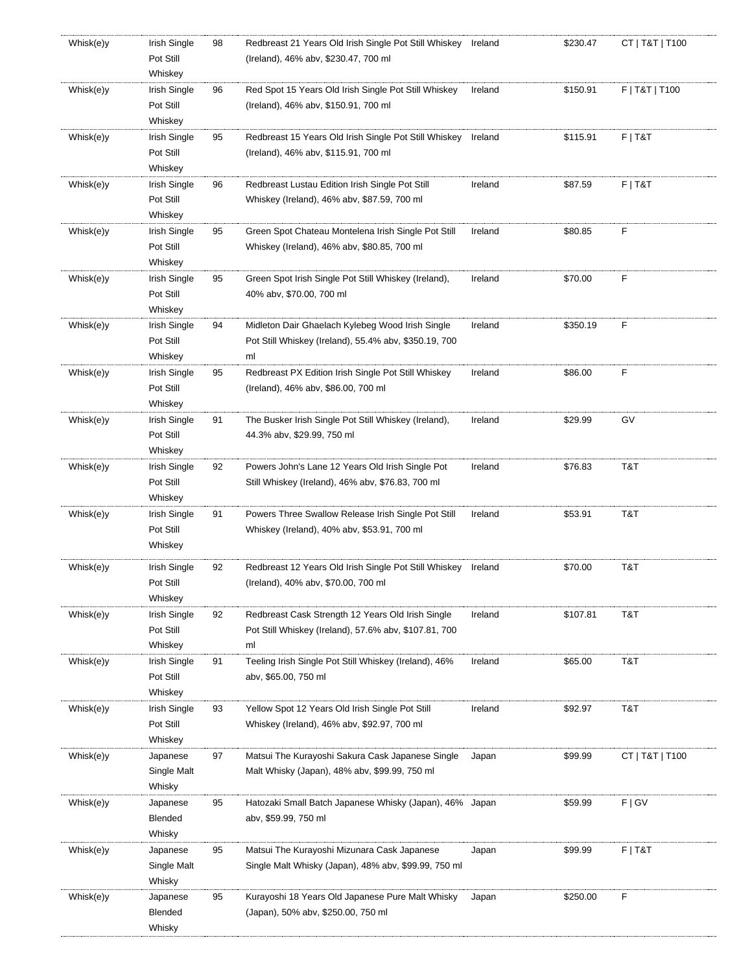| Whisk(e)y | Irish Single              | 98 | Redbreast 21 Years Old Irish Single Pot Still Whiskey                                                      | Ireland | \$230.47 | CT   T&T   T100 |
|-----------|---------------------------|----|------------------------------------------------------------------------------------------------------------|---------|----------|-----------------|
|           | Pot Still                 |    | (Ireland), 46% abv, \$230.47, 700 ml                                                                       |         |          |                 |
|           | Whiskey                   |    |                                                                                                            |         |          |                 |
| Whisk(e)y | Irish Single              | 96 | Red Spot 15 Years Old Irish Single Pot Still Whiskey                                                       | Ireland | \$150.91 | F   T&T   T100  |
|           | Pot Still<br>Whiskey      |    | (Ireland), 46% abv, \$150.91, 700 ml                                                                       |         |          |                 |
| Whisk(e)y | Irish Single              | 95 | Redbreast 15 Years Old Irish Single Pot Still Whiskey                                                      | Ireland | \$115.91 | $F$   T&T       |
|           | Pot Still                 |    | (Ireland), 46% abv, \$115.91, 700 ml                                                                       |         |          |                 |
|           | Whiskey                   |    |                                                                                                            |         |          |                 |
| Whisk(e)y | Irish Single              | 96 | Redbreast Lustau Edition Irish Single Pot Still                                                            | Ireland | \$87.59  | $F$   T&T       |
|           | Pot Still                 |    | Whiskey (Ireland), 46% abv, \$87.59, 700 ml                                                                |         |          |                 |
|           | Whiskey                   |    |                                                                                                            |         |          |                 |
| Whisk(e)y | Irish Single              | 95 | Green Spot Chateau Montelena Irish Single Pot Still                                                        | Ireland | \$80.85  | F               |
|           | Pot Still                 |    | Whiskey (Ireland), 46% abv, \$80.85, 700 ml                                                                |         |          |                 |
|           | Whiskey                   |    |                                                                                                            |         |          |                 |
| Whisk(e)y | Irish Single              | 95 | Green Spot Irish Single Pot Still Whiskey (Ireland),                                                       | Ireland | \$70.00  | F               |
|           | Pot Still                 |    | 40% abv, \$70.00, 700 ml                                                                                   |         |          |                 |
|           | Whiskey                   |    |                                                                                                            |         |          |                 |
| Whisk(e)y | Irish Single              | 94 | Midleton Dair Ghaelach Kylebeg Wood Irish Single                                                           | Ireland | \$350.19 | F               |
|           | Pot Still                 |    | Pot Still Whiskey (Ireland), 55.4% abv, \$350.19, 700                                                      |         |          |                 |
|           | Whiskey                   |    | ml                                                                                                         |         |          |                 |
| Whisk(e)y | Irish Single              | 95 | Redbreast PX Edition Irish Single Pot Still Whiskey                                                        | Ireland | \$86.00  | F               |
|           | Pot Still                 |    | (Ireland), 46% abv, \$86.00, 700 ml                                                                        |         |          |                 |
|           | Whiskey                   |    |                                                                                                            |         |          |                 |
| Whisk(e)y | Irish Single              | 91 | The Busker Irish Single Pot Still Whiskey (Ireland),                                                       | Ireland | \$29.99  | GV              |
|           | Pot Still                 |    | 44.3% abv, \$29.99, 750 ml                                                                                 |         |          |                 |
|           | Whiskey                   |    |                                                                                                            |         |          |                 |
| Whisk(e)y | Irish Single              | 92 | Powers John's Lane 12 Years Old Irish Single Pot                                                           | Ireland | \$76.83  | T&T             |
|           | Pot Still                 |    | Still Whiskey (Ireland), 46% abv, \$76.83, 700 ml                                                          |         |          |                 |
| Whisk(e)y | Whiskey<br>Irish Single   | 91 | Powers Three Swallow Release Irish Single Pot Still                                                        | Ireland | \$53.91  | T&T             |
|           | Pot Still                 |    | Whiskey (Ireland), 40% abv, \$53.91, 700 ml                                                                |         |          |                 |
|           | Whiskey                   |    |                                                                                                            |         |          |                 |
|           |                           |    |                                                                                                            |         |          |                 |
| Whisk(e)y | Irish Single              | 92 | Redbreast 12 Years Old Irish Single Pot Still Whiskey                                                      | Ireland | \$70.00  | T&T             |
|           | Pot Still                 |    | (Ireland), 40% abv, \$70.00, 700 ml                                                                        |         |          |                 |
|           | Whiskey                   |    |                                                                                                            |         |          |                 |
| Whisk(e)y | Irish Single<br>Pot Still | 92 | Redbreast Cask Strength 12 Years Old Irish Single<br>Pot Still Whiskey (Ireland), 57.6% abv, \$107.81, 700 | Ireland | \$107.81 | T&T             |
|           | Whiskey                   |    | ml                                                                                                         |         |          |                 |
| Whisk(e)y | Irish Single              | 91 | Teeling Irish Single Pot Still Whiskey (Ireland), 46%                                                      | Ireland | \$65.00  | T&T             |
|           | Pot Still                 |    | abv, \$65.00, 750 ml                                                                                       |         |          |                 |
|           | Whiskey                   |    |                                                                                                            |         |          |                 |
| Whisk(e)y | Irish Single              | 93 | Yellow Spot 12 Years Old Irish Single Pot Still                                                            | Ireland | \$92.97  | T&T             |
|           | Pot Still                 |    | Whiskey (Ireland), 46% abv, \$92.97, 700 ml                                                                |         |          |                 |
|           | Whiskey                   |    |                                                                                                            |         |          |                 |
| Whisk(e)y | Japanese                  | 97 | Matsui The Kurayoshi Sakura Cask Japanese Single                                                           | Japan   | \$99.99  | CT   T&T   T100 |
|           | Single Malt               |    | Malt Whisky (Japan), 48% abv, \$99.99, 750 ml                                                              |         |          |                 |
|           | Whisky                    |    |                                                                                                            |         |          |                 |
| Whisk(e)y | Japanese                  | 95 | Hatozaki Small Batch Japanese Whisky (Japan), 46% Japan                                                    |         | \$59.99  | F   G V         |
|           | Blended                   |    | abv, \$59.99, 750 ml                                                                                       |         |          |                 |
|           | Whisky                    |    |                                                                                                            |         |          |                 |
| Whisk(e)y | Japanese                  | 95 | Matsui The Kurayoshi Mizunara Cask Japanese                                                                | Japan   | \$99.99  | $F$   T&T       |
|           | Single Malt               |    | Single Malt Whisky (Japan), 48% abv, \$99.99, 750 ml                                                       |         |          |                 |
|           | Whisky                    |    |                                                                                                            |         |          |                 |
| Whisk(e)y | Japanese                  | 95 | Kurayoshi 18 Years Old Japanese Pure Malt Whisky                                                           | Japan   | \$250.00 | F               |
|           | Blended                   |    | (Japan), 50% abv, \$250.00, 750 ml                                                                         |         |          |                 |
|           | Whisky                    |    |                                                                                                            |         |          |                 |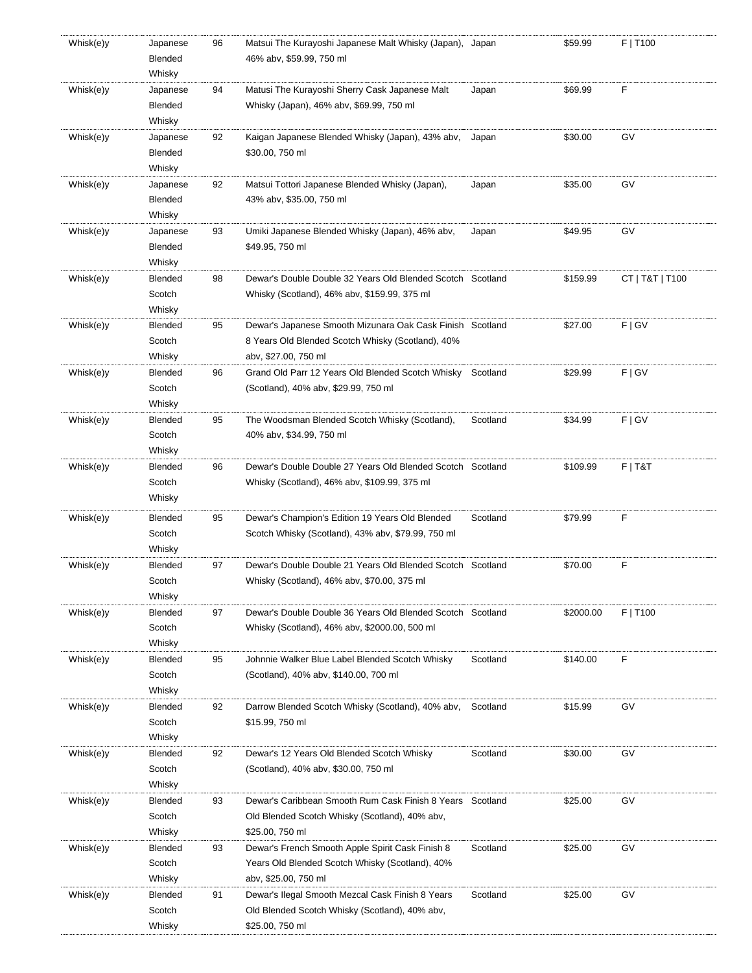| Whisk(e)y | Japanese       | 96 | Matsui The Kurayoshi Japanese Malt Whisky (Japan), Japan    |          | \$59.99   | F   T100        |
|-----------|----------------|----|-------------------------------------------------------------|----------|-----------|-----------------|
|           | Blended        |    | 46% abv, \$59.99, 750 ml                                    |          |           |                 |
|           | Whisky         |    |                                                             |          |           |                 |
| Whisk(e)y | Japanese       | 94 | Matusi The Kurayoshi Sherry Cask Japanese Malt              | Japan    | \$69.99   | F               |
|           | Blended        |    | Whisky (Japan), 46% abv, \$69.99, 750 ml                    |          |           |                 |
|           |                |    |                                                             |          |           |                 |
|           | Whisky         |    |                                                             |          |           |                 |
| Whisk(e)y | Japanese       | 92 | Kaigan Japanese Blended Whisky (Japan), 43% abv,            | Japan    | \$30.00   | GV              |
|           | Blended        |    | \$30.00, 750 ml                                             |          |           |                 |
|           | Whisky         |    |                                                             |          |           |                 |
| Whisk(e)y | Japanese       | 92 | Matsui Tottori Japanese Blended Whisky (Japan),             | Japan    | \$35.00   | GV              |
|           | Blended        |    | 43% abv, \$35.00, 750 ml                                    |          |           |                 |
|           | Whisky         |    |                                                             |          |           |                 |
| Whisk(e)y | Japanese       | 93 | Umiki Japanese Blended Whisky (Japan), 46% abv,             | Japan    | \$49.95   | GV              |
|           | Blended        |    | \$49.95, 750 ml                                             |          |           |                 |
|           | Whisky         |    |                                                             |          |           |                 |
|           |                |    |                                                             |          |           |                 |
| Whisk(e)y | Blended        | 98 | Dewar's Double Double 32 Years Old Blended Scotch Scotland  |          | \$159.99  | CT   T&T   T100 |
|           | Scotch         |    | Whisky (Scotland), 46% abv, \$159.99, 375 ml                |          |           |                 |
|           | Whisky         |    |                                                             |          |           |                 |
| Whisk(e)y | Blended        | 95 | Dewar's Japanese Smooth Mizunara Oak Cask Finish   Scotland |          | \$27.00   | F   G V         |
|           | Scotch         |    | 8 Years Old Blended Scotch Whisky (Scotland), 40%           |          |           |                 |
|           | Whisky         |    | aby, \$27.00, 750 ml                                        |          |           |                 |
| Whisk(e)y | Blended        | 96 | Grand Old Parr 12 Years Old Blended Scotch Whisky           | Scotland | \$29.99   | F   G V         |
|           | Scotch         |    | (Scotland), 40% abv, \$29.99, 750 ml                        |          |           |                 |
|           | Whisky         |    |                                                             |          |           |                 |
| Whisk(e)y | Blended        | 95 | The Woodsman Blended Scotch Whisky (Scotland),              | Scotland | \$34.99   | F   G V         |
|           | Scotch         |    | 40% abv, \$34.99, 750 ml                                    |          |           |                 |
|           |                |    |                                                             |          |           |                 |
|           | Whisky         |    |                                                             |          |           |                 |
| Whisk(e)y | Blended        | 96 | Dewar's Double Double 27 Years Old Blended Scotch Scotland  |          | \$109.99  | $F$   T&T       |
|           | Scotch         |    | Whisky (Scotland), 46% abv, \$109.99, 375 ml                |          |           |                 |
|           | Whisky         |    |                                                             |          |           |                 |
| Whisk(e)y | Blended        | 95 | Dewar's Champion's Edition 19 Years Old Blended             | Scotland | \$79.99   | F               |
|           | Scotch         |    | Scotch Whisky (Scotland), 43% abv, \$79.99, 750 ml          |          |           |                 |
|           | Whisky         |    |                                                             |          |           |                 |
| Whisk(e)y | Blended        | 97 | Dewar's Double Double 21 Years Old Blended Scotch           | Scotland | \$70.00   | F               |
|           |                |    |                                                             |          |           |                 |
|           | Scotch         |    | Whisky (Scotland), 46% abv, \$70.00, 375 ml                 |          |           |                 |
|           | Whisky         |    |                                                             |          |           |                 |
| Whisk(e)y | Blended        | 97 | Dewar's Double Double 36 Years Old Blended Scotch Scotland  |          | \$2000.00 | F   T100        |
|           | Scotch         |    | Whisky (Scotland), 46% aby, \$2000.00, 500 ml               |          |           |                 |
|           | Whisky         |    |                                                             |          |           |                 |
| Whisk(e)y | <b>Blended</b> | 95 | Johnnie Walker Blue Label Blended Scotch Whisky             | Scotland | \$140.00  | F               |
|           | Scotch         |    | (Scotland), 40% abv, \$140.00, 700 ml                       |          |           |                 |
|           | Whisky         |    |                                                             |          |           |                 |
| Whisk(e)y | Blended        | 92 | Darrow Blended Scotch Whisky (Scotland), 40% abv,           | Scotland | \$15.99   | GV              |
|           | Scotch         |    | \$15.99, 750 ml                                             |          |           |                 |
|           | Whisky         |    |                                                             |          |           |                 |
|           |                |    |                                                             |          |           |                 |
| Whisk(e)y | Blended        | 92 | Dewar's 12 Years Old Blended Scotch Whisky                  | Scotland | \$30.00   | GV              |
|           | Scotch         |    | (Scotland), 40% abv, \$30.00, 750 ml                        |          |           |                 |
|           | Whisky         |    |                                                             |          |           |                 |
| Whisk(e)y | <b>Blended</b> | 93 | Dewar's Caribbean Smooth Rum Cask Finish 8 Years            | Scotland | \$25.00   | GV              |
|           | Scotch         |    | Old Blended Scotch Whisky (Scotland), 40% abv,              |          |           |                 |
|           | Whisky         |    | \$25.00, 750 ml                                             |          |           |                 |
| Whisk(e)y | Blended        | 93 | Dewar's French Smooth Apple Spirit Cask Finish 8            | Scotland | \$25.00   | GV              |
|           | Scotch         |    | Years Old Blended Scotch Whisky (Scotland), 40%             |          |           |                 |
|           | Whisky         |    | aby, \$25.00, 750 ml                                        |          |           |                 |
| Whisk(e)y | Blended        | 91 | Dewar's Ilegal Smooth Mezcal Cask Finish 8 Years            | Scotland | \$25.00   | GV              |
|           |                |    |                                                             |          |           |                 |
|           | Scotch         |    | Old Blended Scotch Whisky (Scotland), 40% abv,              |          |           |                 |
|           | Whisky         |    | \$25.00, 750 ml                                             |          |           |                 |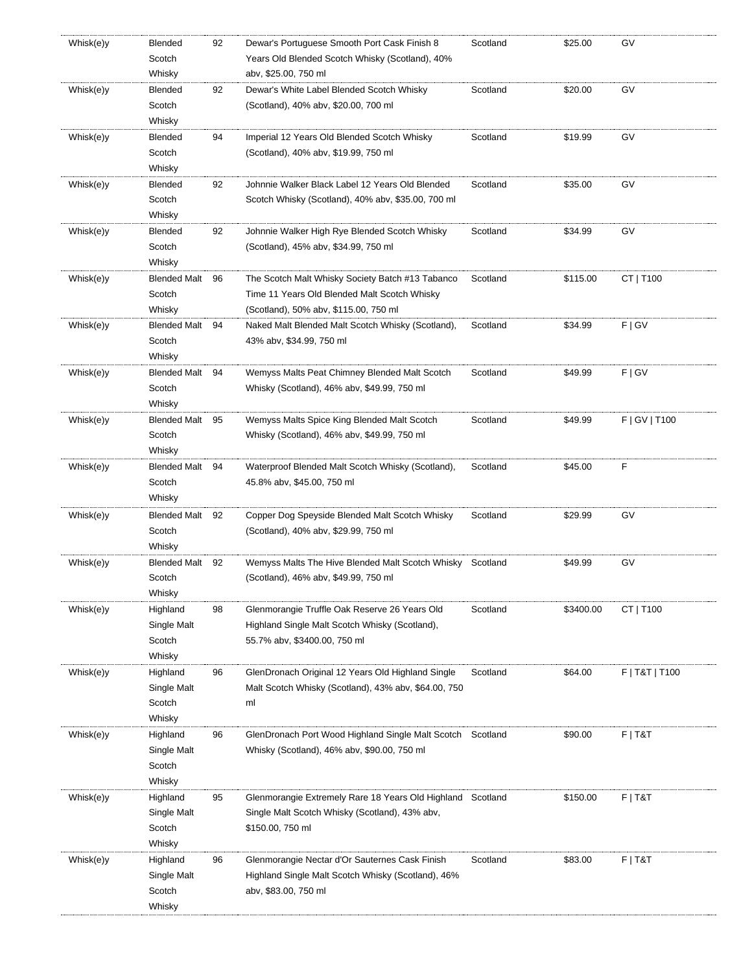| Whisk(e)y | Blended             | 92 | Dewar's Portuguese Smooth Port Cask Finish 8               | Scotland | \$25.00   | G٧             |
|-----------|---------------------|----|------------------------------------------------------------|----------|-----------|----------------|
|           | Scotch              |    | Years Old Blended Scotch Whisky (Scotland), 40%            |          |           |                |
|           | Whisky              |    | abv, \$25.00, 750 ml                                       |          |           |                |
| Whisk(e)y | Blended             | 92 | Dewar's White Label Blended Scotch Whisky                  | Scotland | \$20.00   | GV             |
|           | Scotch              |    | (Scotland), 40% abv, \$20.00, 700 ml                       |          |           |                |
|           | Whisky              |    |                                                            |          |           |                |
| Whisk(e)y | Blended             | 94 | Imperial 12 Years Old Blended Scotch Whisky                | Scotland | \$19.99   | GV             |
|           | Scotch              |    | (Scotland), 40% abv, \$19.99, 750 ml                       |          |           |                |
|           | Whisky              |    |                                                            |          |           |                |
| Whisk(e)y | Blended             | 92 | Johnnie Walker Black Label 12 Years Old Blended            | Scotland | \$35.00   | GV             |
|           | Scotch              |    | Scotch Whisky (Scotland), 40% abv, \$35.00, 700 ml         |          |           |                |
|           | Whisky              |    |                                                            |          |           |                |
| Whisk(e)y | Blended             | 92 | Johnnie Walker High Rye Blended Scotch Whisky              | Scotland | \$34.99   | GV             |
|           | Scotch              |    | (Scotland), 45% abv, \$34.99, 750 ml                       |          |           |                |
|           | Whisky              |    |                                                            |          |           |                |
| Whisk(e)y | <b>Blended Malt</b> | 96 | The Scotch Malt Whisky Society Batch #13 Tabanco           | Scotland | \$115.00  | CT   T100      |
|           | Scotch              |    | Time 11 Years Old Blended Malt Scotch Whisky               |          |           |                |
|           | Whisky              |    | (Scotland), 50% abv, \$115.00, 750 ml                      |          |           |                |
| Whisk(e)y | Blended Malt 94     |    | Naked Malt Blended Malt Scotch Whisky (Scotland),          | Scotland | \$34.99   | F   G V        |
|           | Scotch              |    | 43% abv, \$34.99, 750 ml                                   |          |           |                |
|           | Whisky              |    |                                                            |          |           |                |
| Whisk(e)y | Blended Malt 94     |    | Wemyss Malts Peat Chimney Blended Malt Scotch              | Scotland | \$49.99   | F   G V        |
|           | Scotch              |    | Whisky (Scotland), 46% abv, \$49.99, 750 ml                |          |           |                |
|           | Whisky              |    |                                                            |          |           |                |
| Whisk(e)y | <b>Blended Malt</b> | 95 | Wemyss Malts Spice King Blended Malt Scotch                | Scotland | \$49.99   | F   GV   T100  |
|           | Scotch              |    | Whisky (Scotland), 46% abv, \$49.99, 750 ml                |          |           |                |
|           | Whisky              |    |                                                            |          |           |                |
| Whisk(e)y | Blended Malt 94     |    | Waterproof Blended Malt Scotch Whisky (Scotland),          | Scotland | \$45.00   | F              |
|           | Scotch              |    | 45.8% abv, \$45.00, 750 ml                                 |          |           |                |
|           | Whisky              |    |                                                            |          |           |                |
| Whisk(e)y | Blended Malt 92     |    | Copper Dog Speyside Blended Malt Scotch Whisky             | Scotland | \$29.99   | GV             |
|           | Scotch              |    | (Scotland), 40% abv, \$29.99, 750 ml                       |          |           |                |
|           | Whisky              |    |                                                            |          |           |                |
| Whisk(e)y | Blended Malt 92     |    | Wemyss Malts The Hive Blended Malt Scotch Whisky           | Scotland | \$49.99   | GV             |
|           | Scotch              |    | (Scotland), 46% abv, \$49.99, 750 ml                       |          |           |                |
|           | Whisky              |    |                                                            |          |           |                |
| Whisk(e)y | Highland            | 98 | Glenmorangie Truffle Oak Reserve 26 Years Old              | Scotland | \$3400.00 | CT   T100      |
|           | Single Malt         |    | Highland Single Malt Scotch Whisky (Scotland),             |          |           |                |
|           | Scotch              |    | 55.7% abv, \$3400.00, 750 ml                               |          |           |                |
|           | Whisky              |    |                                                            |          |           |                |
| Whisk(e)y | Highland            | 96 | GlenDronach Original 12 Years Old Highland Single          | Scotland | \$64.00   | F   T&T   T100 |
|           | Single Malt         |    | Malt Scotch Whisky (Scotland), 43% abv, \$64.00, 750       |          |           |                |
|           | Scotch              |    | ml                                                         |          |           |                |
|           | Whisky              |    |                                                            |          |           |                |
| Whisk(e)y | Highland            | 96 | GlenDronach Port Wood Highland Single Malt Scotch          | Scotland | \$90.00   | $F$   T&T      |
|           | Single Malt         |    | Whisky (Scotland), 46% abv, \$90.00, 750 ml                |          |           |                |
|           | Scotch              |    |                                                            |          |           |                |
|           | Whisky              |    |                                                            |          |           |                |
| Whisk(e)y | Highland            | 95 | Glenmorangie Extremely Rare 18 Years Old Highland Scotland |          | \$150.00  | $F$   T&T      |
|           | Single Malt         |    | Single Malt Scotch Whisky (Scotland), 43% abv,             |          |           |                |
|           | Scotch              |    | \$150.00, 750 ml                                           |          |           |                |
|           | Whisky              |    |                                                            |          |           |                |
| Whisk(e)y | Highland            | 96 | Glenmorangie Nectar d'Or Sauternes Cask Finish             | Scotland | \$83.00   | $F$   T&T      |
|           | Single Malt         |    | Highland Single Malt Scotch Whisky (Scotland), 46%         |          |           |                |
|           | Scotch              |    | abv, \$83.00, 750 ml                                       |          |           |                |
|           | Whisky              |    |                                                            |          |           |                |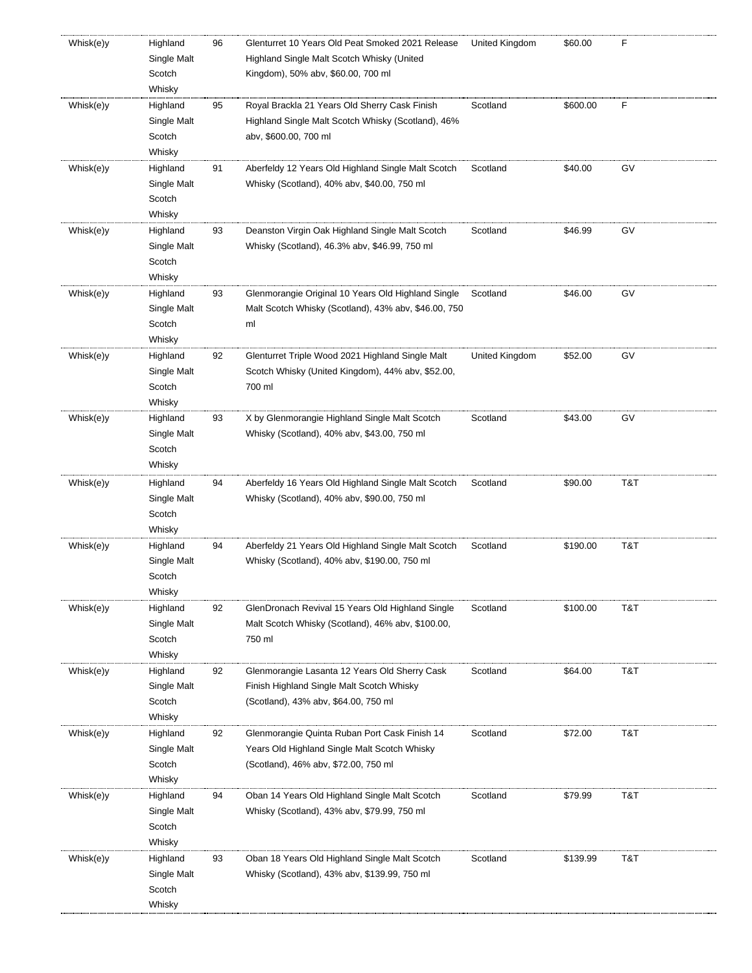| Whisk(e)y | Highland<br>Single Malt<br>Scotch<br>Whisky | 96 | Glenturret 10 Years Old Peat Smoked 2021 Release<br>Highland Single Malt Scotch Whisky (United<br>Kingdom), 50% abv, \$60.00, 700 ml  | United Kingdom | \$60.00  | F   |
|-----------|---------------------------------------------|----|---------------------------------------------------------------------------------------------------------------------------------------|----------------|----------|-----|
| Whisk(e)y | Highland<br>Single Malt<br>Scotch<br>Whisky | 95 | Royal Brackla 21 Years Old Sherry Cask Finish<br>Highland Single Malt Scotch Whisky (Scotland), 46%<br>abv, \$600.00, 700 ml          | Scotland       | \$600.00 | F   |
| Whisk(e)y | Highland<br>Single Malt<br>Scotch<br>Whisky | 91 | Aberfeldy 12 Years Old Highland Single Malt Scotch<br>Whisky (Scotland), 40% abv, \$40.00, 750 ml                                     | Scotland       | \$40.00  | GV  |
| Whisk(e)y | Highland<br>Single Malt<br>Scotch<br>Whisky | 93 | Deanston Virgin Oak Highland Single Malt Scotch<br>Whisky (Scotland), 46.3% abv, \$46.99, 750 ml                                      | Scotland       | \$46.99  | GV  |
| Whisk(e)y | Highland<br>Single Malt<br>Scotch<br>Whisky | 93 | Glenmorangie Original 10 Years Old Highland Single<br>Malt Scotch Whisky (Scotland), 43% abv, \$46.00, 750<br>ml                      | Scotland       | \$46.00  | GV  |
| Whisk(e)y | Highland<br>Single Malt<br>Scotch<br>Whisky | 92 | Glenturret Triple Wood 2021 Highland Single Malt<br>Scotch Whisky (United Kingdom), 44% abv, \$52.00,<br>700 ml                       | United Kingdom | \$52.00  | GV  |
| Whisk(e)y | Highland<br>Single Malt<br>Scotch<br>Whisky | 93 | X by Glenmorangie Highland Single Malt Scotch<br>Whisky (Scotland), 40% abv, \$43.00, 750 ml                                          | Scotland       | \$43.00  | GV  |
| Whisk(e)y | Highland<br>Single Malt<br>Scotch<br>Whisky | 94 | Aberfeldy 16 Years Old Highland Single Malt Scotch<br>Whisky (Scotland), 40% abv, \$90.00, 750 ml                                     | Scotland       | \$90.00  | T&T |
| Whisk(e)y | Highland<br>Single Malt<br>Scotch<br>Whisky | 94 | Aberfeldy 21 Years Old Highland Single Malt Scotch<br>Whisky (Scotland), 40% abv, \$190.00, 750 ml                                    | Scotland       | \$190.00 | T&T |
| Whisk(e)y | Highland<br>Single Malt<br>Scotch<br>Whisky | 92 | GlenDronach Revival 15 Years Old Highland Single<br>Malt Scotch Whisky (Scotland), 46% abv, \$100.00,<br>750 ml                       | Scotland       | \$100.00 | T&T |
| Whisk(e)y | Highland<br>Single Malt<br>Scotch<br>Whisky | 92 | Glenmorangie Lasanta 12 Years Old Sherry Cask<br>Finish Highland Single Malt Scotch Whisky<br>(Scotland), 43% abv, \$64.00, 750 ml    | Scotland       | \$64.00  | T&T |
| Whisk(e)y | Highland<br>Single Malt<br>Scotch<br>Whisky | 92 | Glenmorangie Quinta Ruban Port Cask Finish 14<br>Years Old Highland Single Malt Scotch Whisky<br>(Scotland), 46% abv, \$72.00, 750 ml | Scotland       | \$72.00  | T&T |
| Whisk(e)y | Highland<br>Single Malt<br>Scotch<br>Whisky | 94 | Oban 14 Years Old Highland Single Malt Scotch<br>Whisky (Scotland), 43% abv, \$79.99, 750 ml                                          | Scotland       | \$79.99  | T&T |
| Whisk(e)y | Highland<br>Single Malt<br>Scotch<br>Whisky | 93 | Oban 18 Years Old Highland Single Malt Scotch<br>Whisky (Scotland), 43% abv, \$139.99, 750 ml                                         | Scotland       | \$139.99 | T&T |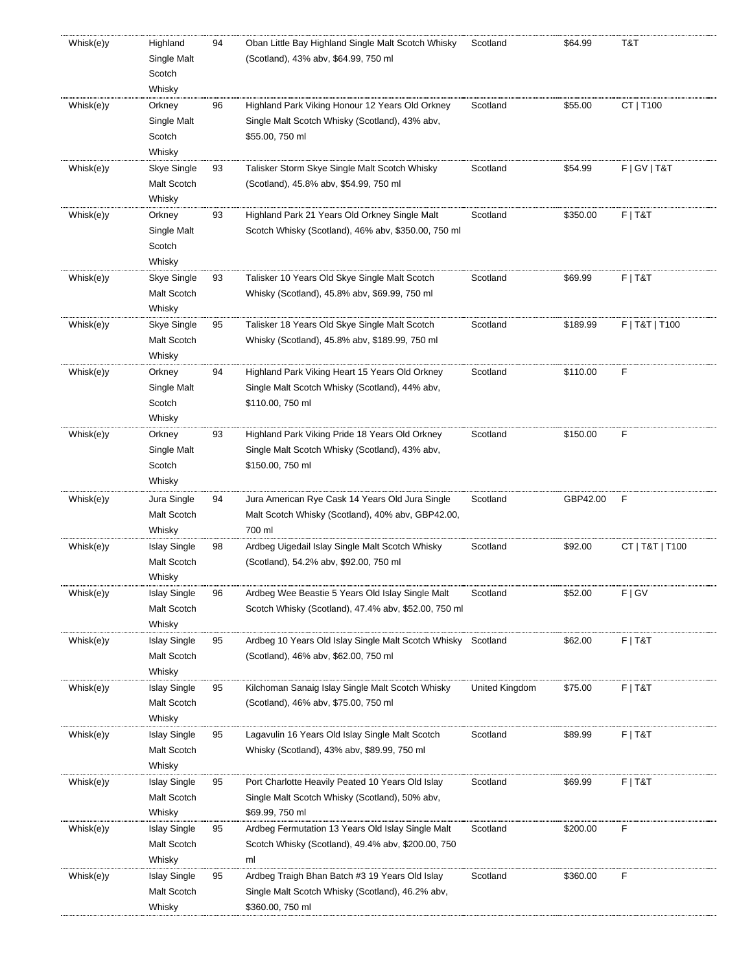| Whisk(e)y | Highland<br>Single Malt<br>Scotch<br>Whisky  | 94 | Oban Little Bay Highland Single Malt Scotch Whisky<br>(Scotland), 43% abv, \$64.99, 750 ml                             | Scotland       | \$64.99  | T&T             |
|-----------|----------------------------------------------|----|------------------------------------------------------------------------------------------------------------------------|----------------|----------|-----------------|
| Whisk(e)y | Orkney<br>Single Malt<br>Scotch<br>Whisky    | 96 | Highland Park Viking Honour 12 Years Old Orkney<br>Single Malt Scotch Whisky (Scotland), 43% abv,<br>\$55.00, 750 ml   | Scotland       | \$55.00  | CT   T100       |
| Whisk(e)y | Skye Single<br>Malt Scotch<br>Whisky         | 93 | Talisker Storm Skye Single Malt Scotch Whisky<br>(Scotland), 45.8% abv, \$54.99, 750 ml                                | Scotland       | \$54.99  | F   GV   T&T    |
| Whisk(e)y | Orkney<br>Single Malt<br>Scotch<br>Whisky    | 93 | Highland Park 21 Years Old Orkney Single Malt<br>Scotch Whisky (Scotland), 46% abv, \$350.00, 750 ml                   | Scotland       | \$350.00 | $F$   T&T       |
| Whisk(e)y | Skye Single<br>Malt Scotch<br>Whisky         | 93 | Talisker 10 Years Old Skye Single Malt Scotch<br>Whisky (Scotland), 45.8% abv, \$69.99, 750 ml                         | Scotland       | \$69.99  | F T&T           |
| Whisk(e)y | Skye Single<br>Malt Scotch<br>Whisky         | 95 | Talisker 18 Years Old Skye Single Malt Scotch<br>Whisky (Scotland), 45.8% abv, \$189.99, 750 ml                        | Scotland       | \$189.99 | F   T&T   T100  |
| Whisk(e)y | Orkney<br>Single Malt<br>Scotch<br>Whisky    | 94 | Highland Park Viking Heart 15 Years Old Orkney<br>Single Malt Scotch Whisky (Scotland), 44% abv,<br>\$110.00, 750 ml   | Scotland       | \$110.00 | F               |
| Whisk(e)y | Orkney<br>Single Malt<br>Scotch<br>Whisky    | 93 | Highland Park Viking Pride 18 Years Old Orkney<br>Single Malt Scotch Whisky (Scotland), 43% abv,<br>\$150.00, 750 ml   | Scotland       | \$150.00 | F               |
| Whisk(e)y | Jura Single<br>Malt Scotch<br>Whisky         | 94 | Jura American Rye Cask 14 Years Old Jura Single<br>Malt Scotch Whisky (Scotland), 40% abv, GBP42.00,<br>700 ml         | Scotland       | GBP42.00 | F               |
| Whisk(e)y | <b>Islay Single</b><br>Malt Scotch<br>Whisky | 98 | Ardbeg Uigedail Islay Single Malt Scotch Whisky<br>(Scotland), 54.2% abv, \$92.00, 750 ml                              | Scotland       | \$92.00  | CT   T&T   T100 |
| Whisk(e)y | <b>Islay Single</b><br>Malt Scotch<br>Whisky | 96 | Ardbeg Wee Beastie 5 Years Old Islay Single Malt<br>Scotch Whisky (Scotland), 47.4% abv, \$52.00, 750 ml               | Scotland       | \$52.00  | F   G V         |
| Whisk(e)y | <b>Islay Single</b><br>Malt Scotch<br>Whisky | 95 | Ardbeg 10 Years Old Islay Single Malt Scotch Whisky<br>(Scotland), 46% abv, \$62.00, 750 ml                            | Scotland       | \$62.00  | $F$   T&T       |
| Whisk(e)y | <b>Islay Single</b><br>Malt Scotch<br>Whisky | 95 | Kilchoman Sanaig Islay Single Malt Scotch Whisky<br>(Scotland), 46% abv, \$75.00, 750 ml                               | United Kingdom | \$75.00  | $F$   T&T       |
| Whisk(e)y | <b>Islay Single</b><br>Malt Scotch<br>Whisky | 95 | Lagavulin 16 Years Old Islay Single Malt Scotch<br>Whisky (Scotland), 43% abv, \$89.99, 750 ml                         | Scotland       | \$89.99  | $F$   T&T       |
| Whisk(e)y | <b>Islay Single</b><br>Malt Scotch<br>Whisky | 95 | Port Charlotte Heavily Peated 10 Years Old Islay<br>Single Malt Scotch Whisky (Scotland), 50% abv,<br>\$69.99, 750 ml  | Scotland       | \$69.99  | $F$   T&T       |
| Whisk(e)y | <b>Islay Single</b><br>Malt Scotch<br>Whisky | 95 | Ardbeg Fermutation 13 Years Old Islay Single Malt<br>Scotch Whisky (Scotland), 49.4% abv, \$200.00, 750<br>ml          | Scotland       | \$200.00 | F               |
| Whisk(e)y | <b>Islay Single</b><br>Malt Scotch<br>Whisky | 95 | Ardbeg Traigh Bhan Batch #3 19 Years Old Islay<br>Single Malt Scotch Whisky (Scotland), 46.2% abv,<br>\$360.00, 750 ml | Scotland       | \$360.00 | F               |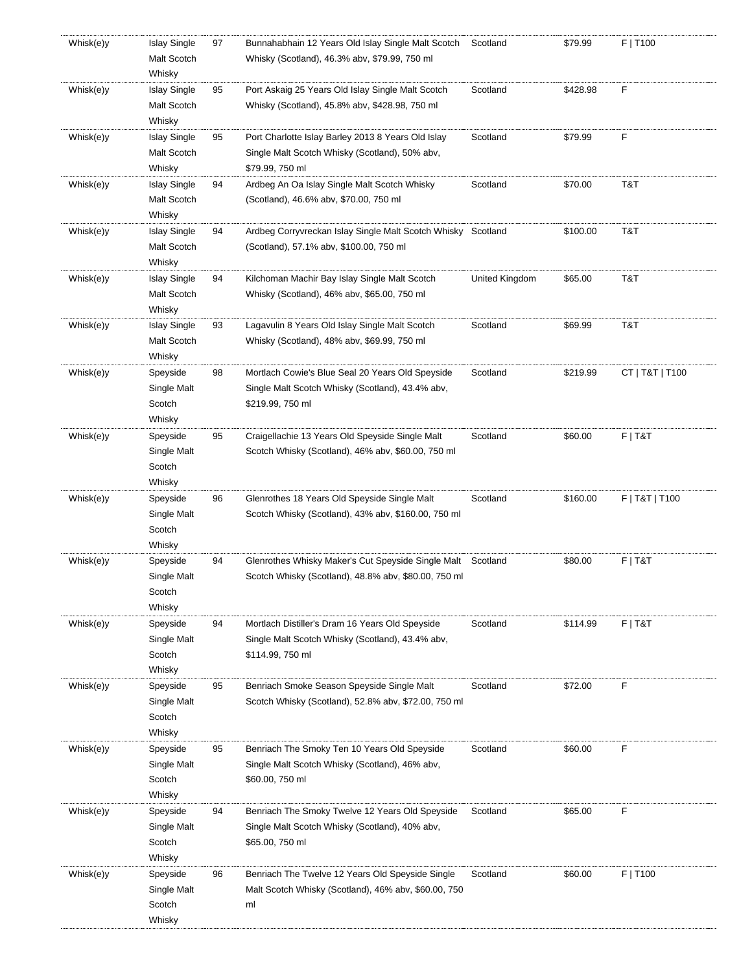| Whisk(e)y | <b>Islay Single</b> | 97 | Bunnahabhain 12 Years Old Islay Single Malt Scotch   | Scotland       | \$79.99  | F   T100        |
|-----------|---------------------|----|------------------------------------------------------|----------------|----------|-----------------|
|           | Malt Scotch         |    | Whisky (Scotland), 46.3% abv, \$79.99, 750 ml        |                |          |                 |
|           | Whisky              |    |                                                      |                |          |                 |
| Whisk(e)y | <b>Islay Single</b> | 95 | Port Askaig 25 Years Old Islay Single Malt Scotch    | Scotland       | \$428.98 | F               |
|           | Malt Scotch         |    | Whisky (Scotland), 45.8% abv, \$428.98, 750 ml       |                |          |                 |
|           | Whisky              |    |                                                      |                |          |                 |
| Whisk(e)y | <b>Islay Single</b> | 95 | Port Charlotte Islay Barley 2013 8 Years Old Islay   | Scotland       | \$79.99  | F               |
|           | Malt Scotch         |    | Single Malt Scotch Whisky (Scotland), 50% abv,       |                |          |                 |
|           | Whisky              |    | \$79.99, 750 ml                                      |                |          |                 |
| Whisk(e)y | <b>Islay Single</b> | 94 | Ardbeg An Oa Islay Single Malt Scotch Whisky         | Scotland       | \$70.00  | T&T             |
|           | Malt Scotch         |    | (Scotland), 46.6% abv, \$70.00, 750 ml               |                |          |                 |
|           | Whisky              |    |                                                      |                |          |                 |
| Whisk(e)y | <b>Islay Single</b> | 94 | Ardbeg Corryvreckan Islay Single Malt Scotch Whisky  | Scotland       | \$100.00 | T&T             |
|           |                     |    |                                                      |                |          |                 |
|           | Malt Scotch         |    | (Scotland), 57.1% abv, \$100.00, 750 ml              |                |          |                 |
|           | Whisky              |    |                                                      |                |          |                 |
| Whisk(e)y | <b>Islay Single</b> | 94 | Kilchoman Machir Bay Islay Single Malt Scotch        | United Kingdom | \$65.00  | T&T             |
|           | Malt Scotch         |    | Whisky (Scotland), 46% abv, \$65.00, 750 ml          |                |          |                 |
|           | Whisky              |    |                                                      |                |          |                 |
| Whisk(e)y | <b>Islay Single</b> | 93 | Lagavulin 8 Years Old Islay Single Malt Scotch       | Scotland       | \$69.99  | T&T             |
|           | Malt Scotch         |    | Whisky (Scotland), 48% abv, \$69.99, 750 ml          |                |          |                 |
|           | Whisky              |    |                                                      |                |          |                 |
| Whisk(e)y | Speyside            | 98 | Mortlach Cowie's Blue Seal 20 Years Old Speyside     | Scotland       | \$219.99 | CT   T&T   T100 |
|           | Single Malt         |    | Single Malt Scotch Whisky (Scotland), 43.4% abv,     |                |          |                 |
|           | Scotch              |    | \$219.99, 750 ml                                     |                |          |                 |
|           | Whisky              |    |                                                      |                |          |                 |
| Whisk(e)y | Speyside            | 95 | Craigellachie 13 Years Old Speyside Single Malt      | Scotland       | \$60.00  | $F$   T&T       |
|           | Single Malt         |    | Scotch Whisky (Scotland), 46% abv, \$60.00, 750 ml   |                |          |                 |
|           | Scotch              |    |                                                      |                |          |                 |
|           | Whisky              |    |                                                      |                |          |                 |
| Whisk(e)y | Speyside            | 96 | Glenrothes 18 Years Old Speyside Single Malt         | Scotland       | \$160.00 | F   T&T   T100  |
|           | Single Malt         |    | Scotch Whisky (Scotland), 43% abv, \$160.00, 750 ml  |                |          |                 |
|           | Scotch              |    |                                                      |                |          |                 |
|           | Whisky              |    |                                                      |                |          |                 |
| Whisk(e)y | Speyside            | 94 | Glenrothes Whisky Maker's Cut Speyside Single Malt   | Scotland       | \$80.00  | $F$   T&T       |
|           | Single Malt         |    | Scotch Whisky (Scotland), 48.8% abv, \$80.00, 750 ml |                |          |                 |
|           | Scotch              |    |                                                      |                |          |                 |
|           | Whisky              |    |                                                      |                |          |                 |
| Whisk(e)y | Speyside            | 94 | Mortlach Distiller's Dram 16 Years Old Speyside      | Scotland       | \$114.99 | $F$   T&T       |
|           | Single Malt         |    | Single Malt Scotch Whisky (Scotland), 43.4% abv,     |                |          |                 |
|           | Scotch              |    | \$114.99, 750 ml                                     |                |          |                 |
|           | Whisky              |    |                                                      |                |          |                 |
|           |                     |    |                                                      |                |          | F               |
| Whisk(e)y | Speyside            | 95 | Benriach Smoke Season Speyside Single Malt           | Scotland       | \$72.00  |                 |
|           | Single Malt         |    | Scotch Whisky (Scotland), 52.8% abv, \$72.00, 750 ml |                |          |                 |
|           | Scotch              |    |                                                      |                |          |                 |
|           | Whisky              |    |                                                      |                |          |                 |
| Whisk(e)y | Speyside            | 95 | Benriach The Smoky Ten 10 Years Old Speyside         | Scotland       | \$60.00  | F               |
|           | Single Malt         |    | Single Malt Scotch Whisky (Scotland), 46% abv,       |                |          |                 |
|           | Scotch              |    | \$60.00, 750 ml                                      |                |          |                 |
|           | Whisky              |    |                                                      |                |          |                 |
| Whisk(e)y | Speyside            | 94 | Benriach The Smoky Twelve 12 Years Old Speyside      | Scotland       | \$65.00  | F               |
|           | Single Malt         |    | Single Malt Scotch Whisky (Scotland), 40% abv,       |                |          |                 |
|           | Scotch              |    | \$65.00, 750 ml                                      |                |          |                 |
|           | Whisky              |    |                                                      |                |          |                 |
| Whisk(e)y | Speyside            | 96 | Benriach The Twelve 12 Years Old Speyside Single     | Scotland       | \$60.00  | $F$   T100      |
|           | Single Malt         |    | Malt Scotch Whisky (Scotland), 46% aby, \$60.00, 750 |                |          |                 |
|           | Scotch              |    | ml                                                   |                |          |                 |
|           | Whisky              |    |                                                      |                |          |                 |
|           |                     |    |                                                      |                |          |                 |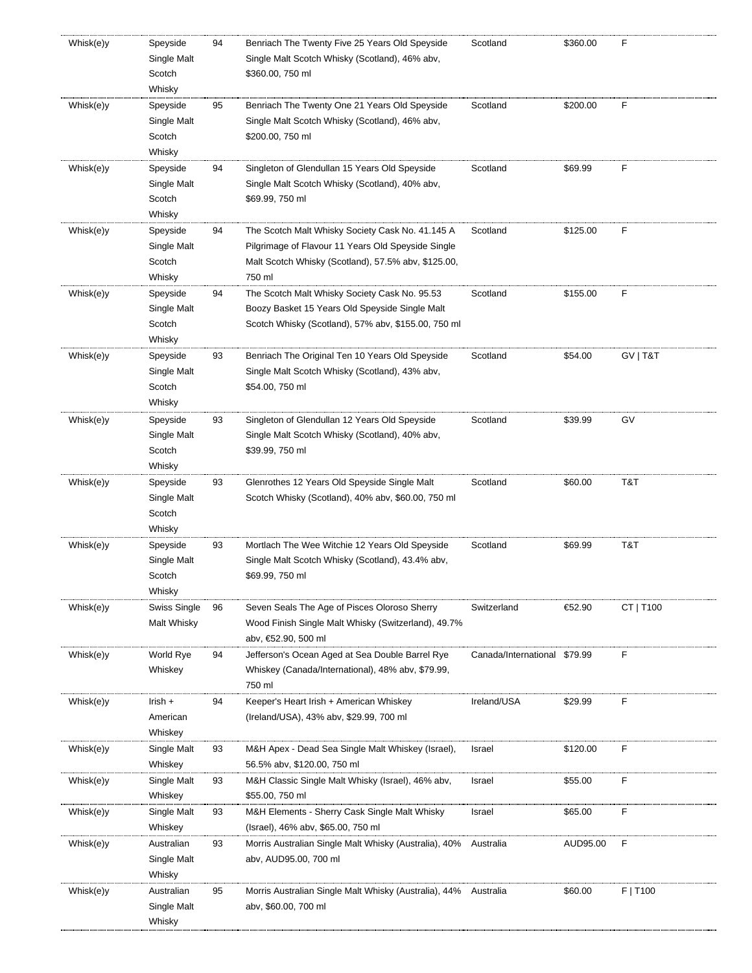| Whisk(e)y | Speyside<br>Single Malt<br>Scotch<br>Whisky | 94 | Benriach The Twenty Five 25 Years Old Speyside<br>Single Malt Scotch Whisky (Scotland), 46% abv,<br>\$360.00, 750 ml                                                    | Scotland             | \$360.00 | F         |
|-----------|---------------------------------------------|----|-------------------------------------------------------------------------------------------------------------------------------------------------------------------------|----------------------|----------|-----------|
| Whisk(e)y | Speyside<br>Single Malt<br>Scotch<br>Whisky | 95 | Benriach The Twenty One 21 Years Old Speyside<br>Single Malt Scotch Whisky (Scotland), 46% abv,<br>\$200.00, 750 ml                                                     | Scotland             | \$200.00 | F         |
| Whisk(e)y | Speyside<br>Single Malt<br>Scotch<br>Whisky | 94 | Singleton of Glendullan 15 Years Old Speyside<br>Single Malt Scotch Whisky (Scotland), 40% abv,<br>\$69.99, 750 ml                                                      | Scotland             | \$69.99  | F         |
| Whisk(e)y | Speyside<br>Single Malt<br>Scotch<br>Whisky | 94 | The Scotch Malt Whisky Society Cask No. 41.145 A<br>Pilgrimage of Flavour 11 Years Old Speyside Single<br>Malt Scotch Whisky (Scotland), 57.5% abv, \$125.00,<br>750 ml | Scotland             | \$125.00 | F         |
| Whisk(e)y | Speyside<br>Single Malt<br>Scotch<br>Whisky | 94 | The Scotch Malt Whisky Society Cask No. 95.53<br>Boozy Basket 15 Years Old Speyside Single Malt<br>Scotch Whisky (Scotland), 57% abv, \$155.00, 750 ml                  | Scotland             | \$155.00 | F         |
| Whisk(e)y | Speyside<br>Single Malt<br>Scotch<br>Whisky | 93 | Benriach The Original Ten 10 Years Old Speyside<br>Single Malt Scotch Whisky (Scotland), 43% abv,<br>\$54.00, 750 ml                                                    | Scotland             | \$54.00  | GV   T&T  |
| Whisk(e)y | Speyside<br>Single Malt<br>Scotch<br>Whisky | 93 | Singleton of Glendullan 12 Years Old Speyside<br>Single Malt Scotch Whisky (Scotland), 40% abv,<br>\$39.99, 750 ml                                                      | Scotland             | \$39.99  | GV        |
| Whisk(e)y | Speyside<br>Single Malt<br>Scotch<br>Whisky | 93 | Glenrothes 12 Years Old Speyside Single Malt<br>Scotch Whisky (Scotland), 40% abv, \$60.00, 750 ml                                                                      | Scotland             | \$60.00  | T&T       |
| Whisk(e)y | Speyside<br>Single Malt<br>Scotch<br>Whisky | 93 | Mortlach The Wee Witchie 12 Years Old Speyside<br>Single Malt Scotch Whisky (Scotland), 43.4% abv,<br>\$69.99, 750 ml                                                   | Scotland             | \$69.99  | T&T       |
| Whisk(e)y | Swiss Single<br>Malt Whisky                 | 96 | Seven Seals The Age of Pisces Oloroso Sherry<br>Wood Finish Single Malt Whisky (Switzerland), 49.7%<br>abv, €52.90, 500 ml                                              | Switzerland          | €52.90   | CT   T100 |
| Whisk(e)y | World Rye<br>Whiskey                        | 94 | Jefferson's Ocean Aged at Sea Double Barrel Rye<br>Whiskey (Canada/International), 48% abv, \$79.99,<br>750 ml                                                          | Canada/International | \$79.99  | F         |
| Whisk(e)y | Irish +<br>American<br>Whiskey              | 94 | Keeper's Heart Irish + American Whiskey<br>(Ireland/USA), 43% abv, \$29.99, 700 ml                                                                                      | Ireland/USA          | \$29.99  | F         |
| Whisk(e)y | Single Malt<br>Whiskey                      | 93 | M&H Apex - Dead Sea Single Malt Whiskey (Israel),<br>56.5% abv, \$120.00, 750 ml                                                                                        | Israel               | \$120.00 | F         |
| Whisk(e)y | Single Malt<br>Whiskey                      | 93 | M&H Classic Single Malt Whisky (Israel), 46% abv,<br>\$55.00, 750 ml                                                                                                    | Israel               | \$55.00  | F         |
| Whisk(e)y | Single Malt<br>Whiskey                      | 93 | M&H Elements - Sherry Cask Single Malt Whisky<br>(Israel), 46% abv, \$65.00, 750 ml                                                                                     | Israel               | \$65.00  | F         |
| Whisk(e)y | Australian<br>Single Malt<br>Whisky         | 93 | Morris Australian Single Malt Whisky (Australia), 40%<br>abv, AUD95.00, 700 ml                                                                                          | Australia            | AUD95.00 | F         |
| Whisk(e)y | Australian<br>Single Malt<br>Whisky         | 95 | Morris Australian Single Malt Whisky (Australia), 44%<br>aby, \$60.00, 700 ml                                                                                           | Australia            | \$60.00  | F   T100  |